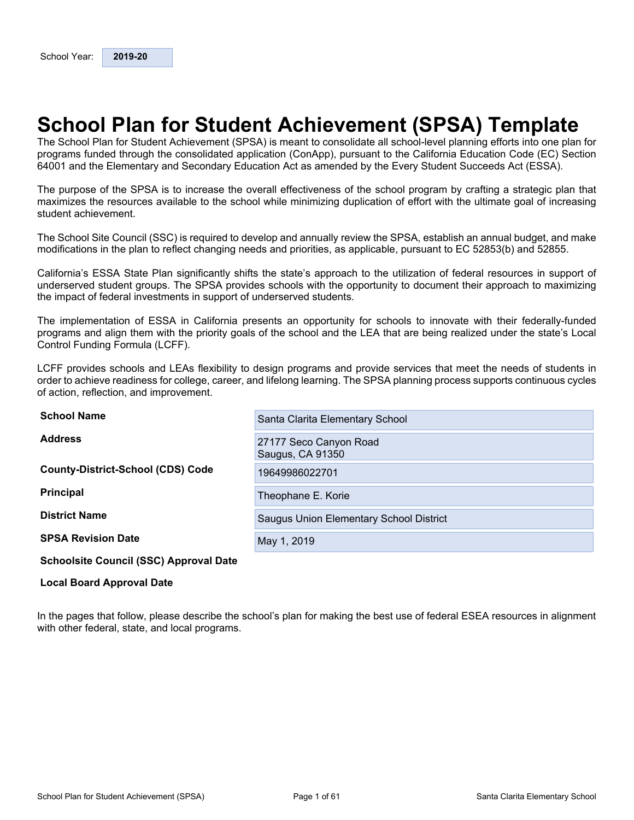## <span id="page-0-0"></span>**School Plan for Student Achievement (SPSA) Template**

The School Plan for Student Achievement (SPSA) is meant to consolidate all school-level planning efforts into one plan for programs funded through the consolidated application (ConApp), pursuant to the California Education Code (EC) Section 64001 and the Elementary and Secondary Education Act as amended by the Every Student Succeeds Act (ESSA).

The purpose of the SPSA is to increase the overall effectiveness of the school program by crafting a strategic plan that maximizes the resources available to the school while minimizing duplication of effort with the ultimate goal of increasing student achievement.

The School Site Council (SSC) is required to develop and annually review the SPSA, establish an annual budget, and make modifications in the plan to reflect changing needs and priorities, as applicable, pursuant to EC 52853(b) and 52855.

California's ESSA State Plan significantly shifts the state's approach to the utilization of federal resources in support of underserved student groups. The SPSA provides schools with the opportunity to document their approach to maximizing the impact of federal investments in support of underserved students.

The implementation of ESSA in California presents an opportunity for schools to innovate with their federally-funded programs and align them with the priority goals of the school and the LEA that are being realized under the state's Local Control Funding Formula (LCFF).

LCFF provides schools and LEAs flexibility to design programs and provide services that meet the needs of students in order to achieve readiness for college, career, and lifelong learning. The SPSA planning process supports continuous cycles of action, reflection, and improvement.

| <b>School Name</b>                            | Santa Clarita Elementary School            |
|-----------------------------------------------|--------------------------------------------|
| <b>Address</b>                                | 27177 Seco Canyon Road<br>Saugus, CA 91350 |
| <b>County-District-School (CDS) Code</b>      | 19649986022701                             |
| <b>Principal</b>                              | Theophane E. Korie                         |
| <b>District Name</b>                          | Saugus Union Elementary School District    |
| <b>SPSA Revision Date</b>                     | May 1, 2019                                |
| <b>Schoolsite Council (SSC) Approval Date</b> |                                            |

#### **Local Board Approval Date**

In the pages that follow, please describe the school's plan for making the best use of federal ESEA resources in alignment with other federal, state, and local programs.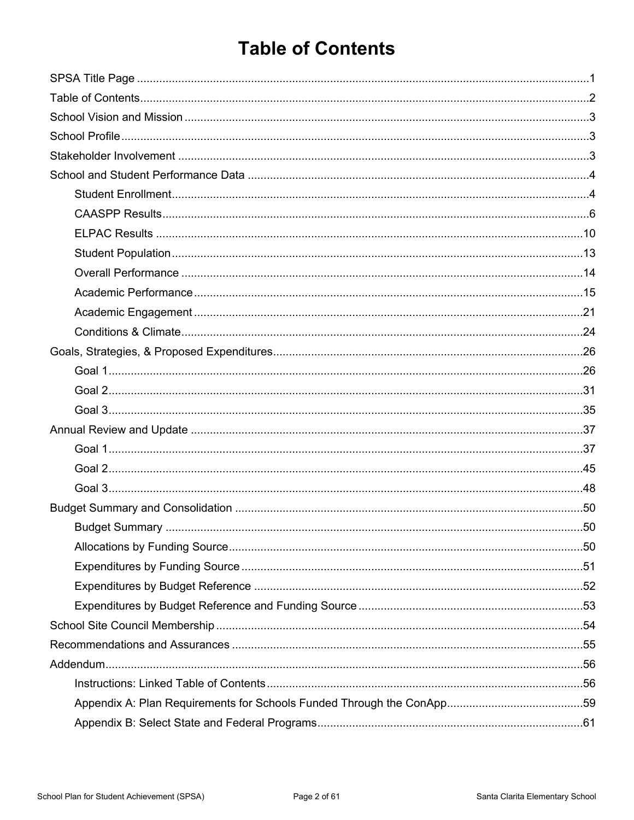## <span id="page-1-0"></span>**Table of Contents**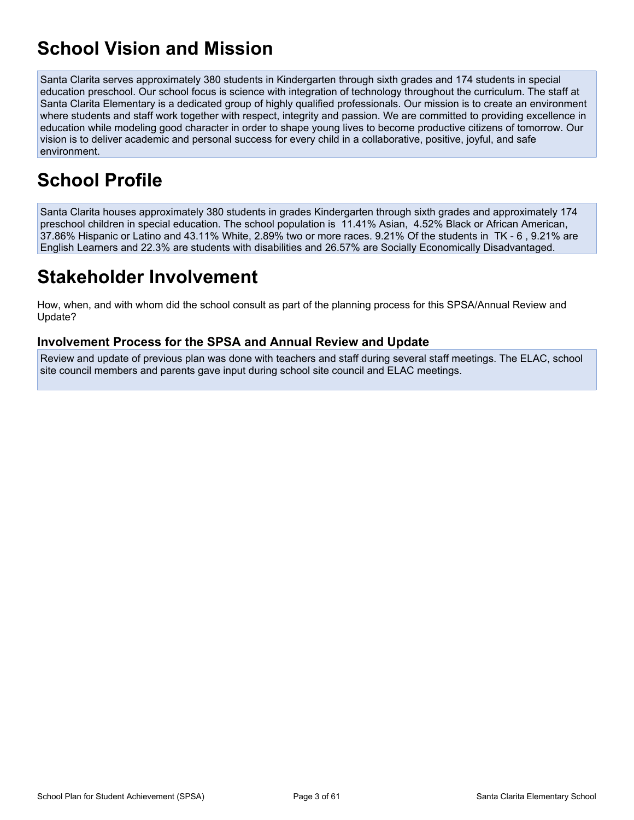## <span id="page-2-0"></span>**School Vision and Mission**

Santa Clarita serves approximately 380 students in Kindergarten through sixth grades and 174 students in special education preschool. Our school focus is science with integration of technology throughout the curriculum. The staff at Santa Clarita Elementary is a dedicated group of highly qualified professionals. Our mission is to create an environment where students and staff work together with respect, integrity and passion. We are committed to providing excellence in education while modeling good character in order to shape young lives to become productive citizens of tomorrow. Our vision is to deliver academic and personal success for every child in a collaborative, positive, joyful, and safe environment.

## <span id="page-2-1"></span>**School Profile**

Santa Clarita houses approximately 380 students in grades Kindergarten through sixth grades and approximately 174 preschool children in special education. The school population is 11.41% Asian, 4.52% Black or African American, 37.86% Hispanic or Latino and 43.11% White, 2.89% two or more races. 9.21% Of the students in TK - 6 , 9.21% are English Learners and 22.3% are students with disabilities and 26.57% are Socially Economically Disadvantaged.

## <span id="page-2-2"></span>**Stakeholder Involvement**

How, when, and with whom did the school consult as part of the planning process for this SPSA/Annual Review and Update?

### **Involvement Process for the SPSA and Annual Review and Update**

Review and update of previous plan was done with teachers and staff during several staff meetings. The ELAC, school site council members and parents gave input during school site council and ELAC meetings.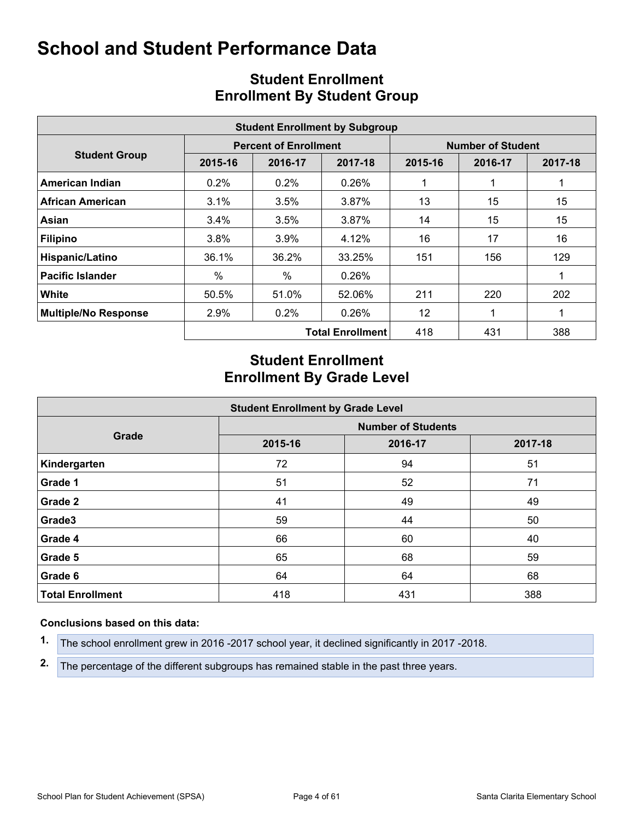<span id="page-3-0"></span>

|                             |         |                              | <b>Student Enrollment by Subgroup</b> |                          |         |         |  |  |
|-----------------------------|---------|------------------------------|---------------------------------------|--------------------------|---------|---------|--|--|
|                             |         | <b>Percent of Enrollment</b> |                                       | <b>Number of Student</b> |         |         |  |  |
| <b>Student Group</b>        | 2015-16 | 2016-17                      | 2017-18                               | 2015-16                  | 2016-17 | 2017-18 |  |  |
| American Indian             | $0.2\%$ | $0.2\%$                      | 0.26%                                 |                          |         |         |  |  |
| African American            | 3.1%    | 3.5%                         | 3.87%                                 | 13                       | 15      | 15      |  |  |
| Asian                       | 3.4%    | 3.5%                         | 3.87%                                 | 14                       | 15      | 15      |  |  |
| <b>Filipino</b>             | 3.8%    | 3.9%                         | 4.12%                                 | 16                       | 17      | 16      |  |  |
| Hispanic/Latino             | 36.1%   | 36.2%                        | 33.25%                                | 151                      | 156     | 129     |  |  |
| <b>Pacific Islander</b>     | $\%$    | $\%$                         | 0.26%                                 |                          |         |         |  |  |
| White                       | 50.5%   | 51.0%                        | 52.06%                                | 211                      | 220     | 202     |  |  |
| <b>Multiple/No Response</b> | 2.9%    | $0.2\%$                      | 0.26%                                 | 12                       |         |         |  |  |
|                             |         |                              | <b>Total Enrollment</b>               | 418                      | 431     | 388     |  |  |

## <span id="page-3-1"></span>**Student Enrollment Enrollment By Student Group**

## **Student Enrollment Enrollment By Grade Level**

| <b>Student Enrollment by Grade Level</b> |                           |         |         |  |  |  |  |  |  |  |
|------------------------------------------|---------------------------|---------|---------|--|--|--|--|--|--|--|
|                                          | <b>Number of Students</b> |         |         |  |  |  |  |  |  |  |
| Grade                                    | 2015-16                   | 2016-17 | 2017-18 |  |  |  |  |  |  |  |
| Kindergarten                             | 72                        | 94      | 51      |  |  |  |  |  |  |  |
| Grade 1                                  | 51                        | 52      | 71      |  |  |  |  |  |  |  |
| Grade 2                                  | 41                        | 49      | 49      |  |  |  |  |  |  |  |
| Grade3                                   | 59                        | 44      | 50      |  |  |  |  |  |  |  |
| Grade 4                                  | 66                        | 60      | 40      |  |  |  |  |  |  |  |
| Grade 5                                  | 65                        | 68      | 59      |  |  |  |  |  |  |  |
| Grade 6                                  | 64                        | 64      | 68      |  |  |  |  |  |  |  |
| <b>Total Enrollment</b>                  | 418                       | 431     | 388     |  |  |  |  |  |  |  |

#### **Conclusions based on this data:**

**1.** The school enrollment grew in 2016 -2017 school year, it declined significantly in 2017 -2018.

**2.** The percentage of the different subgroups has remained stable in the past three years.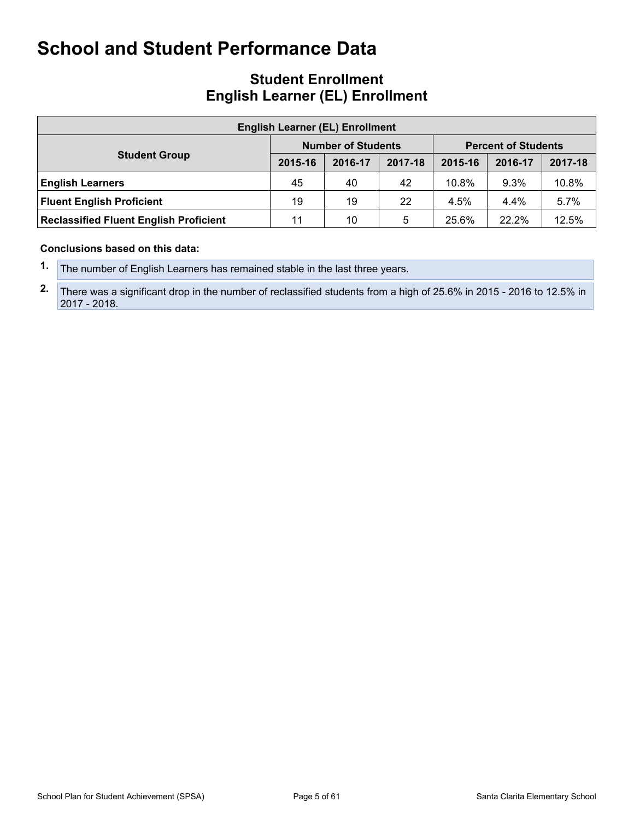### **Student Enrollment English Learner (EL) Enrollment**

| <b>English Learner (EL) Enrollment</b>        |         |                           |         |                            |         |         |  |  |  |  |  |
|-----------------------------------------------|---------|---------------------------|---------|----------------------------|---------|---------|--|--|--|--|--|
|                                               |         | <b>Number of Students</b> |         | <b>Percent of Students</b> |         |         |  |  |  |  |  |
| <b>Student Group</b>                          | 2015-16 | 2016-17                   | 2017-18 | 2015-16                    | 2016-17 | 2017-18 |  |  |  |  |  |
| <b>English Learners</b>                       | 45      | 40                        | 42      | 10.8%                      | 9.3%    | 10.8%   |  |  |  |  |  |
| <b>Fluent English Proficient</b>              | 19      | 19                        | 22      | 4.5%                       | 4.4%    | 5.7%    |  |  |  |  |  |
| <b>Reclassified Fluent English Proficient</b> | 11      | 10                        | 5       | 25.6%                      | 22.2%   | 12.5%   |  |  |  |  |  |

#### **Conclusions based on this data:**

**2.** There was a significant drop in the number of reclassified students from a high of 25.6% in 2015 - 2016 to 12.5% in 2017 - 2018.

**<sup>1.</sup>** The number of English Learners has remained stable in the last three years.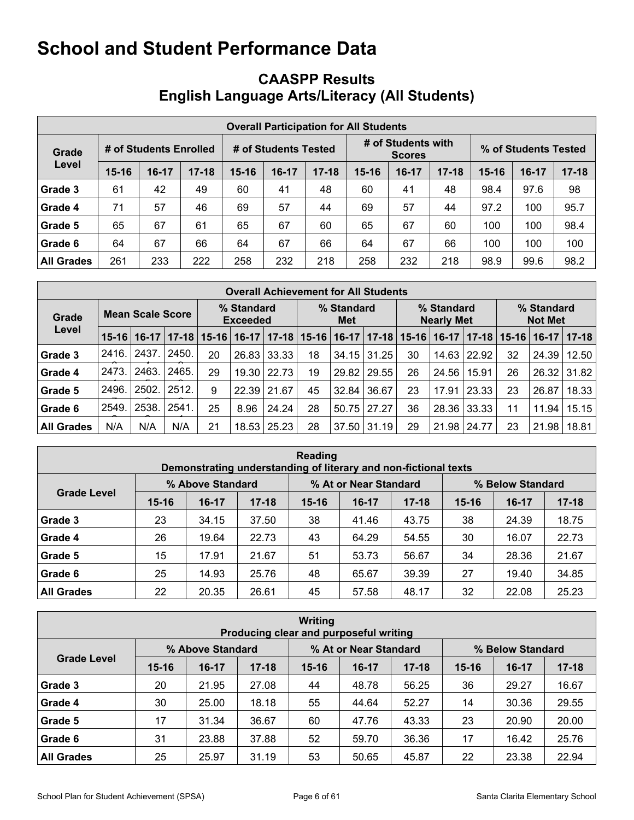## <span id="page-5-0"></span>**CAASPP Results English Language Arts/Literacy (All Students)**

|                   | <b>Overall Participation for All Students</b> |                        |           |                      |         |           |                                     |         |           |                      |       |           |  |
|-------------------|-----------------------------------------------|------------------------|-----------|----------------------|---------|-----------|-------------------------------------|---------|-----------|----------------------|-------|-----------|--|
| Grade             |                                               | # of Students Enrolled |           | # of Students Tested |         |           | # of Students with<br><b>Scores</b> |         |           | % of Students Tested |       |           |  |
| Level             | $15 - 16$                                     | $16-17$                | $17 - 18$ | $15 - 16$            | $16-17$ | $17 - 18$ | 15-16                               | $16-17$ | $17 - 18$ | $15 - 16$            | 16-17 | $17 - 18$ |  |
| Grade 3           | 61                                            | 42                     | 49        | 60                   | 41      | 48        | 60                                  | 41      | 48        | 98.4                 | 97.6  | 98        |  |
| Grade 4           | 71                                            | 57                     | 46        | 69                   | 57      | 44        | 69                                  | 57      | 44        | 97.2                 | 100   | 95.7      |  |
| Grade 5           | 65                                            | 67                     | 61        | 65                   | 67      | 60        | 65                                  | 67      | 60        | 100                  | 100   | 98.4      |  |
| Grade 6           | 64                                            | 67                     | 66        | 64                   | 67      | 66        | 64                                  | 67      | 66        | 100                  | 100   | 100       |  |
| <b>All Grades</b> | 261                                           | 233                    | 222       | 258                  | 232     | 218       | 258                                 | 232     | 218       | 98.9                 | 99.6  | 98.2      |  |

|                   | <b>Overall Achievement for All Students</b> |         |           |                               |         |           |                   |                   |           |                                 |         |                    |                              |                   |           |
|-------------------|---------------------------------------------|---------|-----------|-------------------------------|---------|-----------|-------------------|-------------------|-----------|---------------------------------|---------|--------------------|------------------------------|-------------------|-----------|
| Grade             | Mean Scale Score                            |         |           | % Standard<br><b>Exceeded</b> |         |           | % Standard<br>Met |                   |           | % Standard<br><b>Nearly Met</b> |         |                    | % Standard<br><b>Not Met</b> |                   |           |
| Level             | $15 - 16$                                   | $16-17$ | $17 - 18$ | $15 - 16$                     | $16-17$ | $17 - 18$ |                   | $15 - 16$   16-17 | $17 - 18$ | $15 - 16$                       | $16-17$ | $17 - 18$          |                              | $15 - 16$   16-17 | $17 - 18$ |
| Grade 3           | 2416.                                       | 2437.   | 2450.     | 20                            | 26.83   | 33.33     | 18                | 34.15             | 31.25     | 30                              |         | $14.63 \mid 22.92$ | 32                           | 24.39             | 12.50     |
| Grade 4           | 2473.                                       | 2463.   | 2465.     | 29                            | 19.30   | 22.73     | 19                | 29.82             | 29.55     | 26                              | 24.56   | 15.91              | 26                           | 26.32             | 31.82     |
| Grade 5           | 2496.                                       | 2502.   | 2512.     | 9                             | 22.39   | 21.67     | 45                | 32.84             | 36.67     | 23                              | 17.91   | 23.33              | 23                           | 26.87             | 18.33     |
| Grade 6           | 2549.                                       | 2538.   | 2541      | 25                            | 8.96    | 24.24     | 28                | 50.75             | 27.27     | 36                              |         | 28.36 33.33        | 11                           | 11.94             | 15.15     |
| <b>All Grades</b> | N/A                                         | N/A     | N/A       | 21                            | 18.53   | 25.23     | 28                | 37.50             | 31.19     | 29                              | 21.98   | 24.77              | 23                           | 21.98             | 18.81     |

| Reading<br>Demonstrating understanding of literary and non-fictional texts |           |                  |           |           |                       |           |           |                  |           |  |  |  |
|----------------------------------------------------------------------------|-----------|------------------|-----------|-----------|-----------------------|-----------|-----------|------------------|-----------|--|--|--|
|                                                                            |           | % Above Standard |           |           | % At or Near Standard |           |           | % Below Standard |           |  |  |  |
| <b>Grade Level</b>                                                         | $15 - 16$ | $16-17$          | $17 - 18$ | $15 - 16$ | $16-17$               | $17 - 18$ | $15 - 16$ | $16-17$          | $17 - 18$ |  |  |  |
| Grade 3                                                                    | 23        | 34.15            | 37.50     | 38        | 41.46                 | 43.75     | 38        | 24.39            | 18.75     |  |  |  |
| Grade 4                                                                    | 26        | 19.64            | 22.73     | 43        | 64.29                 | 54.55     | 30        | 16.07            | 22.73     |  |  |  |
| Grade 5                                                                    | 15        | 17.91            | 21.67     | 51        | 53.73                 | 56.67     | 34        | 28.36            | 21.67     |  |  |  |
| Grade 6                                                                    | 25        | 14.93            | 25.76     | 48        | 65.67                 | 39.39     | 27        | 19.40            | 34.85     |  |  |  |
| <b>All Grades</b>                                                          | 22        | 20.35            | 26.61     | 45        | 57.58                 | 48.17     | 32        | 22.08            | 25.23     |  |  |  |

| <b>Writing</b><br>Producing clear and purposeful writing |           |                  |           |           |                       |           |           |                  |           |  |  |  |
|----------------------------------------------------------|-----------|------------------|-----------|-----------|-----------------------|-----------|-----------|------------------|-----------|--|--|--|
|                                                          |           | % Above Standard |           |           | % At or Near Standard |           |           | % Below Standard |           |  |  |  |
| <b>Grade Level</b>                                       | $15 - 16$ | $16-17$          | $17 - 18$ | $15 - 16$ | $16-17$               | $17 - 18$ | $15 - 16$ | $16-17$          | $17 - 18$ |  |  |  |
| Grade 3                                                  | 20        | 21.95            | 27.08     | 44        | 48.78                 | 56.25     | 36        | 29.27            | 16.67     |  |  |  |
| Grade 4                                                  | 30        | 25.00            | 18.18     | 55        | 44.64                 | 52.27     | 14        | 30.36            | 29.55     |  |  |  |
| Grade 5                                                  | 17        | 31.34            | 36.67     | 60        | 47.76                 | 43.33     | 23        | 20.90            | 20.00     |  |  |  |
| Grade 6                                                  | 31        | 23.88            | 37.88     | 52        | 59.70                 | 36.36     | 17        | 16.42            | 25.76     |  |  |  |
| <b>All Grades</b>                                        | 25        | 25.97            | 31.19     | 53        | 50.65                 | 45.87     | 22        | 23.38            | 22.94     |  |  |  |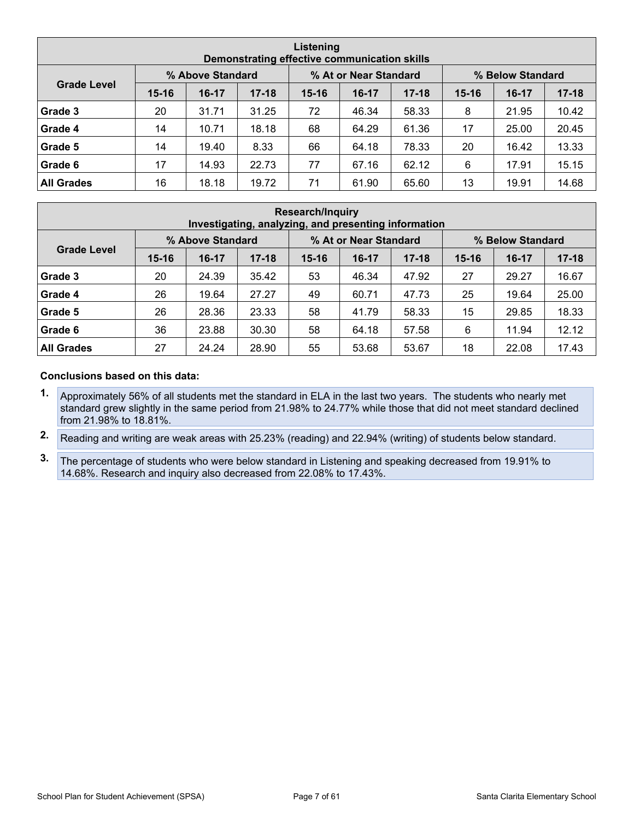| Listening<br>Demonstrating effective communication skills |           |                  |           |           |                       |           |           |                  |           |  |  |  |
|-----------------------------------------------------------|-----------|------------------|-----------|-----------|-----------------------|-----------|-----------|------------------|-----------|--|--|--|
|                                                           |           | % Above Standard |           |           | % At or Near Standard |           |           | % Below Standard |           |  |  |  |
| <b>Grade Level</b>                                        | $15 - 16$ | $16-17$          | $17 - 18$ | $15 - 16$ | $16-17$               | $17 - 18$ | $15 - 16$ | $16-17$          | $17 - 18$ |  |  |  |
| Grade 3                                                   | 20        | 31.71            | 31.25     | 72        | 46.34                 | 58.33     | 8         | 21.95            | 10.42     |  |  |  |
| Grade 4                                                   | 14        | 10.71            | 18.18     | 68        | 64.29                 | 61.36     | 17        | 25.00            | 20.45     |  |  |  |
| Grade 5                                                   | 14        | 19.40            | 8.33      | 66        | 64.18                 | 78.33     | 20        | 16.42            | 13.33     |  |  |  |
| Grade 6                                                   | 17        | 14.93            | 22.73     | 77        | 67.16                 | 62.12     | 6         | 17.91            | 15.15     |  |  |  |
| <b>All Grades</b>                                         | 16        | 18.18            | 19.72     | 71        | 61.90                 | 65.60     | 13        | 19.91            | 14.68     |  |  |  |

| <b>Research/Inquiry</b><br>Investigating, analyzing, and presenting information |           |                  |           |           |                       |           |           |                  |           |  |  |  |
|---------------------------------------------------------------------------------|-----------|------------------|-----------|-----------|-----------------------|-----------|-----------|------------------|-----------|--|--|--|
|                                                                                 |           | % Above Standard |           |           | % At or Near Standard |           |           | % Below Standard |           |  |  |  |
| <b>Grade Level</b>                                                              | $15 - 16$ | $16-17$          | $17 - 18$ | $15 - 16$ | $16-17$               | $17 - 18$ | $15 - 16$ | $16 - 17$        | $17 - 18$ |  |  |  |
| Grade 3                                                                         | 20        | 24.39            | 35.42     | 53        | 46.34                 | 47.92     | 27        | 29.27            | 16.67     |  |  |  |
| Grade 4                                                                         | 26        | 19.64            | 27.27     | 49        | 60.71                 | 47.73     | 25        | 19.64            | 25.00     |  |  |  |
| Grade 5                                                                         | 26        | 28.36            | 23.33     | 58        | 41.79                 | 58.33     | 15        | 29.85            | 18.33     |  |  |  |
| Grade 6                                                                         | 36        | 23.88            | 30.30     | 58        | 64.18                 | 57.58     | 6         | 11.94            | 12.12     |  |  |  |
| <b>All Grades</b>                                                               | 27        | 24.24            | 28.90     | 55        | 53.68                 | 53.67     | 18        | 22.08            | 17.43     |  |  |  |

#### **Conclusions based on this data:**

- **1.** Approximately 56% of all students met the standard in ELA in the last two years. The students who nearly met standard grew slightly in the same period from 21.98% to 24.77% while those that did not meet standard declined from 21.98% to 18.81%.
- **2.** Reading and writing are weak areas with 25.23% (reading) and 22.94% (writing) of students below standard.
- **3.** The percentage of students who were below standard in Listening and speaking decreased from 19.91% to 14.68%. Research and inquiry also decreased from 22.08% to 17.43%.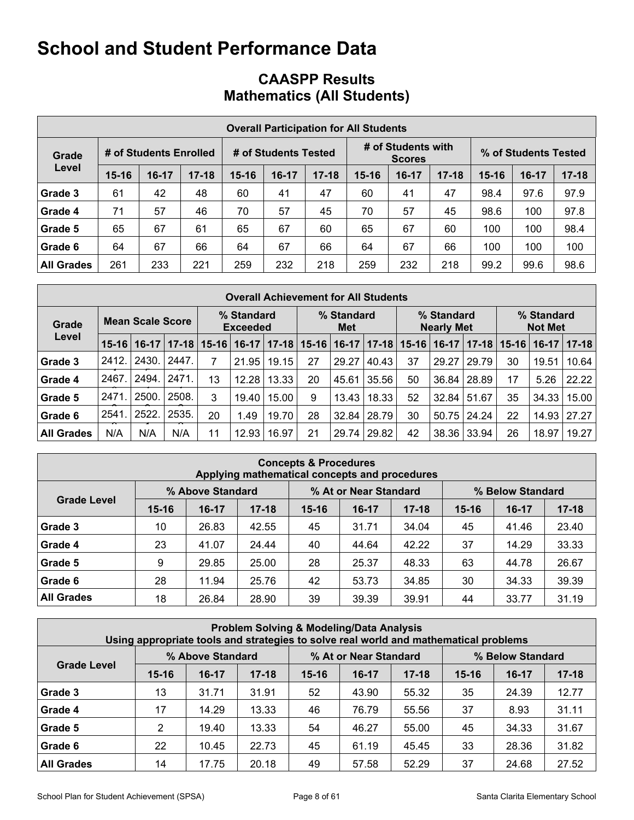## **CAASPP Results Mathematics (All Students)**

|                   | <b>Overall Participation for All Students</b> |                        |           |                      |         |           |           |                                     |           |                      |       |           |  |
|-------------------|-----------------------------------------------|------------------------|-----------|----------------------|---------|-----------|-----------|-------------------------------------|-----------|----------------------|-------|-----------|--|
| Grade             |                                               | # of Students Enrolled |           | # of Students Tested |         |           |           | # of Students with<br><b>Scores</b> |           | % of Students Tested |       |           |  |
| Level             | $15 - 16$                                     | $16-17$                | $17 - 18$ | $15 - 16$            | $16-17$ | $17 - 18$ | $15 - 16$ | $16-17$                             | $17 - 18$ | $15 - 16$            | 16-17 | $17 - 18$ |  |
| Grade 3           | 61                                            | 42                     | 48        | 60                   | 41      | 47        | 60        | 41                                  | 47        | 98.4                 | 97.6  | 97.9      |  |
| Grade 4           | 71                                            | 57                     | 46        | 70                   | 57      | 45        | 70        | 57                                  | 45        | 98.6                 | 100   | 97.8      |  |
| Grade 5           | 65                                            | 67                     | 61        | 65                   | 67      | 60        | 65        | 67                                  | 60        | 100                  | 100   | 98.4      |  |
| Grade 6           | 64                                            | 67                     | 66        | 64                   | 67      | 66        | 64        | 67                                  | 66        | 100                  | 100   | 100       |  |
| <b>All Grades</b> | 261                                           | 233                    | 221       | 259                  | 232     | 218       | 259       | 232                                 | 218       | 99.2                 | 99.6  | 98.6      |  |

| <b>Overall Achievement for All Students</b> |                         |         |           |           |                               |           |           |                   |           |           |                                 |                 |                              |         |             |
|---------------------------------------------|-------------------------|---------|-----------|-----------|-------------------------------|-----------|-----------|-------------------|-----------|-----------|---------------------------------|-----------------|------------------------------|---------|-------------|
| Grade<br>Level                              | <b>Mean Scale Score</b> |         |           |           | % Standard<br><b>Exceeded</b> |           |           | % Standard<br>Met |           |           | % Standard<br><b>Nearly Met</b> |                 | % Standard<br><b>Not Met</b> |         |             |
|                                             | $15-16$                 | $16-17$ | $17 - 18$ | $15 - 16$ | $16-17$                       | $17 - 18$ | $15 - 16$ | $16-17$           | $17 - 18$ | $15 - 16$ | $16-17$                         | $17 - 18$       | $15 - 16$                    | $16-17$ | $ 17 - 18 $ |
| Grade 3                                     | 2412.                   | 2430.   | 2447.     | 7         | 21.95                         | 19.15     | 27        | 29.27             | 40.43     | 37        | 29.27                           | 29.79           | 30                           | 19.51   | 10.64       |
| Grade 4                                     | 2467                    | 2494.   | 2471.     | 13        | 12.28                         | 13.33     | 20        | 45.61             | 35.56     | 50        | 36.84 l                         | 28.89           | 17                           | 5.26    | 22.22       |
| Grade 5                                     | 2471                    | 2500.   | 2508.     | 3         | 19.40                         | 15.00     | 9         | 13.43             | 18.33     | 52        | 32.84                           | 51.67           | 35                           | 34.33   | 15.00       |
| Grade 6                                     | 2541                    | 2522.   | 2535.     | 20        | 1.49                          | 19.70     | 28        | 32.84             | 28.79     | 30        |                                 | $50.75$   24.24 | 22                           | 14.93   | 27.27       |
| <b>All Grades</b>                           | N/A                     | N/A     | N/A       | 11        | 12.93                         | 16.97     | 21        | 29.74             | 29.82     | 42        |                                 | 38.36 33.94     | 26                           | 18.97   | 19.27       |

| <b>Concepts &amp; Procedures</b><br>Applying mathematical concepts and procedures |           |                  |           |           |                       |           |                  |           |           |  |  |  |
|-----------------------------------------------------------------------------------|-----------|------------------|-----------|-----------|-----------------------|-----------|------------------|-----------|-----------|--|--|--|
|                                                                                   |           | % Above Standard |           |           | % At or Near Standard |           | % Below Standard |           |           |  |  |  |
| <b>Grade Level</b>                                                                | $15 - 16$ | $16-17$          | $17 - 18$ | $15 - 16$ | $16-17$               | $17 - 18$ | $15 - 16$        | $16 - 17$ | $17 - 18$ |  |  |  |
| Grade 3                                                                           | 10        | 26.83            | 42.55     | 45        | 31.71                 | 34.04     | 45               | 41.46     | 23.40     |  |  |  |
| Grade 4                                                                           | 23        | 41.07            | 24.44     | 40        | 44.64                 | 42.22     | 37               | 14.29     | 33.33     |  |  |  |
| Grade 5                                                                           | 9         | 29.85            | 25.00     | 28        | 25.37                 | 48.33     | 63               | 44.78     | 26.67     |  |  |  |
| Grade 6                                                                           | 28        | 11.94            | 25.76     | 42        | 53.73                 | 34.85     | 30               | 34.33     | 39.39     |  |  |  |
| <b>All Grades</b>                                                                 | 18        | 26.84            | 28.90     | 39        | 39.39                 | 39.91     | 44               | 33.77     | 31.19     |  |  |  |

| <b>Problem Solving &amp; Modeling/Data Analysis</b><br>Using appropriate tools and strategies to solve real world and mathematical problems |           |                  |           |           |                       |           |                  |         |           |  |  |
|---------------------------------------------------------------------------------------------------------------------------------------------|-----------|------------------|-----------|-----------|-----------------------|-----------|------------------|---------|-----------|--|--|
|                                                                                                                                             |           | % Above Standard |           |           | % At or Near Standard |           | % Below Standard |         |           |  |  |
| <b>Grade Level</b>                                                                                                                          | $15 - 16$ | $16-17$          | $17 - 18$ | $15 - 16$ | $16-17$               | $17 - 18$ | $15 - 16$        | $16-17$ | $17 - 18$ |  |  |
| Grade 3                                                                                                                                     | 13        | 31.71            | 31.91     | 52        | 43.90                 | 55.32     | 35               | 24.39   | 12.77     |  |  |
| Grade 4                                                                                                                                     | 17        | 14.29            | 13.33     | 46        | 76.79                 | 55.56     | 37               | 8.93    | 31.11     |  |  |
| Grade 5                                                                                                                                     | 2         | 19.40            | 13.33     | 54        | 46.27                 | 55.00     | 45               | 34.33   | 31.67     |  |  |
| Grade 6                                                                                                                                     | 22        | 10.45            | 22.73     | 45        | 61.19                 | 45.45     | 33               | 28.36   | 31.82     |  |  |
| <b>All Grades</b>                                                                                                                           | 14        | 17.75            | 20.18     | 49        | 57.58                 | 52.29     | 37               | 24.68   | 27.52     |  |  |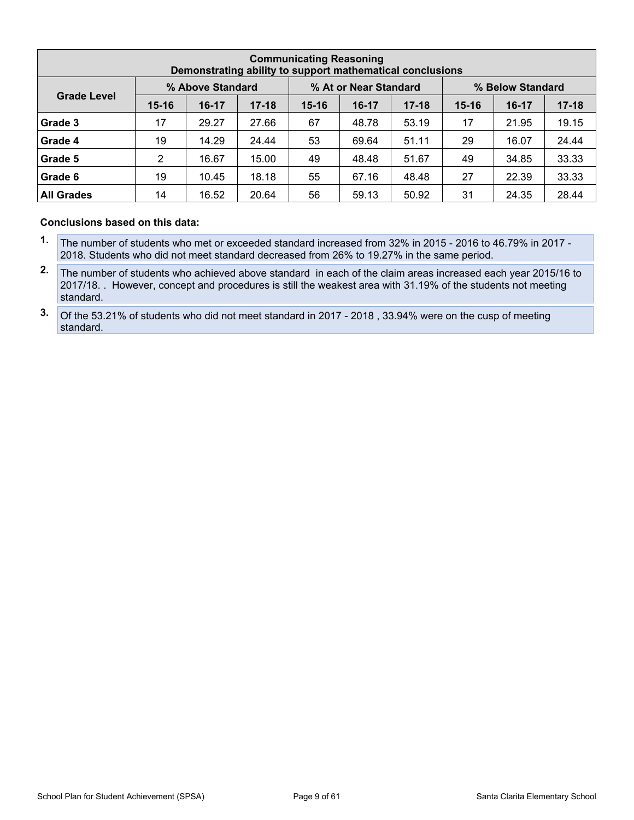| <b>Communicating Reasoning</b><br>Demonstrating ability to support mathematical conclusions |           |                  |           |           |                       |           |           |         |                  |  |  |
|---------------------------------------------------------------------------------------------|-----------|------------------|-----------|-----------|-----------------------|-----------|-----------|---------|------------------|--|--|
|                                                                                             |           | % Above Standard |           |           | % At or Near Standard |           |           |         | % Below Standard |  |  |
| <b>Grade Level</b>                                                                          | $15 - 16$ | $16-17$          | $17 - 18$ | $15 - 16$ | $16-17$               | $17 - 18$ | $15 - 16$ | $16-17$ | $17 - 18$        |  |  |
| Grade 3                                                                                     | 17        | 29.27            | 27.66     | 67        | 48.78                 | 53.19     | 17        | 21.95   | 19.15            |  |  |
| Grade 4                                                                                     | 19        | 14.29            | 24.44     | 53        | 69.64                 | 51.11     | 29        | 16.07   | 24.44            |  |  |
| Grade 5                                                                                     | 2         | 16.67            | 15.00     | 49        | 48.48                 | 51.67     | 49        | 34.85   | 33.33            |  |  |
| Grade 6                                                                                     | 19        | 10.45            | 18.18     | 55        | 67.16                 | 48.48     | 27        | 22.39   | 33.33            |  |  |
| <b>All Grades</b>                                                                           | 14        | 16.52            | 20.64     | 56        | 59.13                 | 50.92     | 31        | 24.35   | 28.44            |  |  |

#### **Conclusions based on this data:**

- **1.** The number of students who met or exceeded standard increased from 32% in 2015 2016 to 46.79% in 2017 2018. Students who did not meet standard decreased from 26% to 19.27% in the same period.
- **2.** The number of students who achieved above standard in each of the claim areas increased each year 2015/16 to 2017/18. . However, concept and procedures is still the weakest area with 31.19% of the students not meeting standard.
- **3.** Of the 53.21% of students who did not meet standard in 2017 2018 , 33.94% were on the cusp of meeting standard.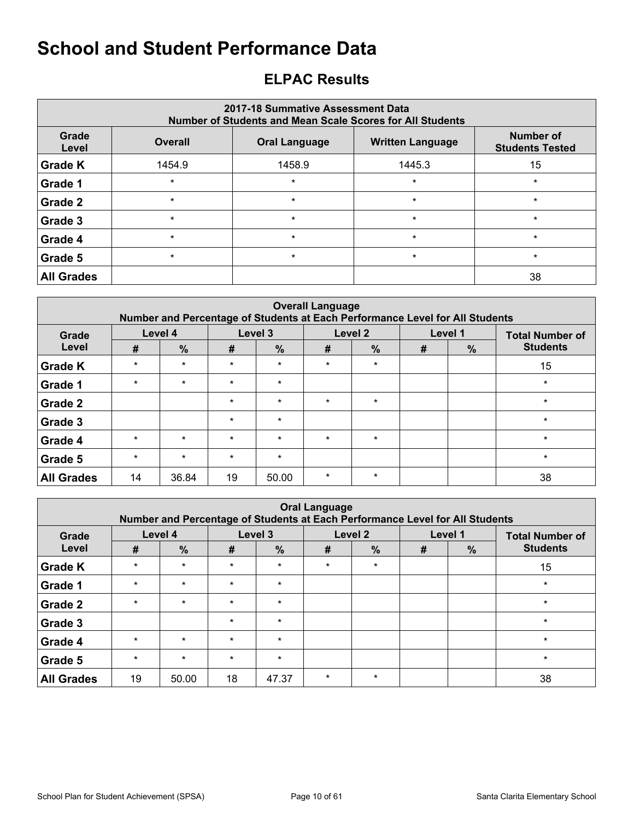## <span id="page-9-0"></span>**ELPAC Results**

| 2017-18 Summative Assessment Data<br><b>Number of Students and Mean Scale Scores for All Students</b> |                                                                   |         |         |         |  |  |  |  |  |  |  |
|-------------------------------------------------------------------------------------------------------|-------------------------------------------------------------------|---------|---------|---------|--|--|--|--|--|--|--|
| Grade<br>Level                                                                                        | <b>Overall</b><br><b>Written Language</b><br><b>Oral Language</b> |         |         |         |  |  |  |  |  |  |  |
| <b>Grade K</b>                                                                                        | 1454.9                                                            | 1458.9  | 1445.3  | 15      |  |  |  |  |  |  |  |
| Grade 1                                                                                               | $\star$                                                           | $\star$ | $\star$ | $\star$ |  |  |  |  |  |  |  |
| Grade 2                                                                                               | $\star$                                                           | $\star$ | $\star$ | $\star$ |  |  |  |  |  |  |  |
| Grade 3                                                                                               | $\star$                                                           | $\star$ | $\star$ | $\star$ |  |  |  |  |  |  |  |
| Grade 4                                                                                               | $\star$                                                           | $\star$ | $\star$ | $\star$ |  |  |  |  |  |  |  |
| Grade 5                                                                                               | $\star$                                                           | $\star$ | $\star$ | $\star$ |  |  |  |  |  |  |  |
| <b>All Grades</b>                                                                                     |                                                                   |         |         | 38      |  |  |  |  |  |  |  |

|                   | <b>Overall Language</b><br>Number and Percentage of Students at Each Performance Level for All Students |               |         |         |         |               |   |         |                        |  |  |  |  |
|-------------------|---------------------------------------------------------------------------------------------------------|---------------|---------|---------|---------|---------------|---|---------|------------------------|--|--|--|--|
| Grade             |                                                                                                         | Level 4       |         | Level 3 |         | Level 2       |   | Level 1 | <b>Total Number of</b> |  |  |  |  |
| Level             | #                                                                                                       | $\frac{9}{6}$ | #       | %       | #       | $\frac{9}{6}$ | # | $\%$    | <b>Students</b>        |  |  |  |  |
| <b>Grade K</b>    | $\star$                                                                                                 | $\star$       | $\star$ | $\star$ | $\star$ | $\star$       |   |         | 15                     |  |  |  |  |
| Grade 1           | $\star$                                                                                                 | $\star$       | $\star$ | $\ast$  |         |               |   |         | $\star$                |  |  |  |  |
| Grade 2           |                                                                                                         |               | $\star$ | $\star$ | $\star$ | $\star$       |   |         | $\star$                |  |  |  |  |
| <b>Grade 3</b>    |                                                                                                         |               | $\star$ | $\star$ |         |               |   |         | $\star$                |  |  |  |  |
| Grade 4           | $\star$                                                                                                 | $\star$       | $\star$ | $\ast$  | $\star$ | $\star$       |   |         | $\star$                |  |  |  |  |
| Grade 5           | $\star$                                                                                                 | $\star$       | $\star$ | $\star$ |         |               |   |         | $\star$                |  |  |  |  |
| <b>All Grades</b> | 14                                                                                                      | 36.84         | 19      | 50.00   | $\star$ | $\star$       |   |         | 38                     |  |  |  |  |

| <b>Oral Language</b><br>Number and Percentage of Students at Each Performance Level for All Students |         |               |         |               |         |               |         |      |                        |  |  |  |
|------------------------------------------------------------------------------------------------------|---------|---------------|---------|---------------|---------|---------------|---------|------|------------------------|--|--|--|
| Grade                                                                                                |         | Level 4       |         | Level 3       | Level 2 |               | Level 1 |      | <b>Total Number of</b> |  |  |  |
| Level                                                                                                | #       | $\frac{0}{0}$ | #       | $\frac{9}{6}$ | #       | $\frac{9}{6}$ | #       | $\%$ | <b>Students</b>        |  |  |  |
| <b>Grade K</b>                                                                                       | $\star$ | $\star$       | $\star$ | $\star$       | $\star$ | $\star$       |         |      | 15                     |  |  |  |
| Grade 1                                                                                              | $\star$ | $\star$       | $\star$ | $\star$       |         |               |         |      | $\star$                |  |  |  |
| Grade 2                                                                                              | $\star$ | $\star$       | $\star$ | $\star$       |         |               |         |      | $\star$                |  |  |  |
| Grade 3                                                                                              |         |               | $\star$ | $\star$       |         |               |         |      | $\star$                |  |  |  |
| Grade 4                                                                                              | $\star$ | $\star$       | $\star$ | $\star$       |         |               |         |      | $\star$                |  |  |  |
| Grade 5                                                                                              | $\star$ | $\star$       | $\star$ | $\star$       |         |               |         |      | $\star$                |  |  |  |
| <b>All Grades</b>                                                                                    | 19      | 50.00         | 18      | 47.37         | $\star$ | $\star$       |         |      | 38                     |  |  |  |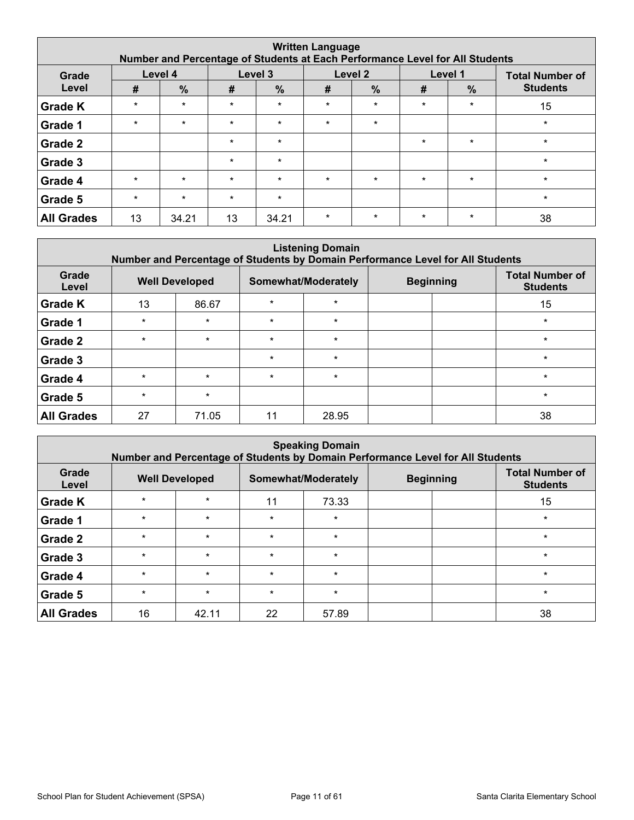| <b>Written Language</b><br>Number and Percentage of Students at Each Performance Level for All Students |         |               |         |         |         |               |         |               |                        |  |  |  |
|---------------------------------------------------------------------------------------------------------|---------|---------------|---------|---------|---------|---------------|---------|---------------|------------------------|--|--|--|
| Grade                                                                                                   |         | Level 4       |         | Level 3 |         | Level 2       |         | Level 1       | <b>Total Number of</b> |  |  |  |
| Level                                                                                                   | #       | $\frac{0}{0}$ | #       | $\%$    | #       | $\frac{9}{6}$ | #       | $\frac{9}{6}$ | <b>Students</b>        |  |  |  |
| <b>Grade K</b>                                                                                          | $\star$ | $\star$       | $\star$ | $\star$ | $\star$ | $\star$       | $\star$ | $\star$       | 15                     |  |  |  |
| Grade 1                                                                                                 | $\star$ | $\star$       | $\star$ | $\star$ | $\star$ | $\star$       |         |               | $\star$                |  |  |  |
| Grade 2                                                                                                 |         |               | $\star$ | $\star$ |         |               | $\star$ | $\star$       | $\star$                |  |  |  |
| Grade 3                                                                                                 |         |               | $\star$ | $\star$ |         |               |         |               | $\star$                |  |  |  |
| Grade 4                                                                                                 | $\star$ | $\star$       | $\star$ | $\star$ | $\star$ | $\star$       | $\star$ | $\star$       | $\star$                |  |  |  |
| Grade 5                                                                                                 | $\star$ | $\star$       | $\star$ | $\star$ |         |               |         |               | $\star$                |  |  |  |
| <b>All Grades</b>                                                                                       | 13      | 34.21         | 13      | 34.21   | $\star$ | $\star$       | $\star$ | $\star$       | 38                     |  |  |  |

| <b>Listening Domain</b><br>Number and Percentage of Students by Domain Performance Level for All Students |         |                       |         |                     |                  |  |                                           |  |  |  |  |  |
|-----------------------------------------------------------------------------------------------------------|---------|-----------------------|---------|---------------------|------------------|--|-------------------------------------------|--|--|--|--|--|
| Grade<br>Level                                                                                            |         | <b>Well Developed</b> |         | Somewhat/Moderately | <b>Beginning</b> |  | <b>Total Number of</b><br><b>Students</b> |  |  |  |  |  |
| <b>Grade K</b>                                                                                            | 13      | 86.67                 | $\star$ | $\star$             |                  |  | 15                                        |  |  |  |  |  |
| Grade 1                                                                                                   | $\star$ | $\star$               | $\star$ | $\star$             |                  |  | $\star$                                   |  |  |  |  |  |
| Grade 2                                                                                                   | $\star$ | $\star$               | $\star$ | $\star$             |                  |  | $\star$                                   |  |  |  |  |  |
| Grade 3                                                                                                   |         |                       | $\star$ | $\star$             |                  |  | $\star$                                   |  |  |  |  |  |
| Grade 4                                                                                                   | $\star$ | $\star$               | $\star$ | $\star$             |                  |  | $\star$                                   |  |  |  |  |  |
| Grade 5                                                                                                   | $\star$ | $\star$               |         |                     |                  |  | $\star$                                   |  |  |  |  |  |
| <b>All Grades</b>                                                                                         | 27      | 71.05                 | 11      | 28.95               |                  |  | 38                                        |  |  |  |  |  |

| <b>Speaking Domain</b><br>Number and Percentage of Students by Domain Performance Level for All Students |         |                       |         |                     |                  |  |                                           |  |  |  |  |  |
|----------------------------------------------------------------------------------------------------------|---------|-----------------------|---------|---------------------|------------------|--|-------------------------------------------|--|--|--|--|--|
| Grade<br>Level                                                                                           |         | <b>Well Developed</b> |         | Somewhat/Moderately | <b>Beginning</b> |  | <b>Total Number of</b><br><b>Students</b> |  |  |  |  |  |
| <b>Grade K</b>                                                                                           | $\star$ | $\star$               | 11      | 73.33               |                  |  | 15                                        |  |  |  |  |  |
| Grade 1                                                                                                  | $\star$ | $\star$               | $\star$ | $\star$             |                  |  | $\star$                                   |  |  |  |  |  |
| Grade 2                                                                                                  | $\star$ | $\star$               | $\star$ | $\star$             |                  |  | $\star$                                   |  |  |  |  |  |
| Grade 3                                                                                                  | $\star$ | $\star$               | $\star$ | $\star$             |                  |  | $\star$                                   |  |  |  |  |  |
| Grade 4                                                                                                  | $\star$ | $\star$               | $\star$ | $\star$             |                  |  | $\star$                                   |  |  |  |  |  |
| Grade 5                                                                                                  | $\star$ | $\star$               | $\star$ | $\star$             |                  |  | $\star$                                   |  |  |  |  |  |
| <b>All Grades</b>                                                                                        | 16      | 42.11                 | 22      | 57.89               |                  |  | 38                                        |  |  |  |  |  |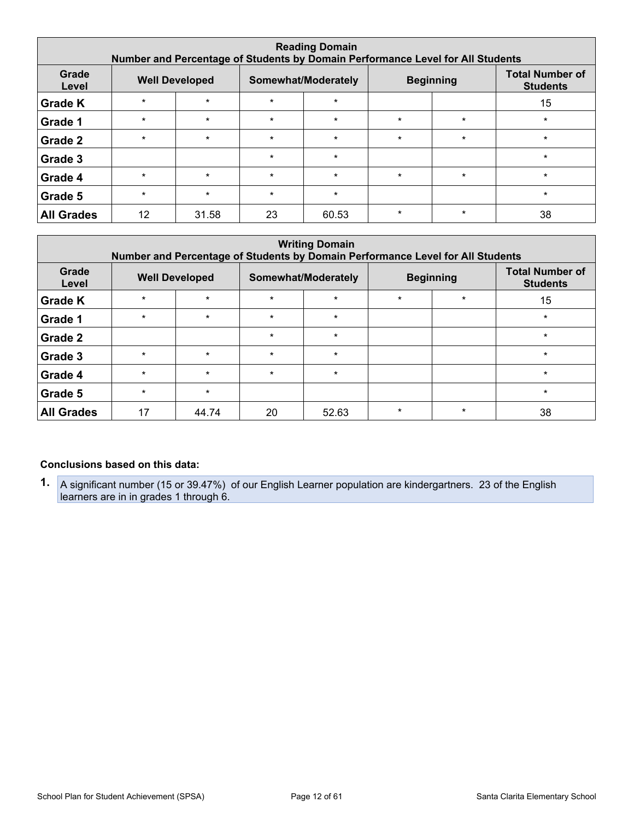| <b>Reading Domain</b><br>Number and Percentage of Students by Domain Performance Level for All Students |         |                       |         |                     |         |                  |                                           |  |  |  |  |
|---------------------------------------------------------------------------------------------------------|---------|-----------------------|---------|---------------------|---------|------------------|-------------------------------------------|--|--|--|--|
| Grade<br>Level                                                                                          |         | <b>Well Developed</b> |         | Somewhat/Moderately |         | <b>Beginning</b> | <b>Total Number of</b><br><b>Students</b> |  |  |  |  |
| <b>Grade K</b>                                                                                          | $\star$ | $\star$               | $\star$ | $\star$             |         |                  | 15                                        |  |  |  |  |
| Grade 1                                                                                                 | $\star$ | $\star$               | $\star$ | $\star$             | $\star$ | $\star$          | $\star$                                   |  |  |  |  |
| Grade 2                                                                                                 | $\star$ | $\star$               | $\star$ | $\star$             | $\star$ | $\star$          | $\star$                                   |  |  |  |  |
| Grade 3                                                                                                 |         |                       | $\star$ | $\star$             |         |                  | $\star$                                   |  |  |  |  |
| Grade 4                                                                                                 | $\star$ | $\star$               | $\star$ | $\star$             | $\star$ | $\star$          | $\star$                                   |  |  |  |  |
| Grade 5                                                                                                 | $\star$ | $\star$               | $\star$ | $\star$             |         |                  | $\star$                                   |  |  |  |  |
| <b>All Grades</b>                                                                                       | 12      | 31.58                 | 23      | 60.53               | $\star$ | $\star$          | 38                                        |  |  |  |  |

| <b>Writing Domain</b><br>Number and Percentage of Students by Domain Performance Level for All Students |         |                       |         |                     |         |                  |                                           |  |  |  |  |
|---------------------------------------------------------------------------------------------------------|---------|-----------------------|---------|---------------------|---------|------------------|-------------------------------------------|--|--|--|--|
| Grade<br>Level                                                                                          |         | <b>Well Developed</b> |         | Somewhat/Moderately |         | <b>Beginning</b> | <b>Total Number of</b><br><b>Students</b> |  |  |  |  |
| <b>Grade K</b>                                                                                          | $\star$ | $\star$               | $\star$ | $\star$             | $\star$ | $\star$          | 15                                        |  |  |  |  |
| Grade 1                                                                                                 | $\star$ | $\star$               | $\star$ | $\star$             |         |                  | $\star$                                   |  |  |  |  |
| Grade 2                                                                                                 |         |                       | $\star$ | $\star$             |         |                  | $\star$                                   |  |  |  |  |
| Grade 3                                                                                                 | $\star$ | $\star$               | $\star$ | $\star$             |         |                  | $\star$                                   |  |  |  |  |
| Grade 4                                                                                                 | $\star$ | $\star$               | $\star$ | $\star$             |         |                  | $\star$                                   |  |  |  |  |
| Grade 5                                                                                                 | $\star$ | $\star$               |         |                     |         |                  | $\star$                                   |  |  |  |  |
| <b>All Grades</b>                                                                                       | 17      | 44.74                 | 20      | 52.63               | $\star$ | $\star$          | 38                                        |  |  |  |  |

#### **Conclusions based on this data:**

**1.** A significant number (15 or 39.47%) of our English Learner population are kindergartners. 23 of the English learners are in in grades 1 through 6.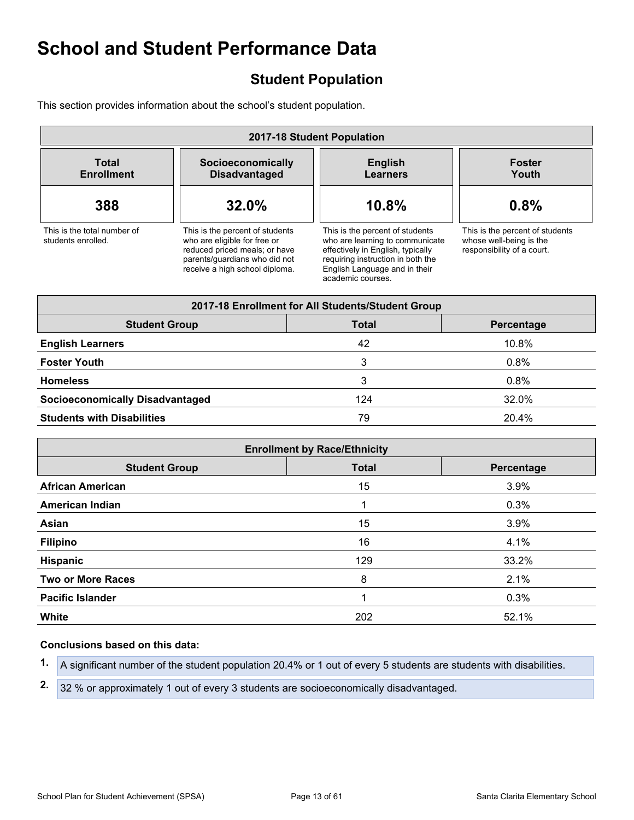## <span id="page-12-0"></span>**Student Population**

This section provides information about the school's student population.

| 2017-18 Student Population                        |                                                                                                                                                                     |                                                                                                                                                                                                    |                                                                                          |  |
|---------------------------------------------------|---------------------------------------------------------------------------------------------------------------------------------------------------------------------|----------------------------------------------------------------------------------------------------------------------------------------------------------------------------------------------------|------------------------------------------------------------------------------------------|--|
| <b>Total</b><br><b>Enrollment</b>                 | Socioeconomically<br><b>Disadvantaged</b>                                                                                                                           | <b>English</b><br><b>Learners</b>                                                                                                                                                                  | <b>Foster</b><br>Youth                                                                   |  |
| 388                                               | 32.0%                                                                                                                                                               | 10.8%                                                                                                                                                                                              | 0.8%                                                                                     |  |
| This is the total number of<br>students enrolled. | This is the percent of students<br>who are eligible for free or<br>reduced priced meals; or have<br>parents/quardians who did not<br>receive a high school diploma. | This is the percent of students<br>who are learning to communicate<br>effectively in English, typically<br>requiring instruction in both the<br>English Language and in their<br>academic courses. | This is the percent of students<br>whose well-being is the<br>responsibility of a court. |  |

| 2017-18 Enrollment for All Students/Student Group  |     |       |  |  |  |
|----------------------------------------------------|-----|-------|--|--|--|
| <b>Student Group</b><br><b>Total</b><br>Percentage |     |       |  |  |  |
| <b>English Learners</b>                            | 42  | 10.8% |  |  |  |
| <b>Foster Youth</b>                                | 3   | 0.8%  |  |  |  |
| <b>Homeless</b>                                    | 3   | 0.8%  |  |  |  |
| <b>Socioeconomically Disadvantaged</b>             | 124 | 32.0% |  |  |  |
| <b>Students with Disabilities</b>                  | 79  | 20.4% |  |  |  |

| <b>Enrollment by Race/Ethnicity</b> |              |            |  |  |
|-------------------------------------|--------------|------------|--|--|
| <b>Student Group</b>                | <b>Total</b> | Percentage |  |  |
| <b>African American</b>             | 15           | 3.9%       |  |  |
| <b>American Indian</b>              | 1            | 0.3%       |  |  |
| Asian                               | 15           | 3.9%       |  |  |
| <b>Filipino</b>                     | 16           | 4.1%       |  |  |
| Hispanic                            | 129          | 33.2%      |  |  |
| <b>Two or More Races</b>            | 8            | 2.1%       |  |  |
| <b>Pacific Islander</b>             | 1            | 0.3%       |  |  |
| White                               | 202          | 52.1%      |  |  |

#### **Conclusions based on this data:**

**1.** A significant number of the student population 20.4% or 1 out of every 5 students are students with disabilities.

**2.** 32 % or approximately 1 out of every 3 students are socioeconomically disadvantaged.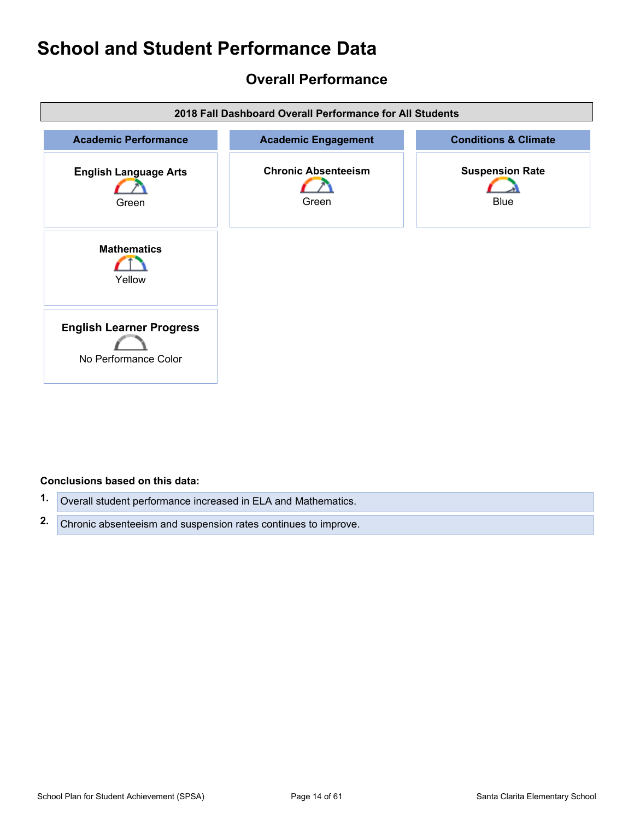## <span id="page-13-0"></span>**Overall Performance**



#### **Conclusions based on this data:**

- **1.** Overall student performance increased in ELA and Mathematics.
- **2.** Chronic absenteeism and suspension rates continues to improve.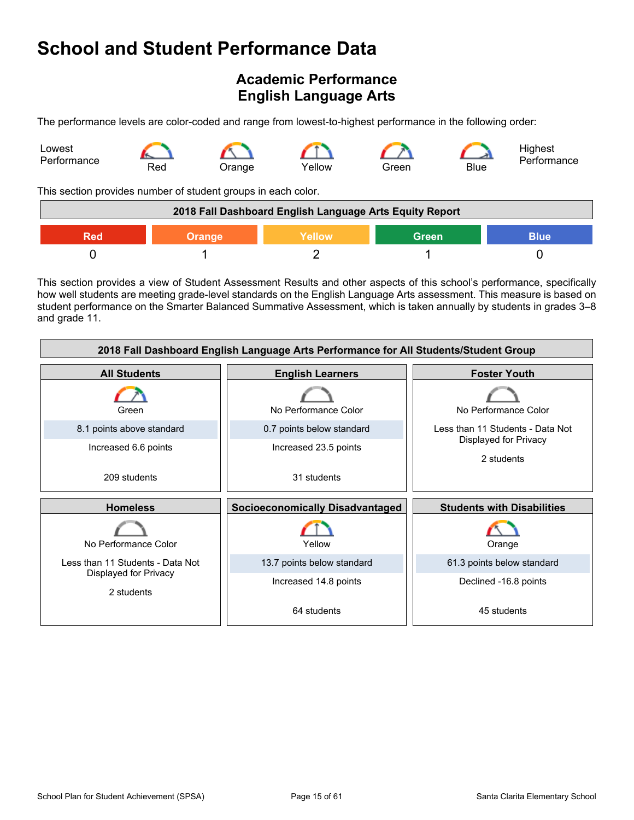## <span id="page-14-0"></span>**Academic Performance English Language Arts**

The performance levels are color-coded and range from lowest-to-highest performance in the following order:



This section provides number of student groups in each color.

| 2018 Fall Dashboard English Language Arts Equity Report       |  |  |  |  |
|---------------------------------------------------------------|--|--|--|--|
| <b>Blue</b><br>Yellow<br><b>Green</b><br><b>Orange</b><br>Red |  |  |  |  |
|                                                               |  |  |  |  |

This section provides a view of Student Assessment Results and other aspects of this school's performance, specifically how well students are meeting grade-level standards on the English Language Arts assessment. This measure is based on student performance on the Smarter Balanced Summative Assessment, which is taken annually by students in grades 3–8 and grade 11.

| 2018 Fall Dashboard English Language Arts Performance for All Students/Student Group |                                        |                                     |  |  |  |
|--------------------------------------------------------------------------------------|----------------------------------------|-------------------------------------|--|--|--|
| <b>All Students</b>                                                                  | <b>Foster Youth</b>                    |                                     |  |  |  |
| Green                                                                                | No Performance Color                   | No Performance Color                |  |  |  |
| 8.1 points above standard                                                            | 0.7 points below standard              | Less than 11 Students - Data Not    |  |  |  |
| Increased 6.6 points                                                                 | Increased 23.5 points                  | Displayed for Privacy<br>2 students |  |  |  |
| 209 students                                                                         | 31 students                            |                                     |  |  |  |
|                                                                                      |                                        |                                     |  |  |  |
| <b>Homeless</b>                                                                      | <b>Socioeconomically Disadvantaged</b> | <b>Students with Disabilities</b>   |  |  |  |
| No Performance Color                                                                 | Yellow                                 | Orange                              |  |  |  |
| Less than 11 Students - Data Not                                                     | 13.7 points below standard             | 61.3 points below standard          |  |  |  |
| Displayed for Privacy<br>2 students                                                  | Increased 14.8 points                  | Declined -16.8 points               |  |  |  |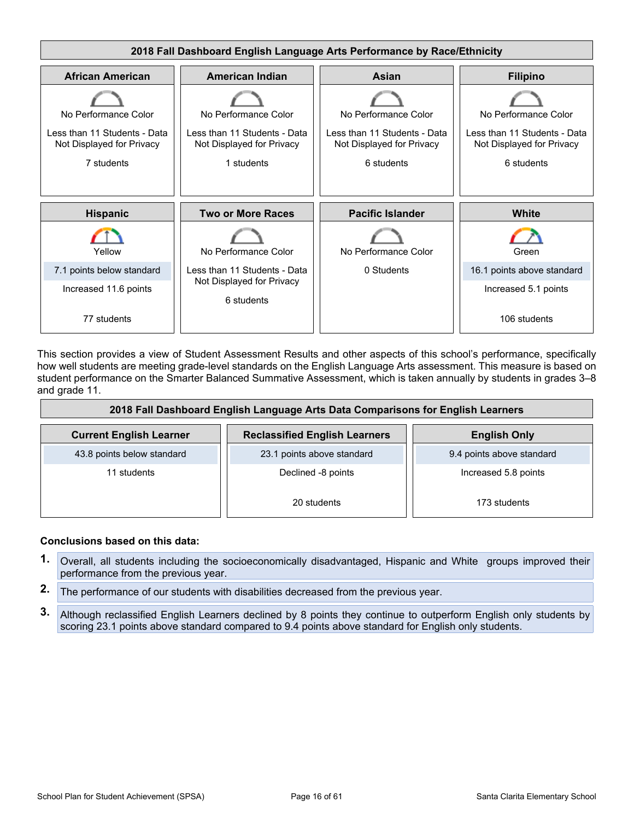

This section provides a view of Student Assessment Results and other aspects of this school's performance, specifically how well students are meeting grade-level standards on the English Language Arts assessment. This measure is based on student performance on the Smarter Balanced Summative Assessment, which is taken annually by students in grades 3–8 and grade 11.

| 2018 Fall Dashboard English Language Arts Data Comparisons for English Learners |                                      |                           |  |  |  |
|---------------------------------------------------------------------------------|--------------------------------------|---------------------------|--|--|--|
| <b>Current English Learner</b>                                                  | <b>Reclassified English Learners</b> | <b>English Only</b>       |  |  |  |
| 43.8 points below standard                                                      | 23.1 points above standard           | 9.4 points above standard |  |  |  |
| 11 students                                                                     | Declined -8 points                   | Increased 5.8 points      |  |  |  |
|                                                                                 | 20 students                          | 173 students              |  |  |  |

#### **Conclusions based on this data:**

- **1.** Overall, all students including the socioeconomically disadvantaged, Hispanic and White groups improved their performance from the previous year.
- **2.** The performance of our students with disabilities decreased from the previous year.
- **3.** Although reclassified English Learners declined by 8 points they continue to outperform English only students by scoring 23.1 points above standard compared to 9.4 points above standard for English only students.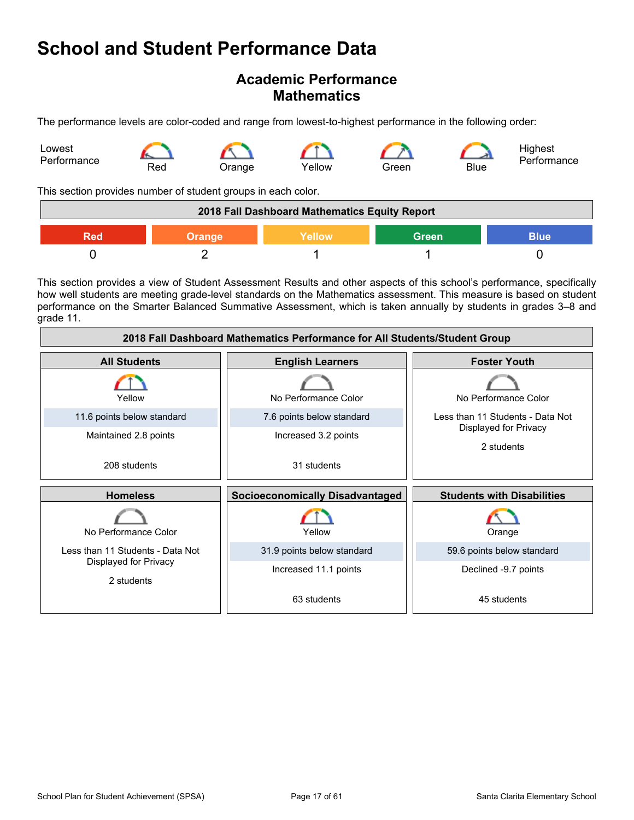### **Academic Performance Mathematics**

The performance levels are color-coded and range from lowest-to-highest performance in the following order:



This section provides number of student groups in each color.

| 2018 Fall Dashboard Mathematics Equity Report |               |        |              |             |
|-----------------------------------------------|---------------|--------|--------------|-------------|
| Red                                           | <b>Orange</b> | Yellow | <b>Green</b> | <b>Blue</b> |
|                                               |               |        |              |             |

This section provides a view of Student Assessment Results and other aspects of this school's performance, specifically how well students are meeting grade-level standards on the Mathematics assessment. This measure is based on student performance on the Smarter Balanced Summative Assessment, which is taken annually by students in grades 3–8 and grade 11.

| 2018 Fall Dashboard Mathematics Performance for All Students/Student Group |                                        |                                     |  |  |  |
|----------------------------------------------------------------------------|----------------------------------------|-------------------------------------|--|--|--|
| <b>All Students</b>                                                        | <b>Foster Youth</b>                    |                                     |  |  |  |
| Yellow                                                                     | No Performance Color                   | No Performance Color                |  |  |  |
| 11.6 points below standard                                                 | 7.6 points below standard              | Less than 11 Students - Data Not    |  |  |  |
| Maintained 2.8 points                                                      | Increased 3.2 points                   | Displayed for Privacy<br>2 students |  |  |  |
| 208 students                                                               | 31 students                            |                                     |  |  |  |
| <b>Homeless</b>                                                            | <b>Socioeconomically Disadvantaged</b> | <b>Students with Disabilities</b>   |  |  |  |
| No Performance Color                                                       | Yellow                                 | Orange                              |  |  |  |
| Less than 11 Students - Data Not                                           | 31.9 points below standard             | 59.6 points below standard          |  |  |  |
| Displayed for Privacy<br>2 students                                        | Increased 11.1 points                  | Declined -9.7 points                |  |  |  |
|                                                                            | 63 students                            | 45 students                         |  |  |  |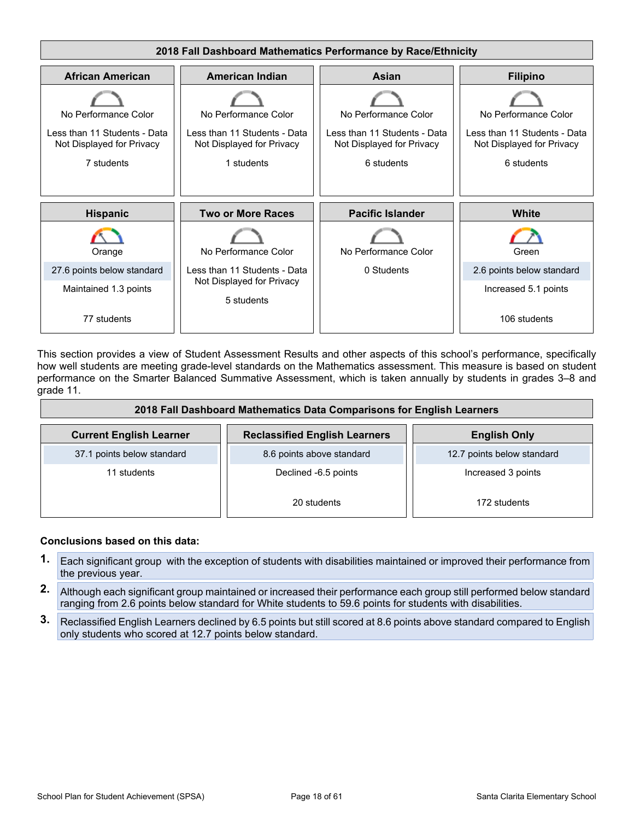

This section provides a view of Student Assessment Results and other aspects of this school's performance, specifically how well students are meeting grade-level standards on the Mathematics assessment. This measure is based on student performance on the Smarter Balanced Summative Assessment, which is taken annually by students in grades 3–8 and grade 11.

| 2018 Fall Dashboard Mathematics Data Comparisons for English Learners |                                      |                            |  |  |  |
|-----------------------------------------------------------------------|--------------------------------------|----------------------------|--|--|--|
| <b>Current English Learner</b>                                        | <b>Reclassified English Learners</b> | <b>English Only</b>        |  |  |  |
| 37.1 points below standard                                            | 8.6 points above standard            | 12.7 points below standard |  |  |  |
| 11 students                                                           | Declined -6.5 points                 |                            |  |  |  |
|                                                                       | 20 students                          | 172 students               |  |  |  |

#### **Conclusions based on this data:**

- **1.** Each significant group with the exception of students with disabilities maintained or improved their performance from the previous year.
- **2.** Although each significant group maintained or increased their performance each group still performed below standard ranging from 2.6 points below standard for White students to 59.6 points for students with disabilities.
- **3.** Reclassified English Learners declined by 6.5 points but still scored at 8.6 points above standard compared to English only students who scored at 12.7 points below standard.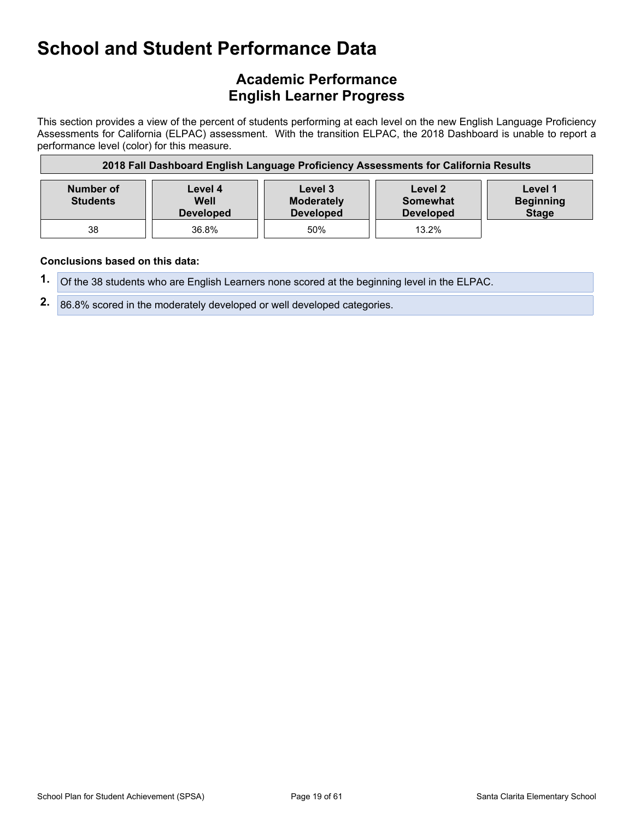## **Academic Performance English Learner Progress**

This section provides a view of the percent of students performing at each level on the new English Language Proficiency Assessments for California (ELPAC) assessment. With the transition ELPAC, the 2018 Dashboard is unable to report a performance level (color) for this measure.

| 2018 Fall Dashboard English Language Proficiency Assessments for California Results |                                     |                                                  |                                         |                                             |
|-------------------------------------------------------------------------------------|-------------------------------------|--------------------------------------------------|-----------------------------------------|---------------------------------------------|
| Number of<br><b>Students</b>                                                        | Level 4<br>Well<br><b>Developed</b> | Level 3<br><b>Moderately</b><br><b>Developed</b> | Level 2<br>Somewhat<br><b>Developed</b> | Level 1<br><b>Beginning</b><br><b>Stage</b> |
| 38                                                                                  | 36.8%                               | 50%                                              | $13.2\%$                                |                                             |

#### **Conclusions based on this data:**

**1.** Of the 38 students who are English Learners none scored at the beginning level in the ELPAC.

**2.** 86.8% scored in the moderately developed or well developed categories.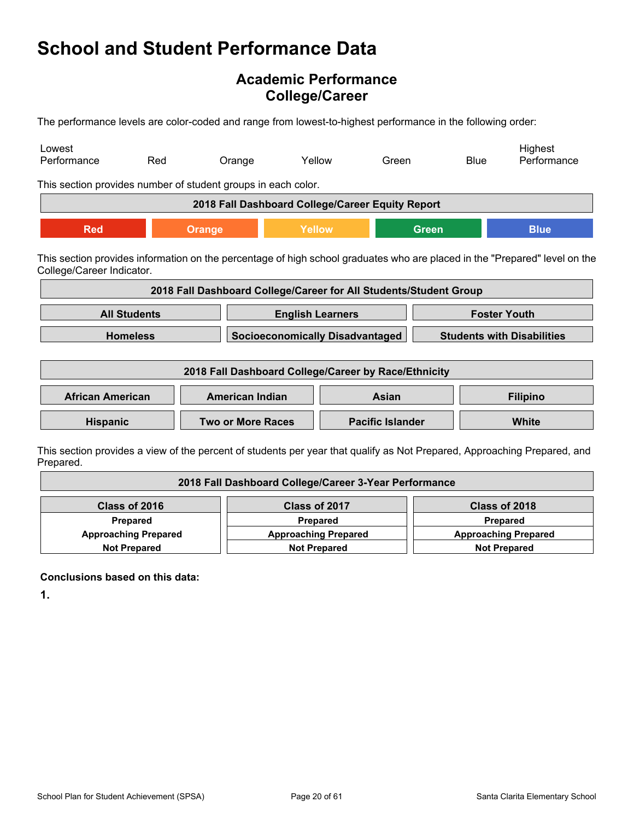## **Academic Performance College/Career**

The performance levels are color-coded and range from lowest-to-highest performance in the following order:

| Lowest<br>Performance                                                                                                                                   | Red                 | Orange                                                            | Yellow                          | Green                                  |              | <b>Blue</b> | Highest<br>Performance                                                                                                   |
|---------------------------------------------------------------------------------------------------------------------------------------------------------|---------------------|-------------------------------------------------------------------|---------------------------------|----------------------------------------|--------------|-------------|--------------------------------------------------------------------------------------------------------------------------|
| This section provides number of student groups in each color.                                                                                           |                     |                                                                   |                                 |                                        |              |             |                                                                                                                          |
|                                                                                                                                                         |                     | 2018 Fall Dashboard College/Career Equity Report                  |                                 |                                        |              |             |                                                                                                                          |
| <b>Red</b>                                                                                                                                              |                     | <b>Orange</b>                                                     | Yellow                          |                                        | <b>Green</b> |             | <b>Blue</b>                                                                                                              |
| This section provides information on the percentage of high school graduates who are placed in the "Prepared" level on the<br>College/Career Indicator. |                     |                                                                   |                                 |                                        |              |             |                                                                                                                          |
|                                                                                                                                                         |                     | 2018 Fall Dashboard College/Career for All Students/Student Group |                                 |                                        |              |             |                                                                                                                          |
|                                                                                                                                                         | <b>All Students</b> |                                                                   | <b>English Learners</b>         |                                        |              |             | <b>Foster Youth</b>                                                                                                      |
|                                                                                                                                                         | <b>Homeless</b>     |                                                                   |                                 | <b>Socioeconomically Disadvantaged</b> |              |             | <b>Students with Disabilities</b>                                                                                        |
| 2018 Fall Dashboard College/Career by Race/Ethnicity                                                                                                    |                     |                                                                   |                                 |                                        |              |             |                                                                                                                          |
| <b>African American</b>                                                                                                                                 |                     |                                                                   | <b>American Indian</b><br>Asian |                                        |              |             | <b>Filipino</b>                                                                                                          |
| <b>Hispanic</b>                                                                                                                                         |                     | <b>Two or More Races</b>                                          | <b>Pacific Islander</b>         |                                        |              |             | <b>White</b>                                                                                                             |
|                                                                                                                                                         |                     |                                                                   |                                 |                                        |              |             | This section provides a view of the percent of students per vear that qualify as Not Prepared. Approaching Prepared, and |

ection provides a view of the percent of students per year that qualify as Not Prepared, Approaching Prepared, and Prepared.

| 2018 Fall Dashboard College/Career 3-Year Performance |                             |                             |  |  |
|-------------------------------------------------------|-----------------------------|-----------------------------|--|--|
| Class of 2016                                         | Class of 2017               | Class of 2018               |  |  |
| <b>Prepared</b>                                       | Prepared                    | <b>Prepared</b>             |  |  |
| <b>Approaching Prepared</b>                           | <b>Approaching Prepared</b> | <b>Approaching Prepared</b> |  |  |
| <b>Not Prepared</b>                                   | <b>Not Prepared</b>         | <b>Not Prepared</b>         |  |  |

**Conclusions based on this data:**

**1.**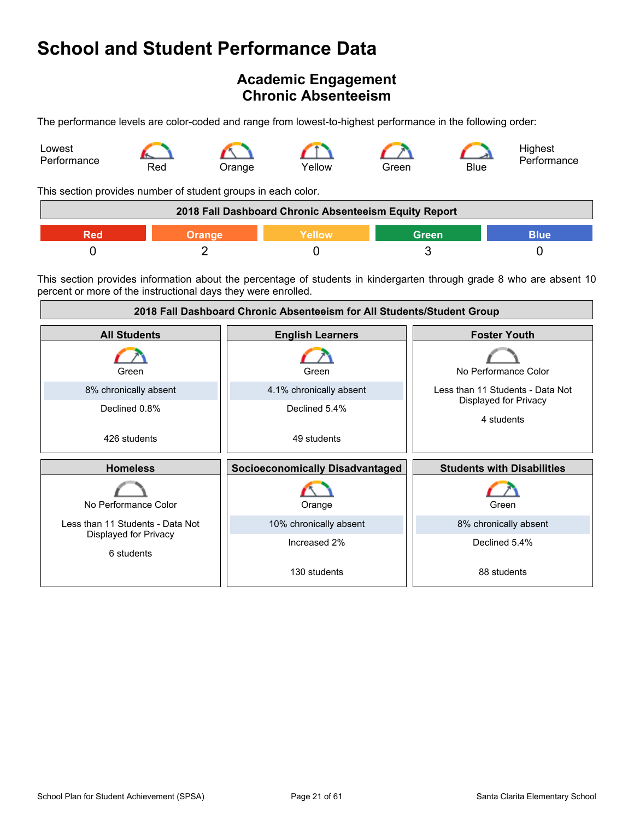## <span id="page-20-0"></span>**Academic Engagement Chronic Absenteeism**

The performance levels are color-coded and range from lowest-to-highest performance in the following order:



This section provides number of student groups in each color.

| 2018 Fall Dashboard Chronic Absenteeism Equity Report |        |                 |       |      |
|-------------------------------------------------------|--------|-----------------|-------|------|
|                                                       | Orange | <b>Yellow</b> ' | Green | Blue |
|                                                       |        |                 |       |      |

This section provides information about the percentage of students in kindergarten through grade 8 who are absent 10 percent or more of the instructional days they were enrolled.

| 2018 Fall Dashboard Chronic Absenteeism for All Students/Student Group |                                        |                                     |  |
|------------------------------------------------------------------------|----------------------------------------|-------------------------------------|--|
| <b>All Students</b>                                                    | <b>English Learners</b>                | <b>Foster Youth</b>                 |  |
| Green                                                                  | Green                                  | No Performance Color                |  |
| 8% chronically absent                                                  | 4.1% chronically absent                | Less than 11 Students - Data Not    |  |
| Declined 0.8%                                                          | Declined 5.4%                          | Displayed for Privacy<br>4 students |  |
| 426 students                                                           | 49 students                            |                                     |  |
| <b>Homeless</b>                                                        | <b>Socioeconomically Disadvantaged</b> | <b>Students with Disabilities</b>   |  |
| No Performance Color                                                   | Orange                                 | Green                               |  |
| Less than 11 Students - Data Not                                       | 10% chronically absent                 | 8% chronically absent               |  |
| Displayed for Privacy<br>6 students                                    | Increased 2%                           | Declined 5.4%                       |  |
|                                                                        | 130 students                           | 88 students                         |  |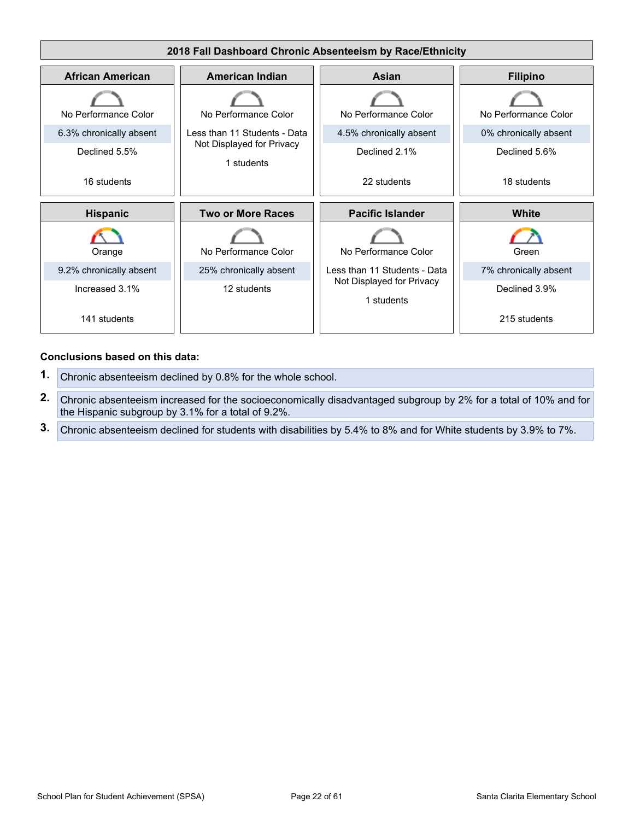

#### **Conclusions based on this data:**

- **1.** Chronic absenteeism declined by 0.8% for the whole school.
- **2.** Chronic absenteeism increased for the socioeconomically disadvantaged subgroup by 2% for a total of 10% and for the Hispanic subgroup by 3.1% for a total of 9.2%.
- **3.** Chronic absenteeism declined for students with disabilities by 5.4% to 8% and for White students by 3.9% to 7%.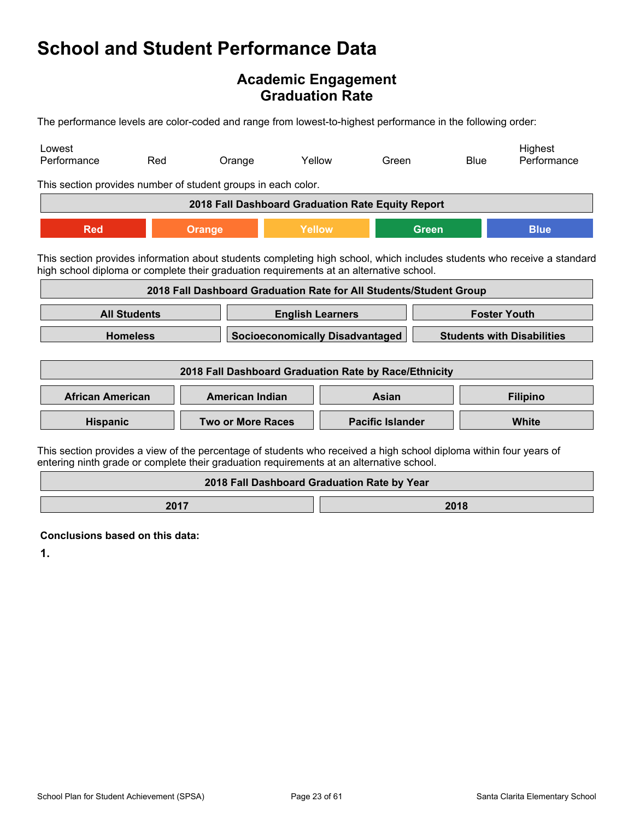### **Academic Engagement Graduation Rate**

The performance levels are color-coded and range from lowest-to-highest performance in the following order:

| Lowest<br>Performance                                         | Red                                                                                                                                                                                                                | Orange                                                             |                                             | Yellow | Green                   |              | <b>Blue</b> | Highest<br>Performance |
|---------------------------------------------------------------|--------------------------------------------------------------------------------------------------------------------------------------------------------------------------------------------------------------------|--------------------------------------------------------------------|---------------------------------------------|--------|-------------------------|--------------|-------------|------------------------|
| This section provides number of student groups in each color. |                                                                                                                                                                                                                    |                                                                    |                                             |        |                         |              |             |                        |
|                                                               |                                                                                                                                                                                                                    | 2018 Fall Dashboard Graduation Rate Equity Report                  |                                             |        |                         |              |             |                        |
| <b>Red</b>                                                    |                                                                                                                                                                                                                    | <b>Orange</b>                                                      | Yellow                                      |        |                         | <b>Green</b> |             | <b>Blue</b>            |
|                                                               | This section provides information about students completing high school, which includes students who receive a standard<br>high school diploma or complete their graduation requirements at an alternative school. |                                                                    |                                             |        |                         |              |             |                        |
|                                                               |                                                                                                                                                                                                                    | 2018 Fall Dashboard Graduation Rate for All Students/Student Group |                                             |        |                         |              |             |                        |
|                                                               | <b>All Students</b><br><b>Foster Youth</b><br><b>English Learners</b>                                                                                                                                              |                                                                    |                                             |        |                         |              |             |                        |
|                                                               | <b>Homeless</b><br><b>Socioeconomically Disadvantaged</b><br><b>Students with Disabilities</b>                                                                                                                     |                                                                    |                                             |        |                         |              |             |                        |
| 2018 Fall Dashboard Graduation Rate by Race/Ethnicity         |                                                                                                                                                                                                                    |                                                                    |                                             |        |                         |              |             |                        |
| <b>African American</b>                                       |                                                                                                                                                                                                                    | <b>American Indian</b>                                             |                                             |        | Asian                   |              |             | <b>Filipino</b>        |
| Hispanic                                                      |                                                                                                                                                                                                                    | <b>Two or More Races</b>                                           |                                             |        | <b>Pacific Islander</b> |              |             | White                  |
|                                                               | This section provides a view of the percentage of students who received a high school diploma within four years of<br>entering ninth grade or complete their graduation requirements at an alternative school.     |                                                                    |                                             |        |                         |              |             |                        |
|                                                               |                                                                                                                                                                                                                    |                                                                    | 2018 Fall Dashboard Graduation Rate by Year |        |                         |              |             |                        |

**2017 2018** 

**Conclusions based on this data:**

**1.**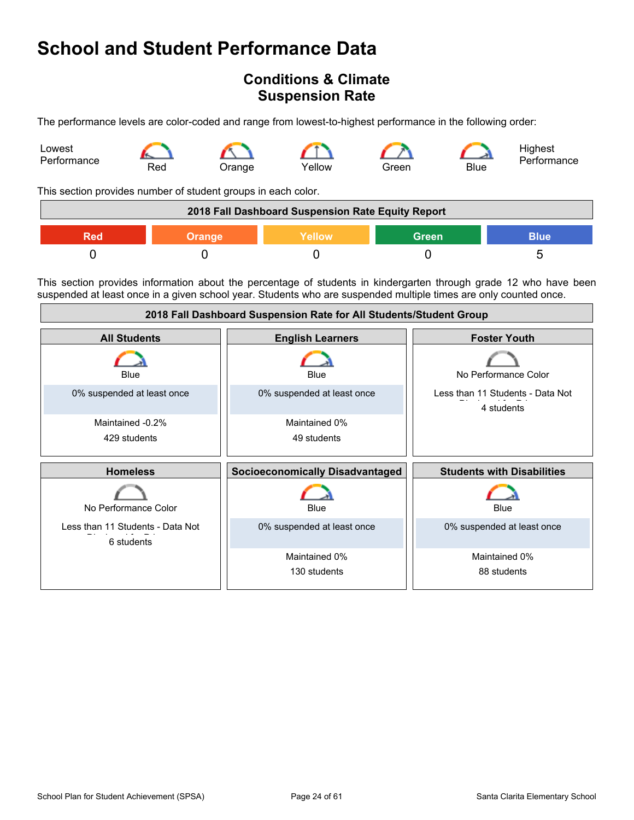## <span id="page-23-0"></span>**Conditions & Climate Suspension Rate**

The performance levels are color-coded and range from lowest-to-highest performance in the following order:



This section provides number of student groups in each color.

| 2018 Fall Dashboard Suspension Rate Equity Report             |  |  |  |  |
|---------------------------------------------------------------|--|--|--|--|
| <b>Green</b><br><b>Blue</b><br>Yellow<br>Red<br><b>Orange</b> |  |  |  |  |
|                                                               |  |  |  |  |

This section provides information about the percentage of students in kindergarten through grade 12 who have been suspended at least once in a given school year. Students who are suspended multiple times are only counted once.

| 2018 Fall Dashboard Suspension Rate for All Students/Student Group |                                        |                                                |  |
|--------------------------------------------------------------------|----------------------------------------|------------------------------------------------|--|
| <b>All Students</b>                                                | <b>English Learners</b>                | <b>Foster Youth</b>                            |  |
| Blue                                                               | Blue                                   | No Performance Color                           |  |
| 0% suspended at least once                                         | 0% suspended at least once             | Less than 11 Students - Data Not<br>4 students |  |
| Maintained -0.2%                                                   | Maintained 0%                          |                                                |  |
| 429 students                                                       | 49 students                            |                                                |  |
|                                                                    |                                        |                                                |  |
| <b>Homeless</b>                                                    | <b>Socioeconomically Disadvantaged</b> | <b>Students with Disabilities</b>              |  |
| No Performance Color                                               | Blue                                   | Blue                                           |  |
| Less than 11 Students - Data Not<br>6 students                     | 0% suspended at least once             | 0% suspended at least once                     |  |
|                                                                    | Maintained 0%                          | Maintained 0%                                  |  |
|                                                                    | 130 students                           | 88 students                                    |  |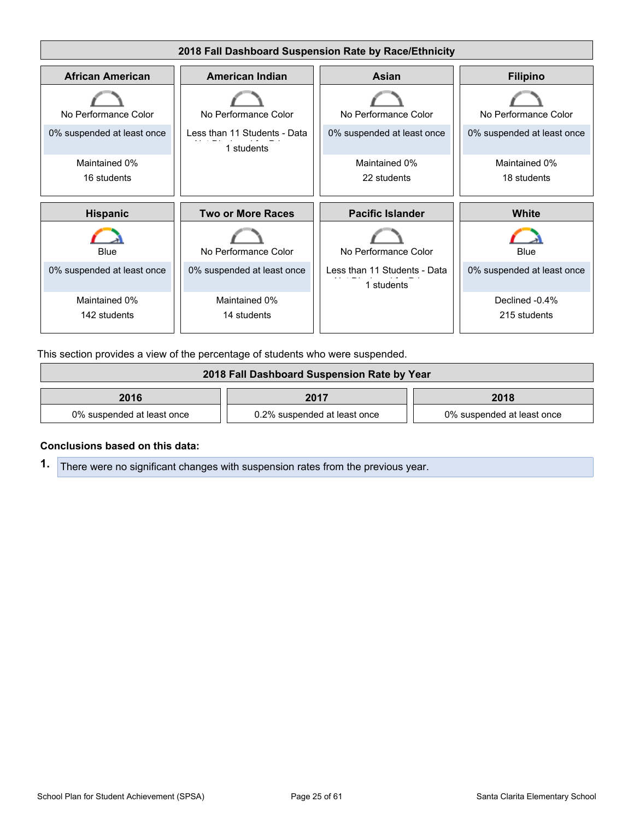

This section provides a view of the percentage of students who were suspended.

| 2018 Fall Dashboard Suspension Rate by Year |                              |                            |  |
|---------------------------------------------|------------------------------|----------------------------|--|
| 2016<br>2018<br>2017                        |                              |                            |  |
| 0% suspended at least once                  | 0.2% suspended at least once | 0% suspended at least once |  |

#### **Conclusions based on this data:**

**1.** There were no significant changes with suspension rates from the previous year.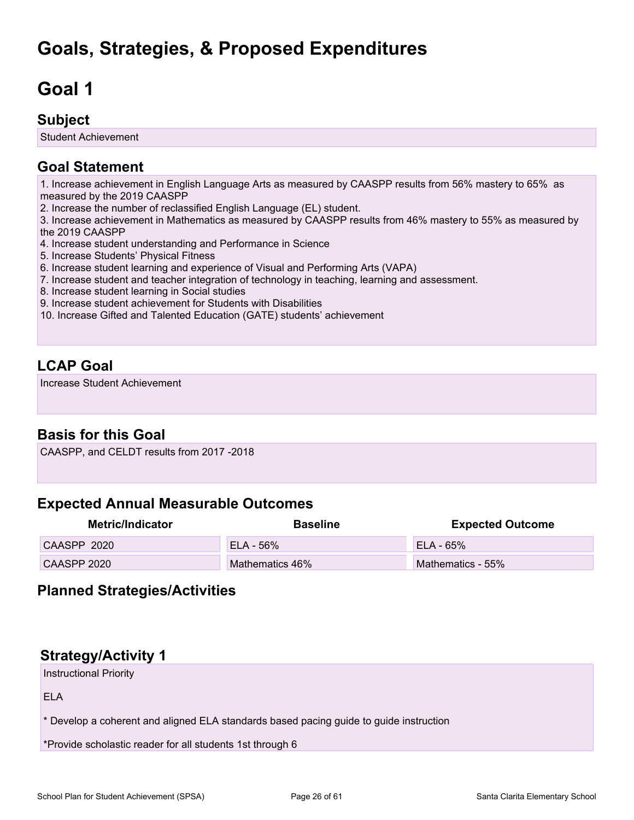## <span id="page-25-0"></span>**Goals, Strategies, & Proposed Expenditures**

## <span id="page-25-1"></span>**Goal 1**

## **Subject**

Student Achievement

## **Goal Statement**

1. Increase achievement in English Language Arts as measured by CAASPP results from 56% mastery to 65% as measured by the 2019 CAASPP

2. Increase the number of reclassified English Language (EL) student.

3. Increase achievement in Mathematics as measured by CAASPP results from 46% mastery to 55% as measured by the 2019 CAASPP

- 4. Increase student understanding and Performance in Science
- 5. Increase Students' Physical Fitness
- 6. Increase student learning and experience of Visual and Performing Arts (VAPA)
- 7. Increase student and teacher integration of technology in teaching, learning and assessment.
- 8. Increase student learning in Social studies
- 9. Increase student achievement for Students with Disabilities
- 10. Increase Gifted and Talented Education (GATE) students' achievement

## **LCAP Goal**

Increase Student Achievement

## **Basis for this Goal**

CAASPP, and CELDT results from 2017 -2018

## **Expected Annual Measurable Outcomes**

| Metric/Indicator | <b>Baseline</b> | <b>Expected Outcome</b> |
|------------------|-----------------|-------------------------|
| CAASPP 2020      | $ELA - 56%$     | $FLA - 65%$             |
| CAASPP 2020      | Mathematics 46% | Mathematics - 55%       |

### **Planned Strategies/Activities**

## **Strategy/Activity 1**

Instructional Priority

ELA

\* Develop a coherent and aligned ELA standards based pacing guide to guide instruction

\*Provide scholastic reader for all students 1st through 6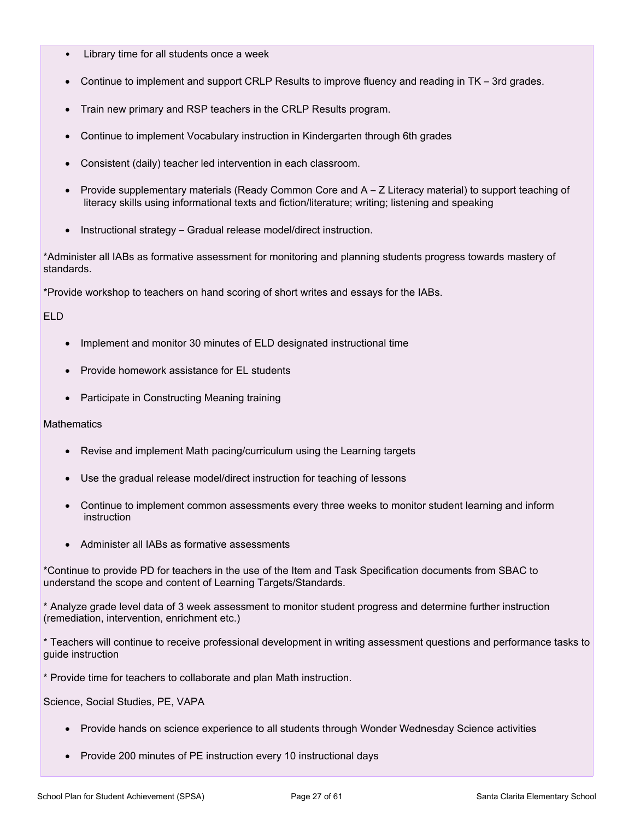- Library time for all students once a week
- Continue to implement and support CRLP Results to improve fluency and reading in TK 3rd grades.
- Train new primary and RSP teachers in the CRLP Results program.
- Continue to implement Vocabulary instruction in Kindergarten through 6th grades
- Consistent (daily) teacher led intervention in each classroom.
- Provide supplementary materials (Ready Common Core and A Z Literacy material) to support teaching of literacy skills using informational texts and fiction/literature; writing; listening and speaking
- Instructional strategy Gradual release model/direct instruction.

\*Administer all IABs as formative assessment for monitoring and planning students progress towards mastery of standards.

\*Provide workshop to teachers on hand scoring of short writes and essays for the IABs.

ELD

- Implement and monitor 30 minutes of ELD designated instructional time
- Provide homework assistance for EL students
- Participate in Constructing Meaning training

**Mathematics** 

- Revise and implement Math pacing/curriculum using the Learning targets
- Use the gradual release model/direct instruction for teaching of lessons
- Continue to implement common assessments every three weeks to monitor student learning and inform instruction
- Administer all IABs as formative assessments

\*Continue to provide PD for teachers in the use of the Item and Task Specification documents from SBAC to understand the scope and content of Learning Targets/Standards.

\* Analyze grade level data of 3 week assessment to monitor student progress and determine further instruction (remediation, intervention, enrichment etc.)

\* Teachers will continue to receive professional development in writing assessment questions and performance tasks to guide instruction

\* Provide time for teachers to collaborate and plan Math instruction.

Science, Social Studies, PE, VAPA

- Provide hands on science experience to all students through Wonder Wednesday Science activities
- Provide 200 minutes of PE instruction every 10 instructional days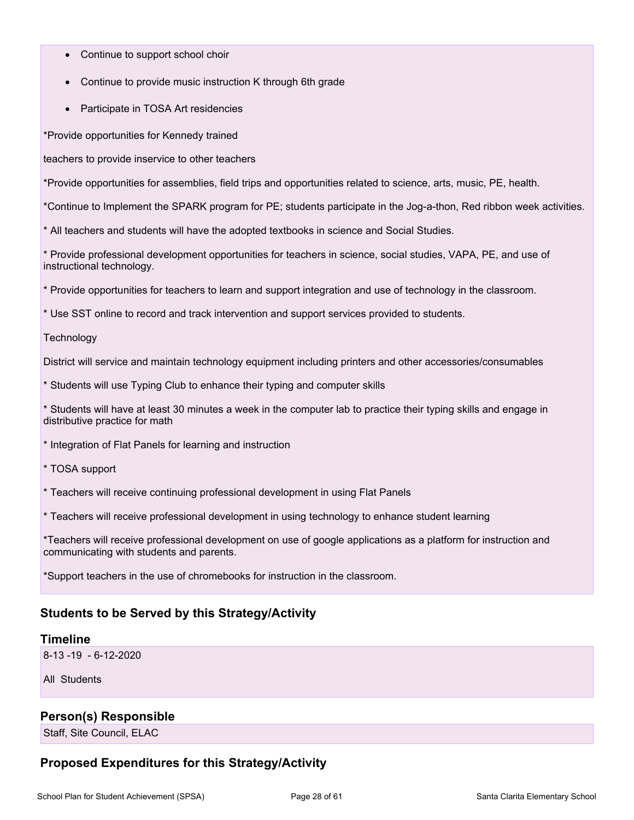- Continue to support school choir
- Continue to provide music instruction K through 6th grade
- Participate in TOSA Art residencies

\*Provide opportunities for Kennedy trained

teachers to provide inservice to other teachers

\*Provide opportunities for assemblies, field trips and opportunities related to science, arts, music, PE, health.

\*Continue to Implement the SPARK program for PE; students participate in the Jog-a-thon, Red ribbon week activities.

\* All teachers and students will have the adopted textbooks in science and Social Studies.

\* Provide professional development opportunities for teachers in science, social studies, VAPA, PE, and use of instructional technology.

\* Provide opportunities for teachers to learn and support integration and use of technology in the classroom.

\* Use SST online to record and track intervention and support services provided to students.

**Technology** 

District will service and maintain technology equipment including printers and other accessories/consumables

\* Students will use Typing Club to enhance their typing and computer skills

\* Students will have at least 30 minutes a week in the computer lab to practice their typing skills and engage in distributive practice for math

\* Integration of Flat Panels for learning and instruction

\* TOSA support

\* Teachers will receive continuing professional development in using Flat Panels

\* Teachers will receive professional development in using technology to enhance student learning

\*Teachers will receive professional development on use of google applications as a platform for instruction and communicating with students and parents.

\*Support teachers in the use of chromebooks for instruction in the classroom.

#### **Students to be Served by this Strategy/Activity**

#### **Timeline**

8-13 -19 - 6-12-2020

All Students

#### **Person(s) Responsible**

Staff, Site Council, ELAC

### **Proposed Expenditures for this Strategy/Activity**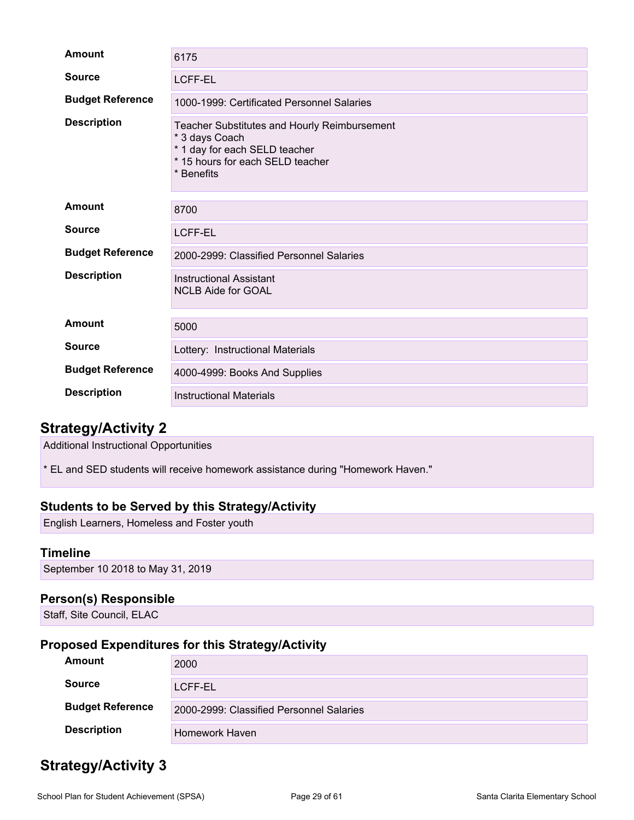| <b>Amount</b>           | 6175                                                                                                                                                     |
|-------------------------|----------------------------------------------------------------------------------------------------------------------------------------------------------|
| <b>Source</b>           | <b>LCFF-EL</b>                                                                                                                                           |
| <b>Budget Reference</b> | 1000-1999: Certificated Personnel Salaries                                                                                                               |
| <b>Description</b>      | <b>Teacher Substitutes and Hourly Reimbursement</b><br>* 3 days Coach<br>* 1 day for each SELD teacher<br>* 15 hours for each SELD teacher<br>* Benefits |
| Amount                  | 8700                                                                                                                                                     |
| <b>Source</b>           | LCFF-EL                                                                                                                                                  |
| <b>Budget Reference</b> | 2000-2999: Classified Personnel Salaries                                                                                                                 |
| <b>Description</b>      | <b>Instructional Assistant</b><br><b>NCLB Aide for GOAL</b>                                                                                              |
| Amount                  | 5000                                                                                                                                                     |
| <b>Source</b>           | Lottery: Instructional Materials                                                                                                                         |
| <b>Budget Reference</b> | 4000-4999: Books And Supplies                                                                                                                            |
| <b>Description</b>      | <b>Instructional Materials</b>                                                                                                                           |

## **Strategy/Activity 2**

Additional Instructional Opportunities

\* EL and SED students will receive homework assistance during "Homework Haven."

#### **Students to be Served by this Strategy/Activity**

English Learners, Homeless and Foster youth

#### **Timeline**

September 10 2018 to May 31, 2019

#### **Person(s) Responsible**

Staff, Site Council, ELAC

### **Proposed Expenditures for this Strategy/Activity**

| <b>Amount</b>           | 2000                                     |
|-------------------------|------------------------------------------|
| <b>Source</b>           | LCFF-EL                                  |
| <b>Budget Reference</b> | 2000-2999: Classified Personnel Salaries |
| <b>Description</b>      | Homework Haven                           |

## **Strategy/Activity 3**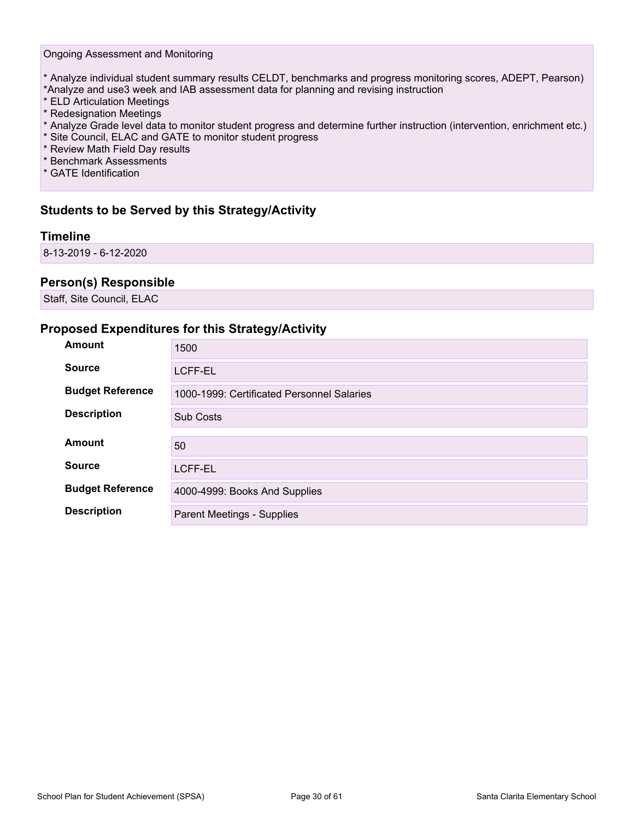#### Ongoing Assessment and Monitoring

- \* Analyze individual student summary results CELDT, benchmarks and progress monitoring scores, ADEPT, Pearson) \*Analyze and use3 week and IAB assessment data for planning and revising instruction
- \* ELD Articulation Meetings
- \* Redesignation Meetings
- \* Analyze Grade level data to monitor student progress and determine further instruction (intervention, enrichment etc.)
- \* Site Council, ELAC and GATE to monitor student progress
- \* Review Math Field Day results
- \* Benchmark Assessments
- \* GATE Identification

#### **Students to be Served by this Strategy/Activity**

#### **Timeline**

8-13-2019 - 6-12-2020

#### **Person(s) Responsible**

Staff, Site Council, ELAC

#### **Proposed Expenditures for this Strategy/Activity**

| Amount                  | 1500                                       |
|-------------------------|--------------------------------------------|
| <b>Source</b>           | <b>LCFF-EL</b>                             |
| <b>Budget Reference</b> | 1000-1999: Certificated Personnel Salaries |
| <b>Description</b>      | <b>Sub Costs</b>                           |
|                         |                                            |
| <b>Amount</b>           | 50                                         |
| <b>Source</b>           | <b>LCFF-EL</b>                             |
| <b>Budget Reference</b> | 4000-4999: Books And Supplies              |
| <b>Description</b>      | <b>Parent Meetings - Supplies</b>          |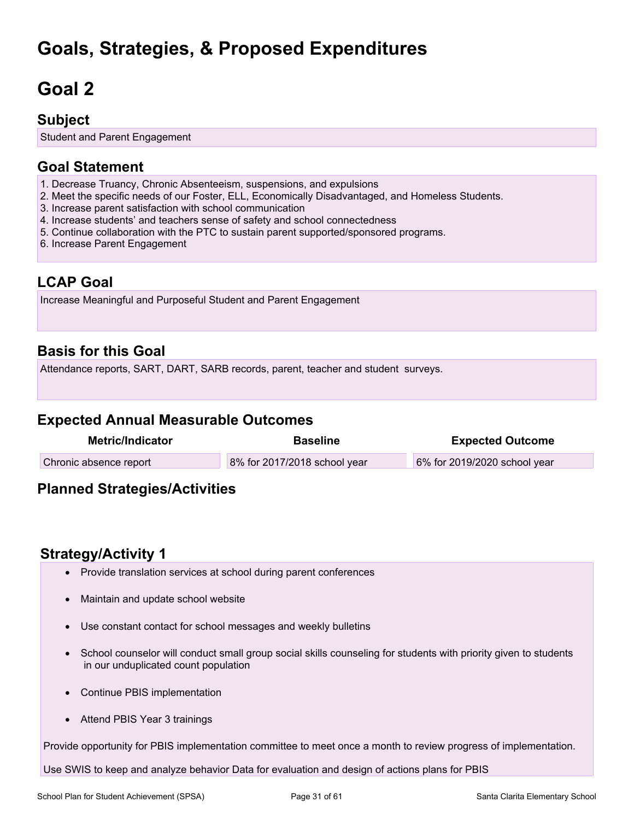## **Goals, Strategies, & Proposed Expenditures**

# <span id="page-30-0"></span>**Goal 2**

### **Subject**

Student and Parent Engagement

## **Goal Statement**

- 1. Decrease Truancy, Chronic Absenteeism, suspensions, and expulsions
- 2. Meet the specific needs of our Foster, ELL, Economically Disadvantaged, and Homeless Students.
- 3. Increase parent satisfaction with school communication
- 4. Increase students' and teachers sense of safety and school connectedness
- 5. Continue collaboration with the PTC to sustain parent supported/sponsored programs.
- 6. Increase Parent Engagement

### **LCAP Goal**

Increase Meaningful and Purposeful Student and Parent Engagement

## **Basis for this Goal**

Attendance reports, SART, DART, SARB records, parent, teacher and student surveys.

### **Expected Annual Measurable Outcomes**

| Metric/Indicator       | <b>Baseline</b>              | <b>Expected Outcome</b>      |
|------------------------|------------------------------|------------------------------|
| Chronic absence report | 8% for 2017/2018 school year | 6% for 2019/2020 school year |
|                        |                              |                              |

## **Planned Strategies/Activities**

## **Strategy/Activity 1**

- Provide translation services at school during parent conferences
- Maintain and update school website
- Use constant contact for school messages and weekly bulletins
- School counselor will conduct small group social skills counseling for students with priority given to students in our unduplicated count population
- Continue PBIS implementation
- Attend PBIS Year 3 trainings

Provide opportunity for PBIS implementation committee to meet once a month to review progress of implementation.

Use SWIS to keep and analyze behavior Data for evaluation and design of actions plans for PBIS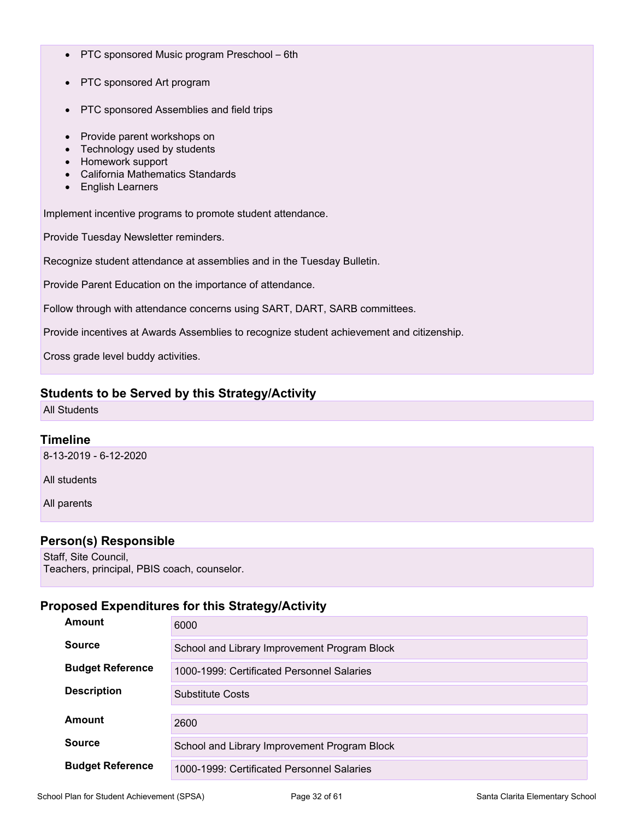- PTC sponsored Music program Preschool 6th
- PTC sponsored Art program
- PTC sponsored Assemblies and field trips
- Provide parent workshops on
- Technology used by students
- Homework support
- California Mathematics Standards
- English Learners

Implement incentive programs to promote student attendance.

Provide Tuesday Newsletter reminders.

Recognize student attendance at assemblies and in the Tuesday Bulletin.

Provide Parent Education on the importance of attendance.

Follow through with attendance concerns using SART, DART, SARB committees.

Provide incentives at Awards Assemblies to recognize student achievement and citizenship.

Cross grade level buddy activities.

#### **Students to be Served by this Strategy/Activity**

All Students

#### **Timeline**

8-13-2019 - 6-12-2020

All students

All parents

#### **Person(s) Responsible**

Staff, Site Council, Teachers, principal, PBIS coach, counselor.

#### **Proposed Expenditures for this Strategy/Activity**

| Amount                  | 6000                                         |
|-------------------------|----------------------------------------------|
| <b>Source</b>           | School and Library Improvement Program Block |
| <b>Budget Reference</b> | 1000-1999: Certificated Personnel Salaries   |
| <b>Description</b>      | Substitute Costs                             |
| Amount                  | 2600                                         |
| <b>Source</b>           | School and Library Improvement Program Block |
| <b>Budget Reference</b> | 1000-1999: Certificated Personnel Salaries   |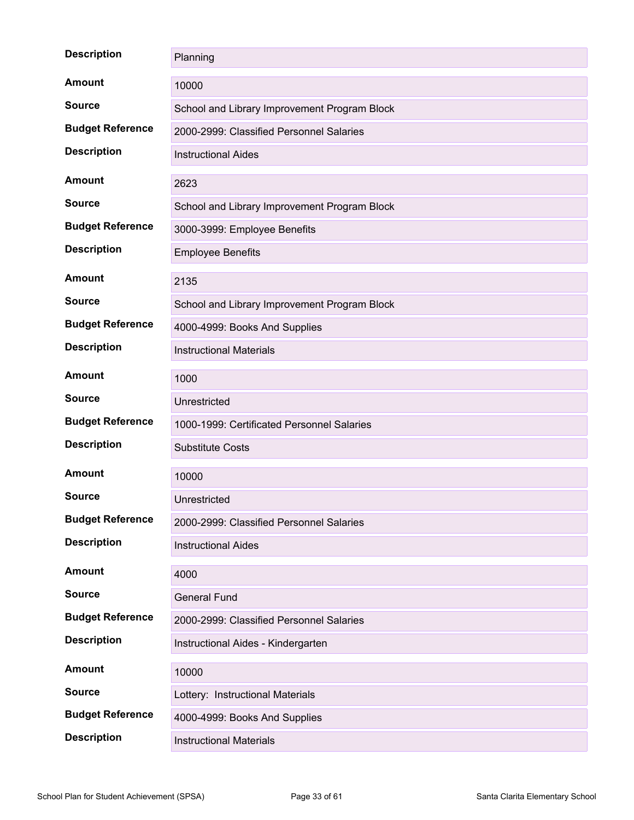| <b>Description</b>      | Planning                                     |  |  |
|-------------------------|----------------------------------------------|--|--|
| <b>Amount</b>           | 10000                                        |  |  |
| <b>Source</b>           | School and Library Improvement Program Block |  |  |
| <b>Budget Reference</b> | 2000-2999: Classified Personnel Salaries     |  |  |
| <b>Description</b>      | <b>Instructional Aides</b>                   |  |  |
| <b>Amount</b>           | 2623                                         |  |  |
| <b>Source</b>           | School and Library Improvement Program Block |  |  |
| <b>Budget Reference</b> | 3000-3999: Employee Benefits                 |  |  |
| <b>Description</b>      | <b>Employee Benefits</b>                     |  |  |
| <b>Amount</b>           | 2135                                         |  |  |
| <b>Source</b>           | School and Library Improvement Program Block |  |  |
| <b>Budget Reference</b> | 4000-4999: Books And Supplies                |  |  |
| <b>Description</b>      | <b>Instructional Materials</b>               |  |  |
| <b>Amount</b>           | 1000                                         |  |  |
| <b>Source</b>           | Unrestricted                                 |  |  |
| <b>Budget Reference</b> | 1000-1999: Certificated Personnel Salaries   |  |  |
| <b>Description</b>      | <b>Substitute Costs</b>                      |  |  |
| <b>Amount</b>           | 10000                                        |  |  |
| <b>Source</b>           | Unrestricted                                 |  |  |
| <b>Budget Reference</b> | 2000-2999: Classified Personnel Salaries     |  |  |
| <b>Description</b>      | <b>Instructional Aides</b>                   |  |  |
| <b>Amount</b>           | 4000                                         |  |  |
| <b>Source</b>           | <b>General Fund</b>                          |  |  |
| <b>Budget Reference</b> | 2000-2999: Classified Personnel Salaries     |  |  |
| <b>Description</b>      | Instructional Aides - Kindergarten           |  |  |
| <b>Amount</b>           | 10000                                        |  |  |
| <b>Source</b>           | Lottery: Instructional Materials             |  |  |
| <b>Budget Reference</b> | 4000-4999: Books And Supplies                |  |  |
| <b>Description</b>      | <b>Instructional Materials</b>               |  |  |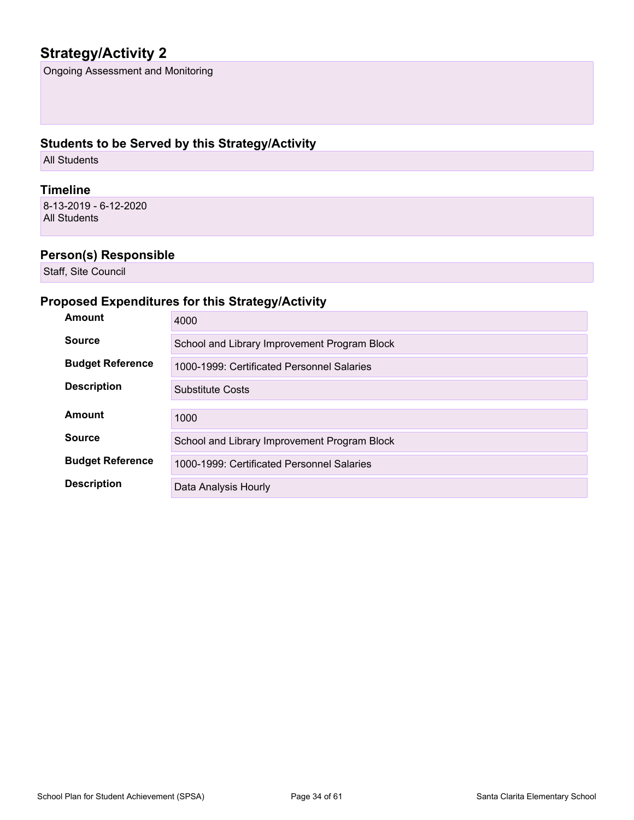## **Strategy/Activity 2**

Ongoing Assessment and Monitoring

### **Students to be Served by this Strategy/Activity**

All Students

#### **Timeline**

8-13-2019 - 6-12-2020 All Students

### **Person(s) Responsible**

Staff, Site Council

### **Proposed Expenditures for this Strategy/Activity**

| Amount                  | 4000                                         |  |  |
|-------------------------|----------------------------------------------|--|--|
| <b>Source</b>           | School and Library Improvement Program Block |  |  |
| <b>Budget Reference</b> | 1000-1999: Certificated Personnel Salaries   |  |  |
| <b>Description</b>      | Substitute Costs                             |  |  |
| Amount                  |                                              |  |  |
|                         | 1000                                         |  |  |
| <b>Source</b>           | School and Library Improvement Program Block |  |  |
| <b>Budget Reference</b> | 1000-1999: Certificated Personnel Salaries   |  |  |
| <b>Description</b>      | Data Analysis Hourly                         |  |  |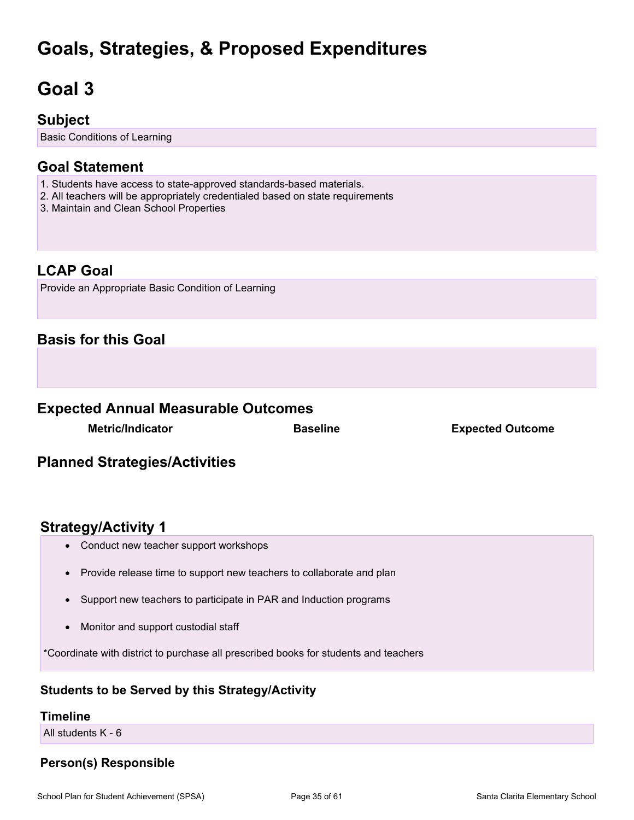## **Goals, Strategies, & Proposed Expenditures**

# <span id="page-34-0"></span>**Goal 3**

## **Subject**

Basic Conditions of Learning

## **Goal Statement**

- 1. Students have access to state-approved standards-based materials.
- 2. All teachers will be appropriately credentialed based on state requirements
- 3. Maintain and Clean School Properties

## **LCAP Goal**

Provide an Appropriate Basic Condition of Learning

### **Basis for this Goal**

### **Expected Annual Measurable Outcomes**

**Metric/Indicator Baseline Expected Outcome**

## **Planned Strategies/Activities**

### **Strategy/Activity 1**

- Conduct new teacher support workshops
- Provide release time to support new teachers to collaborate and plan
- Support new teachers to participate in PAR and Induction programs
- Monitor and support custodial staff

\*Coordinate with district to purchase all prescribed books for students and teachers

### **Students to be Served by this Strategy/Activity**

#### **Timeline**

All students K - 6

### **Person(s) Responsible**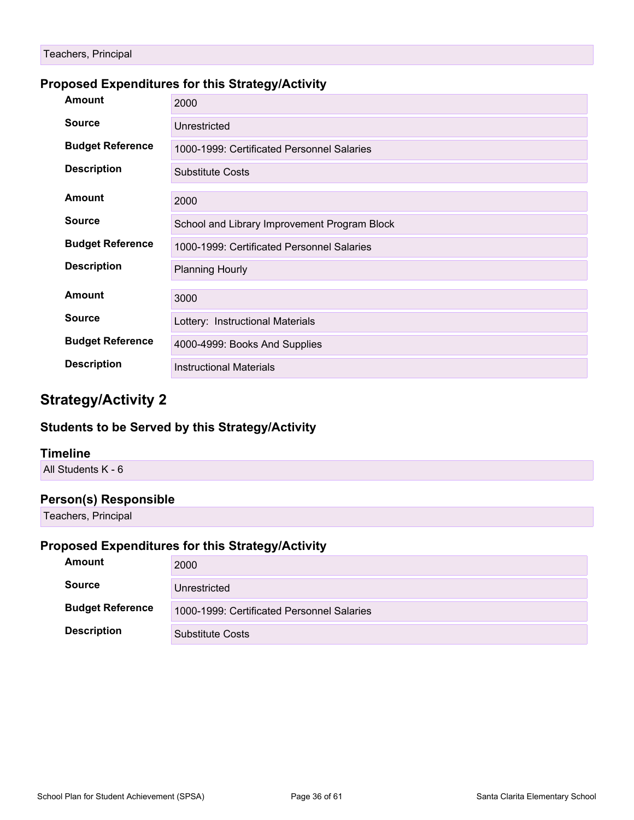### **Proposed Expenditures for this Strategy/Activity**

| Amount                  | 2000                                         |  |  |
|-------------------------|----------------------------------------------|--|--|
| <b>Source</b>           | Unrestricted                                 |  |  |
| <b>Budget Reference</b> | 1000-1999: Certificated Personnel Salaries   |  |  |
| <b>Description</b>      | <b>Substitute Costs</b>                      |  |  |
| <b>Amount</b>           | 2000                                         |  |  |
| <b>Source</b>           | School and Library Improvement Program Block |  |  |
| <b>Budget Reference</b> | 1000-1999: Certificated Personnel Salaries   |  |  |
| <b>Description</b>      | <b>Planning Hourly</b>                       |  |  |
| <b>Amount</b>           | 3000                                         |  |  |
| <b>Source</b>           | Lottery: Instructional Materials             |  |  |
| <b>Budget Reference</b> | 4000-4999: Books And Supplies                |  |  |
| <b>Description</b>      | <b>Instructional Materials</b>               |  |  |

## **Strategy/Activity 2**

#### **Students to be Served by this Strategy/Activity**

#### **Timeline**

All Students K - 6

#### **Person(s) Responsible**

Teachers, Principal

### **Proposed Expenditures for this Strategy/Activity**

| Amount                                                                | 2000                    |
|-----------------------------------------------------------------------|-------------------------|
| <b>Source</b>                                                         | Unrestricted            |
| <b>Budget Reference</b><br>1000-1999: Certificated Personnel Salaries |                         |
| <b>Description</b>                                                    | <b>Substitute Costs</b> |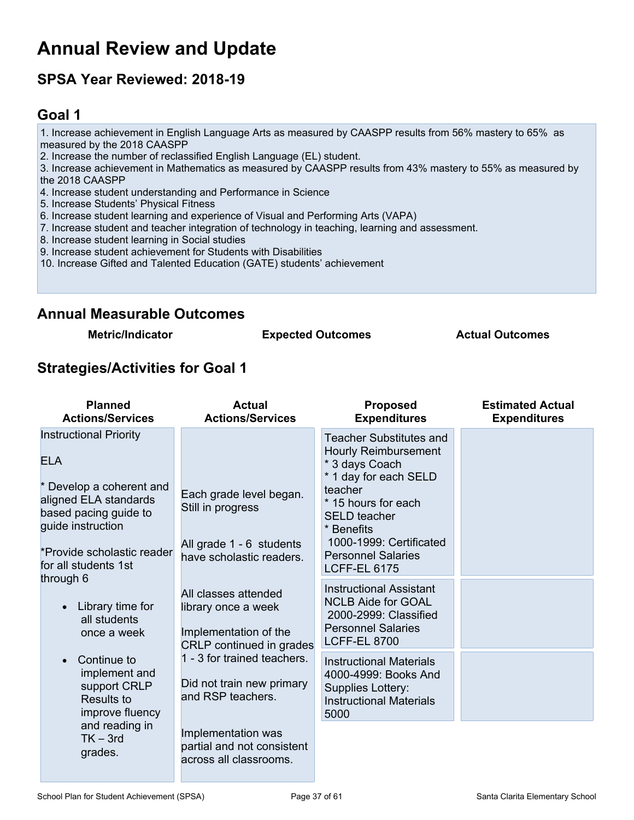## <span id="page-36-0"></span>**Annual Review and Update**

## **SPSA Year Reviewed: 2018-19**

## <span id="page-36-1"></span>**Goal 1**

1. Increase achievement in English Language Arts as measured by CAASPP results from 56% mastery to 65% as measured by the 2018 CAASPP

2. Increase the number of reclassified English Language (EL) student.

3. Increase achievement in Mathematics as measured by CAASPP results from 43% mastery to 55% as measured by the 2018 CAASPP

- 4. Increase student understanding and Performance in Science
- 5. Increase Students' Physical Fitness
- 6. Increase student learning and experience of Visual and Performing Arts (VAPA)
- 7. Increase student and teacher integration of technology in teaching, learning and assessment.
- 8. Increase student learning in Social studies
- 9. Increase student achievement for Students with Disabilities
- 10. Increase Gifted and Talented Education (GATE) students' achievement

### **Annual Measurable Outcomes**

**Metric/Indicator Expected Outcomes Actual Outcomes**

### **Strategies/Activities for Goal 1**

| <b>Planned</b><br><b>Actions/Services</b>                                                                                                                                                            | <b>Actual</b><br><b>Actions/Services</b>                                                             | <b>Proposed</b><br><b>Expenditures</b>                                                                                                                                                                                                                         | <b>Estimated Actual</b><br><b>Expenditures</b> |
|------------------------------------------------------------------------------------------------------------------------------------------------------------------------------------------------------|------------------------------------------------------------------------------------------------------|----------------------------------------------------------------------------------------------------------------------------------------------------------------------------------------------------------------------------------------------------------------|------------------------------------------------|
| <b>Instructional Priority</b><br><b>ELA</b><br>* Develop a coherent and<br>aligned ELA standards<br>based pacing guide to<br>guide instruction<br>*Provide scholastic reader<br>for all students 1st | Each grade level began.<br>Still in progress<br>All grade 1 - 6 students<br>have scholastic readers. | <b>Teacher Substitutes and</b><br><b>Hourly Reimbursement</b><br>* 3 days Coach<br>* 1 day for each SELD<br>teacher<br>* 15 hours for each<br><b>SELD</b> teacher<br>* Benefits<br>1000-1999: Certificated<br><b>Personnel Salaries</b><br><b>LCFF-EL 6175</b> |                                                |
| through 6<br>Library time for<br>$\bullet$<br>all students<br>once a week                                                                                                                            | All classes attended<br>library once a week<br>Implementation of the<br>CRLP continued in grades     | <b>Instructional Assistant</b><br><b>NCLB Aide for GOAL</b><br>2000-2999: Classified<br><b>Personnel Salaries</b><br><b>LCFF-EL 8700</b>                                                                                                                       |                                                |
| Continue to<br>$\bullet$<br>implement and<br>support CRLP<br><b>Results to</b><br>improve fluency                                                                                                    | 1 - 3 for trained teachers.<br>Did not train new primary<br>and RSP teachers.                        | <b>Instructional Materials</b><br>4000-4999: Books And<br>Supplies Lottery:<br><b>Instructional Materials</b><br>5000                                                                                                                                          |                                                |
| and reading in<br>$TK - 3rd$<br>grades.                                                                                                                                                              | Implementation was<br>partial and not consistent<br>across all classrooms.                           |                                                                                                                                                                                                                                                                |                                                |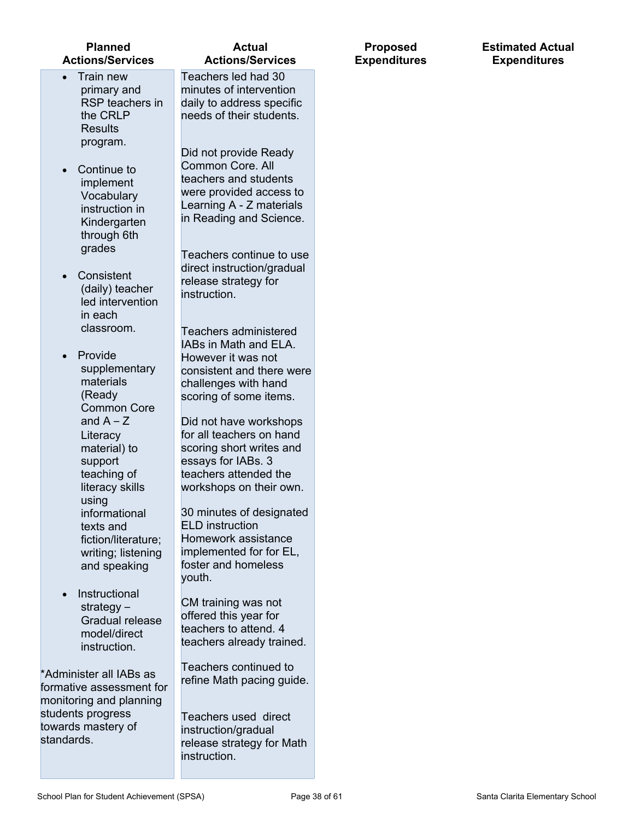| <b>Planned</b><br><b>Actions/Services</b>                                                                        | <b>Actual</b><br><b>Actions/Services</b>                                                                                                                   | <b>Proposed</b><br><b>Expenditures</b> |
|------------------------------------------------------------------------------------------------------------------|------------------------------------------------------------------------------------------------------------------------------------------------------------|----------------------------------------|
| Train new<br>primary and<br>RSP teachers in<br>the CRLP<br><b>Results</b>                                        | Teachers led had 30<br>minutes of intervention<br>daily to address specific<br>needs of their students.                                                    |                                        |
| program.<br>Continue to<br>$\bullet$<br>implement<br>Vocabulary<br>instruction in<br>Kindergarten<br>through 6th | Did not provide Ready<br>Common Core. All<br>teachers and students<br>were provided access to<br>Learning A - Z materials<br>in Reading and Science.       |                                        |
| grades<br>Consistent<br>(daily) teacher<br>led intervention<br>in each                                           | Teachers continue to use<br>direct instruction/gradual<br>release strategy for<br>instruction.                                                             |                                        |
| classroom.<br>Provide<br>supplementary<br>materials<br>(Ready                                                    | <b>Teachers administered</b><br>IABs in Math and ELA.<br>However it was not<br>consistent and there were<br>challenges with hand<br>scoring of some items. |                                        |
| <b>Common Core</b><br>and $A - Z$<br>Literacy<br>material) to<br>support                                         | Did not have workshops<br>for all teachers on hand<br>scoring short writes and<br>essays for IABs. 3                                                       |                                        |
| teaching of<br>literacy skills<br>using<br>informational<br>texts and<br>fiction/literature;                     | teachers attended the<br>workshops on their own.<br>30 minutes of designated<br><b>ELD</b> instruction<br>Homework assistance                              |                                        |
| writing; listening<br>and speaking<br>Instructional<br>strategy $-$<br>Gradual release                           | implemented for for EL,<br>foster and homeless<br>youth.<br>CM training was not<br>offered this year for                                                   |                                        |
| model/direct<br>instruction.<br>*Administer all IABs as<br>formative assessment for                              | teachers to attend. 4<br>teachers already trained.<br>Teachers continued to<br>refine Math pacing guide.                                                   |                                        |
| monitoring and planning<br>students progress<br>towards mastery of<br>standards.                                 | Teachers used direct<br>instruction/gradual<br>release strategy for Math<br>instruction.                                                                   |                                        |

#### School Plan for Student Achievement (SPSA) <br>
Page 38 of 61 Santa Clarita Elementary School

**Estimated Actual Expenditures**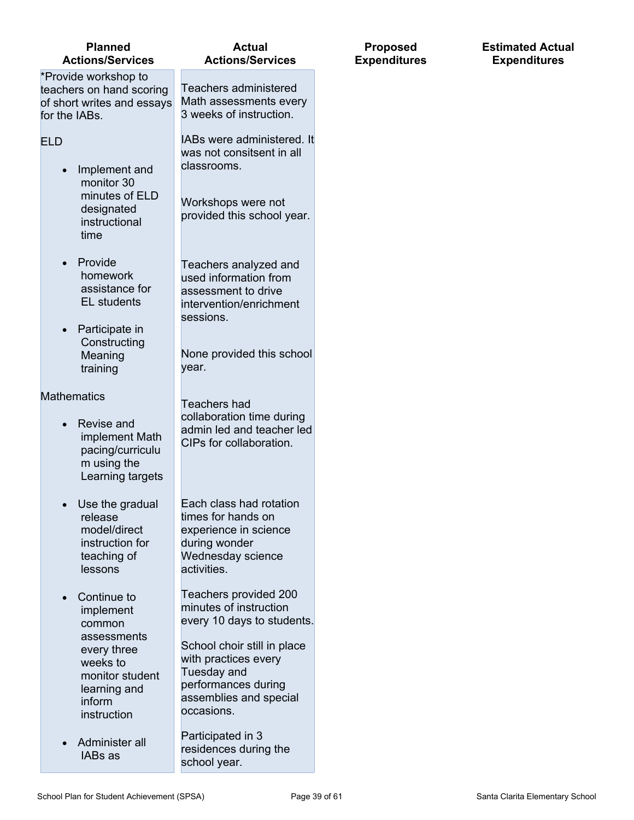| Ose the gradual<br>release<br>model/direct<br>instruction for<br>teaching of<br>lessons                                                                                      | Eduli Gidəs fidu fuldulu<br>times for hands on<br>experience in science<br>during wonder<br>Wednesday science<br>activities.                                                                                                                                                 |
|------------------------------------------------------------------------------------------------------------------------------------------------------------------------------|------------------------------------------------------------------------------------------------------------------------------------------------------------------------------------------------------------------------------------------------------------------------------|
| Continue to<br>implement<br>common<br>assessments<br>every three<br>weeks to<br>monitor student<br>learning and<br>inform<br>instruction<br>Administer all<br><b>IABs</b> as | Teachers provided 200<br>minutes of instruction<br>every 10 days to studer<br>School choir still in plac<br>with practices every<br>Tuesday and<br>performances during<br>assemblies and special<br>occasions.<br>Participated in 3<br>residences during the<br>school year. |
|                                                                                                                                                                              |                                                                                                                                                                                                                                                                              |

Use the gradual

- implement Math pacing/curriculu m using the Learning targets
- **Constructing** Meaning training

EL students • Participate in

- designated instructional time
- minutes of ELD

• Implement and monitor 30

**Planned Actions/Services**

\*Provide workshop to teachers on hand scoring of short writes and essays

for the IABs.

ELD

- Provide homework
- 
- assistance for
- 
- 
- 
- 
- 
- 
- 
- 
- 
- 

- **Mathematics** 
	- Revise and year.
		- Teachers had collaboration time during admin led and teacher led CIPs for collaboration.

**Actual Actions/Services**

Teachers administered Math assessments every 3 weeks of instruction.

IABs were administered. It was not consitsent in all

Workshops were not provided this school year.

Teachers analyzed and used information from assessment to drive intervention/enrichment

None provided this school

classrooms.

sessions.

- **Each class had rotation** 
	- Teachers provided 200 ents.

School choir still in place

**Proposed Expenditures**

#### **Estimated Actual Expenditures**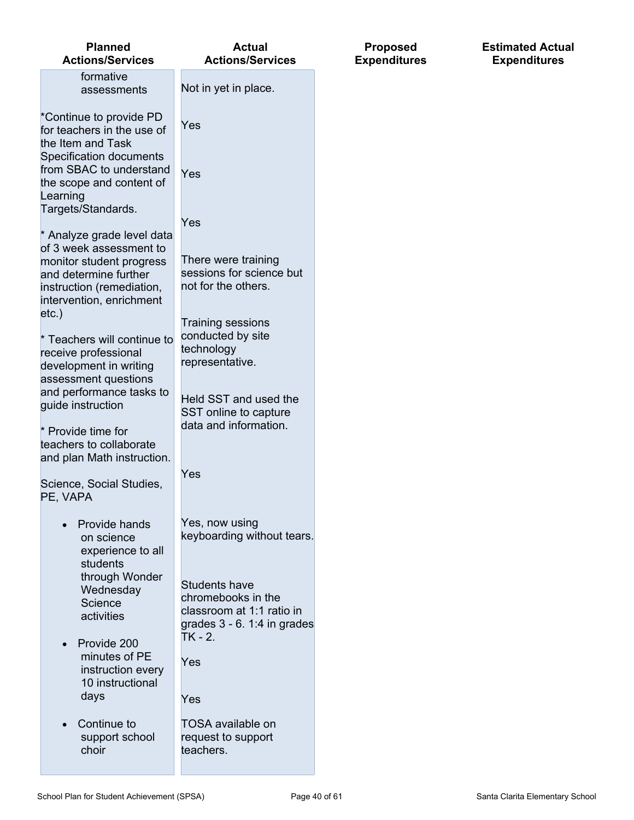| <b>Planned</b><br><b>Actions/Services</b>                                                                                                                                | <b>Actual</b><br><b>Actions/Services</b>                                                                          | <b>Proposed</b><br><b>Expenditures</b> | <b>Estimated Actual</b><br><b>Expenditures</b> |
|--------------------------------------------------------------------------------------------------------------------------------------------------------------------------|-------------------------------------------------------------------------------------------------------------------|----------------------------------------|------------------------------------------------|
| formative<br>assessments                                                                                                                                                 | Not in yet in place.                                                                                              |                                        |                                                |
| *Continue to provide PD<br>for teachers in the use of<br>the Item and Task<br>Specification documents<br>from SBAC to understand<br>the scope and content of<br>Learning | Yes<br>Yes                                                                                                        |                                        |                                                |
| Targets/Standards.<br>* Analyze grade level data<br>of 3 week assessment to<br>monitor student progress<br>and determine further                                         | Yes<br>There were training<br>sessions for science but                                                            |                                        |                                                |
| instruction (remediation,<br>intervention, enrichment                                                                                                                    | not for the others.                                                                                               |                                        |                                                |
| $etc.$ )<br>* Teachers will continue to<br>receive professional<br>development in writing                                                                                | <b>Training sessions</b><br>conducted by site<br>technology<br>representative.                                    |                                        |                                                |
| assessment questions<br>and performance tasks to<br>guide instruction<br>* Provide time for<br>teachers to collaborate                                                   | Held SST and used the<br>SST online to capture<br>data and information.                                           |                                        |                                                |
| and plan Math instruction.<br>Science, Social Studies,<br>PE, VAPA                                                                                                       | Yes                                                                                                               |                                        |                                                |
| Provide hands<br>on science<br>experience to all<br>students                                                                                                             | Yes, now using<br>keyboarding without tears.                                                                      |                                        |                                                |
| through Wonder<br>Wednesday<br>Science<br>activities                                                                                                                     | <b>Students have</b><br>chromebooks in the<br>classroom at 1:1 ratio in<br>grades 3 - 6. 1:4 in grades<br>TK - 2. |                                        |                                                |
| Provide 200<br>minutes of PE<br>instruction every<br>10 instructional<br>days                                                                                            | Yes<br>Yes                                                                                                        |                                        |                                                |
| Continue to<br>support school<br>choir                                                                                                                                   | TOSA available on<br>request to support<br>teachers.                                                              |                                        |                                                |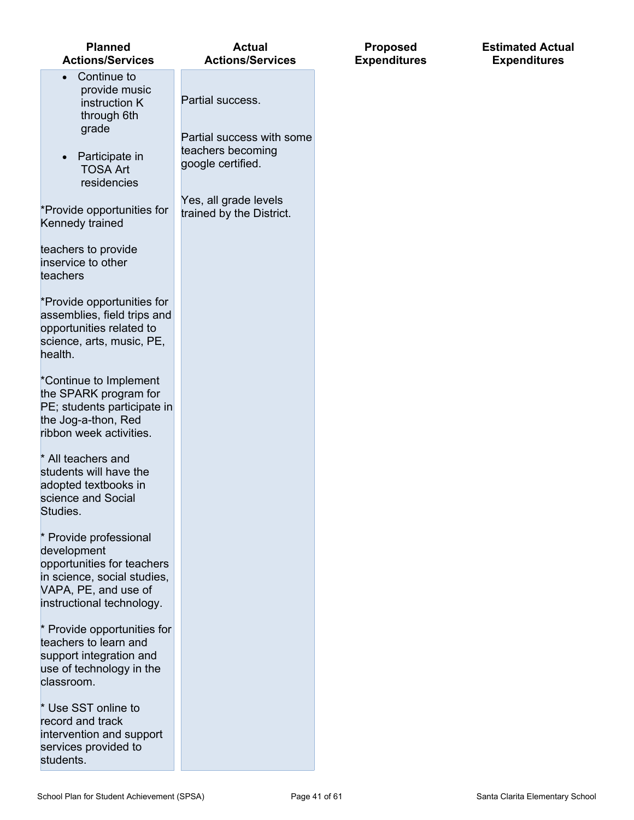| <b>Planned</b><br><b>Actions/Services</b>                                                                                                               | <b>Actual</b><br><b>Actions/Services</b>                            | E |
|---------------------------------------------------------------------------------------------------------------------------------------------------------|---------------------------------------------------------------------|---|
| Continue to<br>provide music<br>instruction K<br>through 6th                                                                                            | Partial success.                                                    |   |
| grade<br>Participate in<br><b>TOSA Art</b><br>residencies                                                                                               | Partial success with some<br>teachers becoming<br>google certified. |   |
| *Provide opportunities for<br>Kennedy trained                                                                                                           | Yes, all grade levels<br>trained by the District.                   |   |
| teachers to provide<br>inservice to other<br>teachers                                                                                                   |                                                                     |   |
| *Provide opportunities for<br>assemblies, field trips and<br>opportunities related to<br>science, arts, music, PE,<br>health.                           |                                                                     |   |
| *Continue to Implement<br>the SPARK program for<br>PE; students participate in<br>the Jog-a-thon, Red<br>ribbon week activities.                        |                                                                     |   |
| * All teachers and<br>students will have the<br>adopted textbooks in<br>science and Social<br>Studies.                                                  |                                                                     |   |
| * Provide professional<br>development<br>opportunities for teachers<br>in science, social studies,<br>VAPA, PE, and use of<br>instructional technology. |                                                                     |   |
| * Provide opportunities for<br>teachers to learn and<br>support integration and<br>use of technology in the<br>classroom.                               |                                                                     |   |
| * Use SST online to<br>record and track<br>intervention and support<br>services provided to<br>students.                                                |                                                                     |   |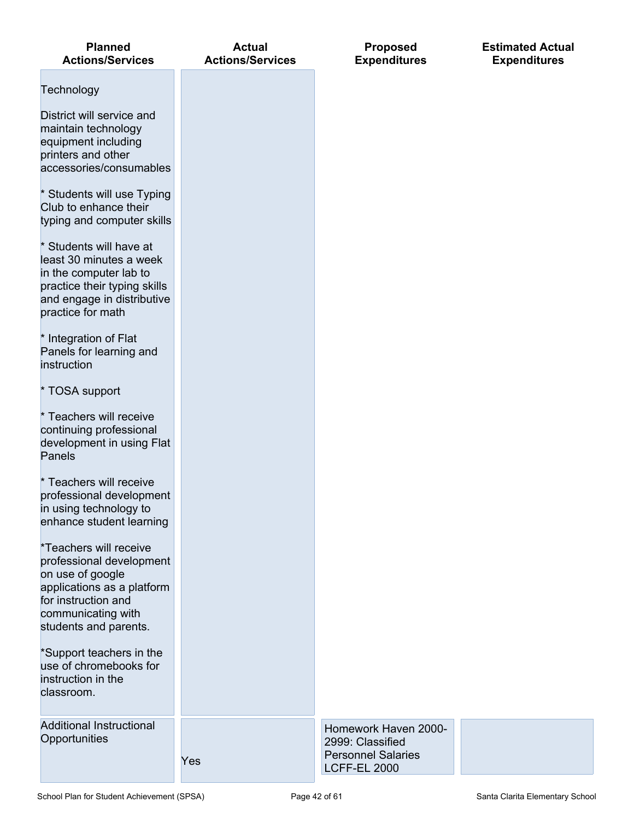| <b>Planned</b><br><b>Actions/Services</b>                                                                                                                                  | <b>Actual</b><br><b>Actions/Services</b> | <b>Proposed</b><br><b>Expenditures</b>                                                       | <b>Estimated Actual</b><br><b>Expenditures</b> |
|----------------------------------------------------------------------------------------------------------------------------------------------------------------------------|------------------------------------------|----------------------------------------------------------------------------------------------|------------------------------------------------|
| Technology                                                                                                                                                                 |                                          |                                                                                              |                                                |
| District will service and<br>maintain technology<br>equipment including<br>printers and other<br>accessories/consumables                                                   |                                          |                                                                                              |                                                |
| * Students will use Typing<br>Club to enhance their<br>typing and computer skills                                                                                          |                                          |                                                                                              |                                                |
| * Students will have at<br>least 30 minutes a week<br>in the computer lab to<br>practice their typing skills<br>and engage in distributive<br>practice for math            |                                          |                                                                                              |                                                |
| * Integration of Flat<br>Panels for learning and<br>instruction                                                                                                            |                                          |                                                                                              |                                                |
| * TOSA support                                                                                                                                                             |                                          |                                                                                              |                                                |
| * Teachers will receive<br>continuing professional<br>development in using Flat<br>Panels                                                                                  |                                          |                                                                                              |                                                |
| Teachers will receive<br>professional development<br>in using technology to<br>enhance student learning                                                                    |                                          |                                                                                              |                                                |
| *Teachers will receive<br>professional development<br>on use of google<br>applications as a platform<br>for instruction and<br>communicating with<br>students and parents. |                                          |                                                                                              |                                                |
| *Support teachers in the<br>use of chromebooks for<br>instruction in the<br>classroom.                                                                                     |                                          |                                                                                              |                                                |
| <b>Additional Instructional</b><br>Opportunities                                                                                                                           | Yes                                      | Homework Haven 2000-<br>2999: Classified<br><b>Personnel Salaries</b><br><b>LCFF-EL 2000</b> |                                                |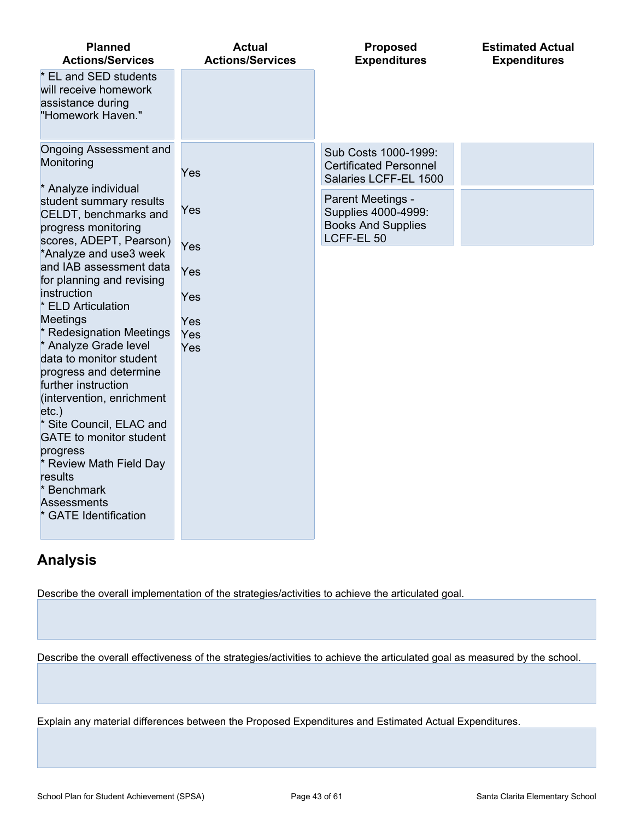| <b>Planned</b><br><b>Actions/Services</b>                                                                 | <b>Actual</b><br><b>Actions/Services</b> | <b>Proposed</b><br><b>Expenditures</b>                                              | <b>Estimated Actual</b><br><b>Expenditures</b> |
|-----------------------------------------------------------------------------------------------------------|------------------------------------------|-------------------------------------------------------------------------------------|------------------------------------------------|
| * EL and SED students<br>will receive homework<br>assistance during<br>"Homework Haven."                  |                                          |                                                                                     |                                                |
| <b>Ongoing Assessment and</b><br>Monitoring                                                               | Yes                                      | Sub Costs 1000-1999:<br><b>Certificated Personnel</b><br>Salaries LCFF-EL 1500      |                                                |
| * Analyze individual<br>student summary results<br>CELDT, benchmarks and<br>progress monitoring           | Yes                                      | Parent Meetings -<br>Supplies 4000-4999:<br><b>Books And Supplies</b><br>LCFF-EL 50 |                                                |
| scores, ADEPT, Pearson)<br>*Analyze and use3 week<br>and IAB assessment data<br>for planning and revising | Yes<br>Yes                               |                                                                                     |                                                |
| instruction<br>* ELD Articulation<br><b>Meetings</b>                                                      | Yes<br>Yes                               |                                                                                     |                                                |
| * Redesignation Meetings<br>* Analyze Grade level<br>data to monitor student                              | Yes<br>Yes                               |                                                                                     |                                                |
| progress and determine<br>further instruction<br>(intervention, enrichment<br>$etc.$ )                    |                                          |                                                                                     |                                                |
| * Site Council, ELAC and<br><b>GATE</b> to monitor student<br>progress                                    |                                          |                                                                                     |                                                |
| * Review Math Field Day<br>results<br>* Benchmark<br><b>Assessments</b>                                   |                                          |                                                                                     |                                                |
| <b>GATE Identification</b>                                                                                |                                          |                                                                                     |                                                |

## **Analysis**

Describe the overall implementation of the strategies/activities to achieve the articulated goal.

Describe the overall effectiveness of the strategies/activities to achieve the articulated goal as measured by the school.

Explain any material differences between the Proposed Expenditures and Estimated Actual Expenditures.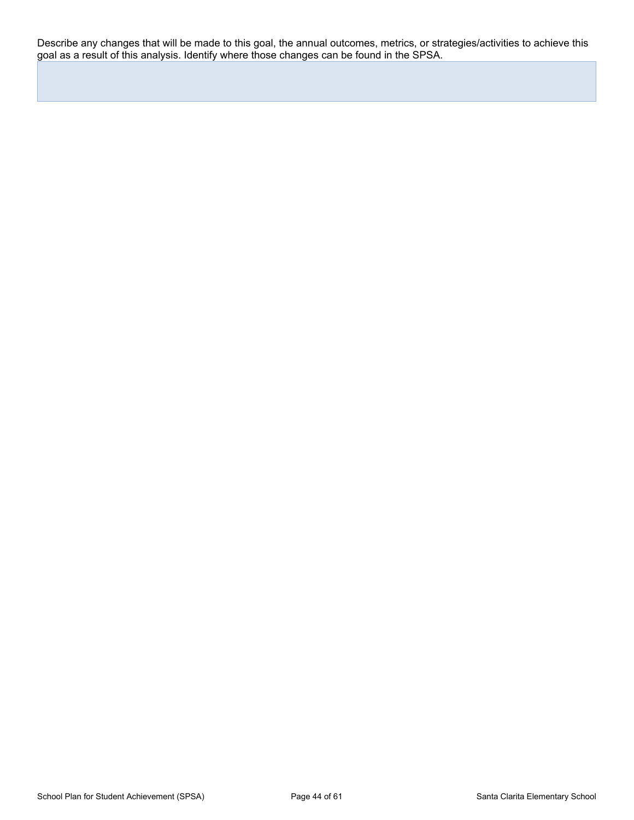Describe any changes that will be made to this goal, the annual outcomes, metrics, or strategies/activities to achieve this goal as a result of this analysis. Identify where those changes can be found in the SPSA.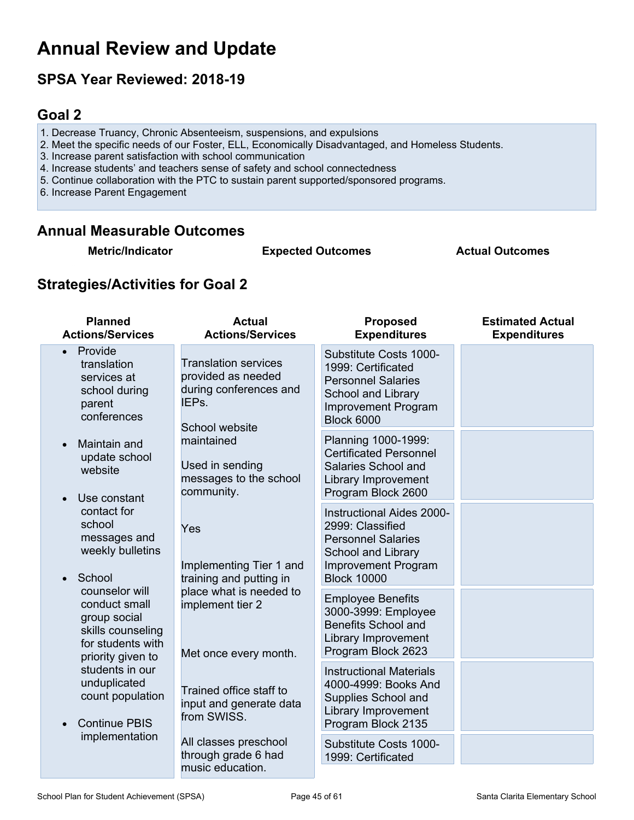## **Annual Review and Update**

## **SPSA Year Reviewed: 2018-19**

## <span id="page-44-0"></span>**Goal 2**

- 1. Decrease Truancy, Chronic Absenteeism, suspensions, and expulsions
- 2. Meet the specific needs of our Foster, ELL, Economically Disadvantaged, and Homeless Students.
- 3. Increase parent satisfaction with school communication
- 4. Increase students' and teachers sense of safety and school connectedness
- 5. Continue collaboration with the PTC to sustain parent supported/sponsored programs.

6. Increase Parent Engagement

### **Annual Measurable Outcomes**

**Metric/Indicator Expected Outcomes Actual Outcomes**

## **Strategies/Activities for Goal 2**

| <b>Planned</b><br><b>Actions/Services</b>                                                                                                                                                                                                         | <b>Actual</b><br><b>Actions/Services</b>                                                               | <b>Proposed</b><br><b>Expenditures</b>                                                                                                                      | <b>Estimated Actual</b><br><b>Expenditures</b> |
|---------------------------------------------------------------------------------------------------------------------------------------------------------------------------------------------------------------------------------------------------|--------------------------------------------------------------------------------------------------------|-------------------------------------------------------------------------------------------------------------------------------------------------------------|------------------------------------------------|
| Provide<br>$\bullet$<br>translation<br>services at<br>school during<br>parent<br>conferences                                                                                                                                                      | <b>Translation services</b><br>provided as needed<br>during conferences and<br>IEPs.<br>School website | Substitute Costs 1000-<br>1999: Certificated<br><b>Personnel Salaries</b><br>School and Library<br><b>Improvement Program</b><br><b>Block 6000</b>          |                                                |
| Maintain and<br>update school<br>website<br>Use constant<br>contact for<br>school<br>messages and<br>weekly bulletins<br>School<br>counselor will<br>conduct small<br>group social<br>skills counseling<br>for students with<br>priority given to | maintained<br>Used in sending<br>messages to the school<br>community.                                  | Planning 1000-1999:<br><b>Certificated Personnel</b><br>Salaries School and<br>Library Improvement<br>Program Block 2600                                    |                                                |
|                                                                                                                                                                                                                                                   | Yes<br>Implementing Tier 1 and<br>training and putting in                                              | <b>Instructional Aides 2000-</b><br>2999: Classified<br><b>Personnel Salaries</b><br>School and Library<br><b>Improvement Program</b><br><b>Block 10000</b> |                                                |
|                                                                                                                                                                                                                                                   | place what is needed to<br>implement tier 2<br>Met once every month.                                   | <b>Employee Benefits</b><br>3000-3999: Employee<br><b>Benefits School and</b><br>Library Improvement<br>Program Block 2623                                  |                                                |
| students in our<br>unduplicated<br>count population<br><b>Continue PBIS</b>                                                                                                                                                                       | Trained office staff to<br>input and generate data<br>from SWISS.                                      | <b>Instructional Materials</b><br>4000-4999: Books And<br>Supplies School and<br>Library Improvement<br>Program Block 2135                                  |                                                |
| implementation                                                                                                                                                                                                                                    | All classes preschool<br>through grade 6 had<br>music education.                                       | Substitute Costs 1000-<br>1999: Certificated                                                                                                                |                                                |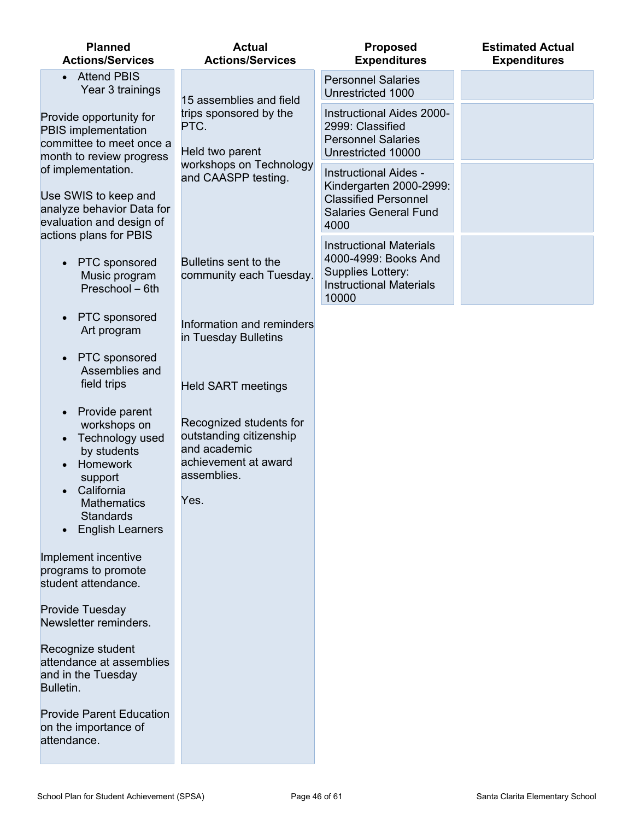| <b>Planned</b><br><b>Actions/Services</b>                                                              | <b>Actual</b><br><b>Actions/Services</b>                                                                         | <b>Proposed</b><br><b>Expenditures</b>                                                                                         | <b>Estimated Actual</b><br><b>Expenditures</b> |
|--------------------------------------------------------------------------------------------------------|------------------------------------------------------------------------------------------------------------------|--------------------------------------------------------------------------------------------------------------------------------|------------------------------------------------|
| <b>Attend PBIS</b><br>Year 3 trainings                                                                 | 15 assemblies and field                                                                                          | <b>Personnel Salaries</b><br>Unrestricted 1000                                                                                 |                                                |
| Provide opportunity for<br>PBIS implementation<br>committee to meet once a<br>month to review progress | trips sponsored by the<br>PTC.<br>Held two parent<br>workshops on Technology<br>and CAASPP testing.              | <b>Instructional Aides 2000-</b><br>2999: Classified<br><b>Personnel Salaries</b><br>Unrestricted 10000                        |                                                |
| of implementation.<br>Use SWIS to keep and<br>analyze behavior Data for<br>evaluation and design of    |                                                                                                                  | <b>Instructional Aides -</b><br>Kindergarten 2000-2999:<br><b>Classified Personnel</b><br><b>Salaries General Fund</b><br>4000 |                                                |
| actions plans for PBIS<br>PTC sponsored<br>$\bullet$<br>Music program<br>Preschool - 6th               | Bulletins sent to the<br>community each Tuesday.                                                                 | <b>Instructional Materials</b><br>4000-4999: Books And<br>Supplies Lottery:<br><b>Instructional Materials</b><br>10000         |                                                |
| PTC sponsored<br>Art program                                                                           | Information and reminders<br>in Tuesday Bulletins                                                                |                                                                                                                                |                                                |
| PTC sponsored<br>Assemblies and<br>field trips                                                         | <b>Held SART meetings</b>                                                                                        |                                                                                                                                |                                                |
| Provide parent<br>workshops on<br>Technology used<br>by students<br>Homework<br>support<br>California  | Recognized students for<br>outstanding citizenship<br>and academic<br>achievement at award<br>assemblies.<br>Yes |                                                                                                                                |                                                |
| <b>Mathematics</b><br><b>Standards</b><br><b>English Learners</b>                                      |                                                                                                                  |                                                                                                                                |                                                |
| Implement incentive<br>programs to promote<br>student attendance.                                      |                                                                                                                  |                                                                                                                                |                                                |
| Provide Tuesday<br>Newsletter reminders.                                                               |                                                                                                                  |                                                                                                                                |                                                |
| Recognize student<br>attendance at assemblies<br>and in the Tuesday<br>Bulletin.                       |                                                                                                                  |                                                                                                                                |                                                |
| <b>Provide Parent Education</b><br>on the importance of<br>attendance.                                 |                                                                                                                  |                                                                                                                                |                                                |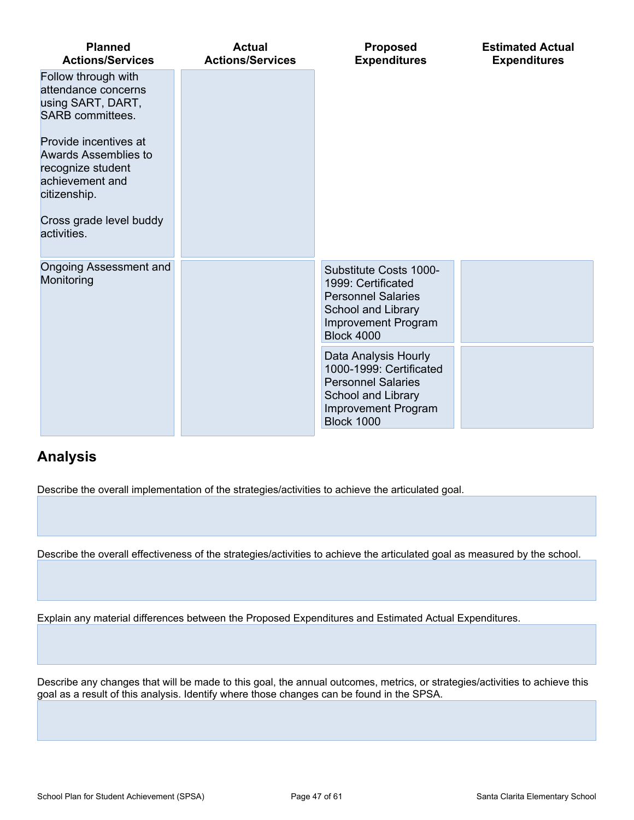| <b>Planned</b><br><b>Actions/Services</b>                                                                                                       | <b>Actual</b><br><b>Actions/Services</b>                                                                                                       | Proposed<br><b>Expenditures</b>                                                                                                             | <b>Estimated Actual</b><br><b>Expenditures</b> |
|-------------------------------------------------------------------------------------------------------------------------------------------------|------------------------------------------------------------------------------------------------------------------------------------------------|---------------------------------------------------------------------------------------------------------------------------------------------|------------------------------------------------|
| Follow through with<br>attendance concerns<br>using SART, DART,<br><b>SARB</b> committees.                                                      |                                                                                                                                                |                                                                                                                                             |                                                |
| Provide incentives at<br>Awards Assemblies to<br>recognize student<br>achievement and<br>citizenship.<br>Cross grade level buddy<br>activities. |                                                                                                                                                |                                                                                                                                             |                                                |
| Ongoing Assessment and<br>Monitoring                                                                                                            |                                                                                                                                                | Substitute Costs 1000-<br>1999: Certificated<br><b>Personnel Salaries</b><br>School and Library<br>Improvement Program<br><b>Block 4000</b> |                                                |
|                                                                                                                                                 | Data Analysis Hourly<br>1000-1999: Certificated<br><b>Personnel Salaries</b><br>School and Library<br>Improvement Program<br><b>Block 1000</b> |                                                                                                                                             |                                                |

## **Analysis**

Describe the overall implementation of the strategies/activities to achieve the articulated goal.

Describe the overall effectiveness of the strategies/activities to achieve the articulated goal as measured by the school.

Explain any material differences between the Proposed Expenditures and Estimated Actual Expenditures.

Describe any changes that will be made to this goal, the annual outcomes, metrics, or strategies/activities to achieve this goal as a result of this analysis. Identify where those changes can be found in the SPSA.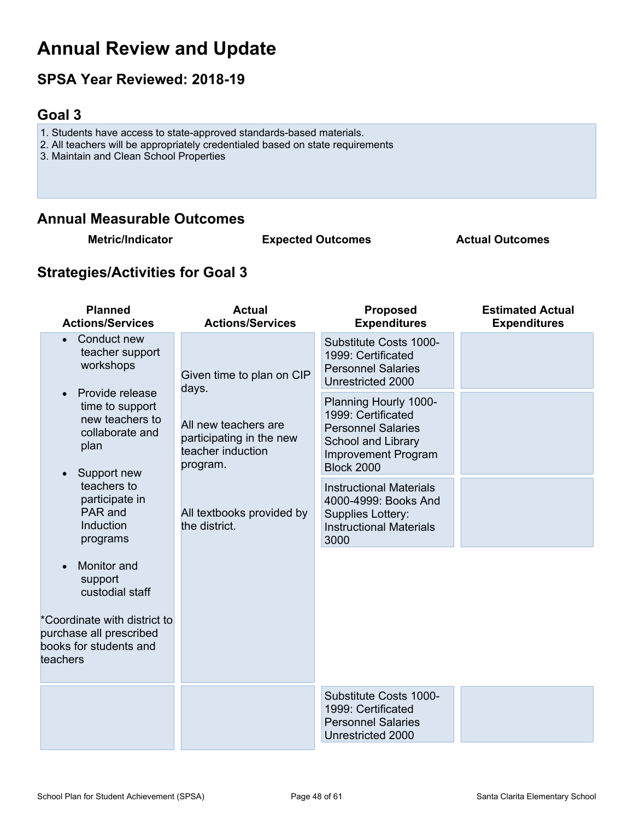## **Annual Review and Update**

## **SPSA Year Reviewed: 2018-19**

## <span id="page-47-0"></span>**Goal 3**

- 1. Students have access to state-approved standards-based materials.
- 2. All teachers will be appropriately credentialed based on state requirements
- 3. Maintain and Clean School Properties

## **Annual Measurable Outcomes**

**Metric/Indicator Expected Outcomes Actual Outcomes**

## **Strategies/Activities for Goal 3**

| <b>Planned</b><br><b>Actions/Services</b>                                                                                                                                                                                                                                                                                                                         | <b>Actual</b><br><b>Actions/Services</b>                                                                                                                              | <b>Proposed</b><br><b>Expenditures</b>                                                                                                                                                                                                                                                                                                                                       | <b>Estimated Actual</b><br><b>Expenditures</b> |
|-------------------------------------------------------------------------------------------------------------------------------------------------------------------------------------------------------------------------------------------------------------------------------------------------------------------------------------------------------------------|-----------------------------------------------------------------------------------------------------------------------------------------------------------------------|------------------------------------------------------------------------------------------------------------------------------------------------------------------------------------------------------------------------------------------------------------------------------------------------------------------------------------------------------------------------------|------------------------------------------------|
| Conduct new<br>teacher support<br>workshops<br>Provide release<br>time to support<br>new teachers to<br>collaborate and<br>plan<br>Support new<br>teachers to<br>participate in<br>PAR and<br>Induction<br>programs<br>Monitor and<br>support<br>custodial staff<br>*Coordinate with district to<br>purchase all prescribed<br>books for students and<br>teachers | Given time to plan on CIP<br>days.<br>All new teachers are<br>participating in the new<br>teacher induction<br>program.<br>All textbooks provided by<br>the district. | Substitute Costs 1000-<br>1999: Certificated<br><b>Personnel Salaries</b><br>Unrestricted 2000<br>Planning Hourly 1000-<br>1999: Certificated<br><b>Personnel Salaries</b><br>School and Library<br><b>Improvement Program</b><br><b>Block 2000</b><br><b>Instructional Materials</b><br>4000-4999: Books And<br>Supplies Lottery:<br><b>Instructional Materials</b><br>3000 |                                                |
|                                                                                                                                                                                                                                                                                                                                                                   |                                                                                                                                                                       | Substitute Costs 1000-<br>1999: Certificated<br><b>Personnel Salaries</b><br>Unrestricted 2000                                                                                                                                                                                                                                                                               |                                                |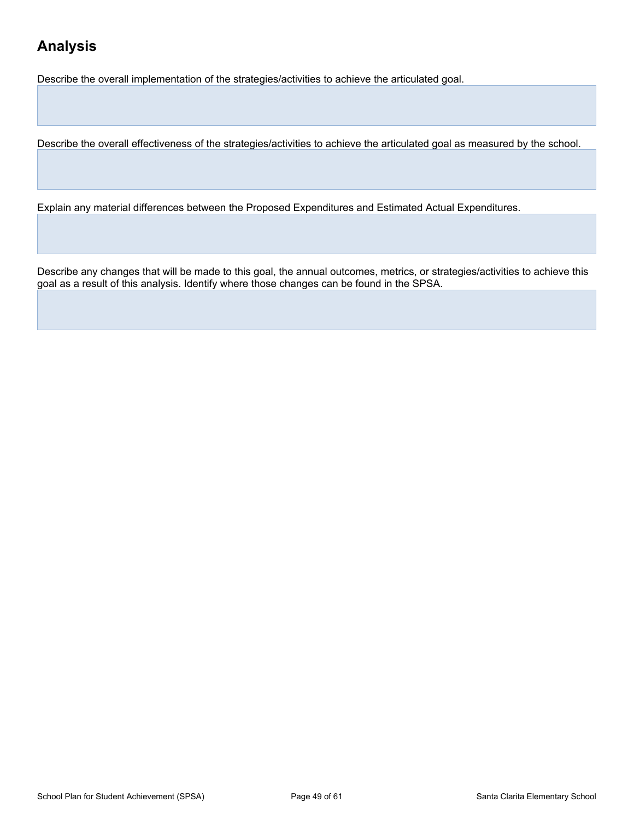## **Analysis**

Describe the overall implementation of the strategies/activities to achieve the articulated goal.

Describe the overall effectiveness of the strategies/activities to achieve the articulated goal as measured by the school.

Explain any material differences between the Proposed Expenditures and Estimated Actual Expenditures.

Describe any changes that will be made to this goal, the annual outcomes, metrics, or strategies/activities to achieve this goal as a result of this analysis. Identify where those changes can be found in the SPSA.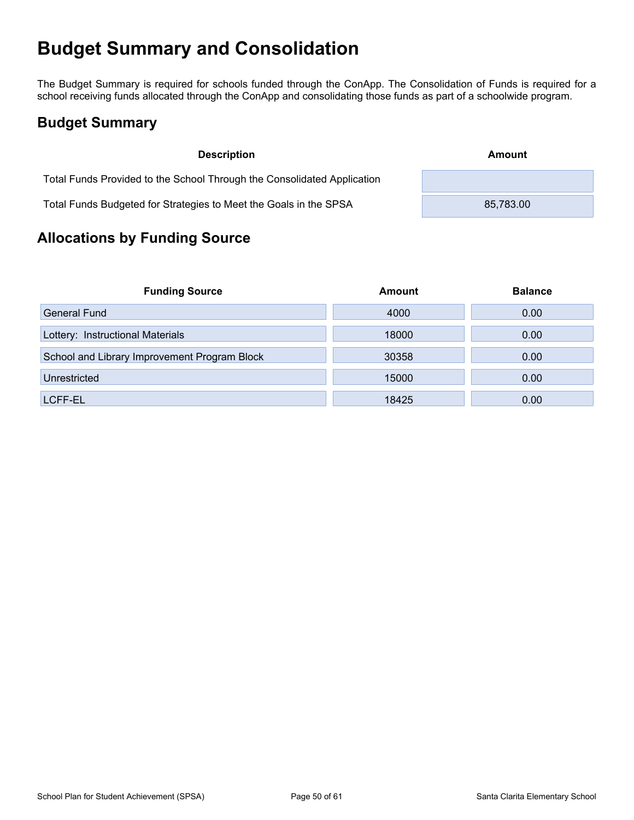## <span id="page-49-0"></span>**Budget Summary and Consolidation**

The Budget Summary is required for schools funded through the ConApp. The Consolidation of Funds is required for a school receiving funds allocated through the ConApp and consolidating those funds as part of a schoolwide program.

## <span id="page-49-1"></span>**Budget Summary**

| <b>Description</b>                                                      | Amount    |
|-------------------------------------------------------------------------|-----------|
| Total Funds Provided to the School Through the Consolidated Application |           |
| Total Funds Budgeted for Strategies to Meet the Goals in the SPSA       | 85,783.00 |

## <span id="page-49-2"></span>**Allocations by Funding Source**

| <b>Funding Source</b>                        | Amount | <b>Balance</b> |
|----------------------------------------------|--------|----------------|
| <b>General Fund</b>                          | 4000   | 0.00           |
| Lottery: Instructional Materials             | 18000  | 0.00           |
| School and Library Improvement Program Block | 30358  | 0.00           |
| Unrestricted                                 | 15000  | 0.00           |
| LCFF-EL                                      | 18425  | 0.00           |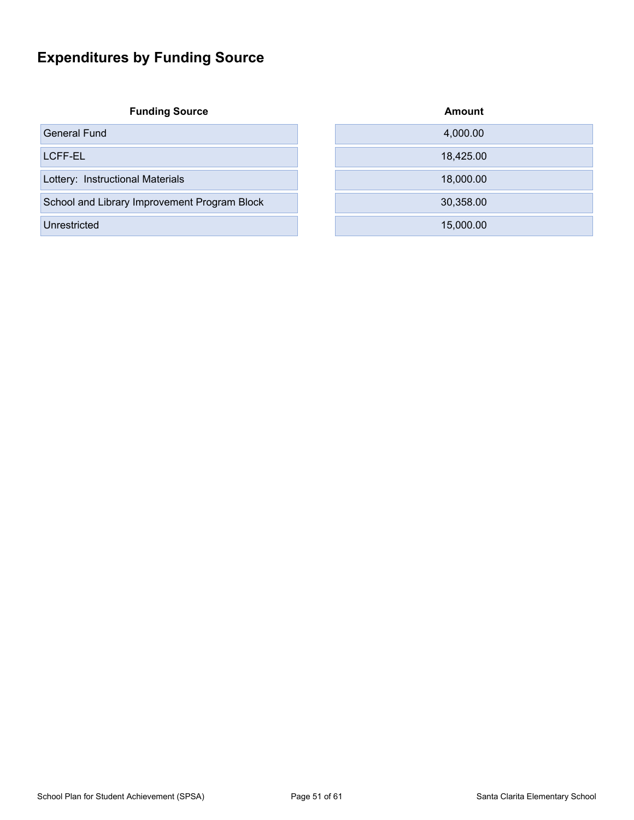## <span id="page-50-0"></span>**Expenditures by Funding Source**

**Funding Source** 

| <b>Funding Source</b>                        | <b>Amount</b> |
|----------------------------------------------|---------------|
| General Fund                                 | 4,000.00      |
| LCFF-EL                                      | 18,425.00     |
| Lottery: Instructional Materials             | 18,000.00     |
| School and Library Improvement Program Block | 30,358.00     |
| Unrestricted                                 | 15,000.00     |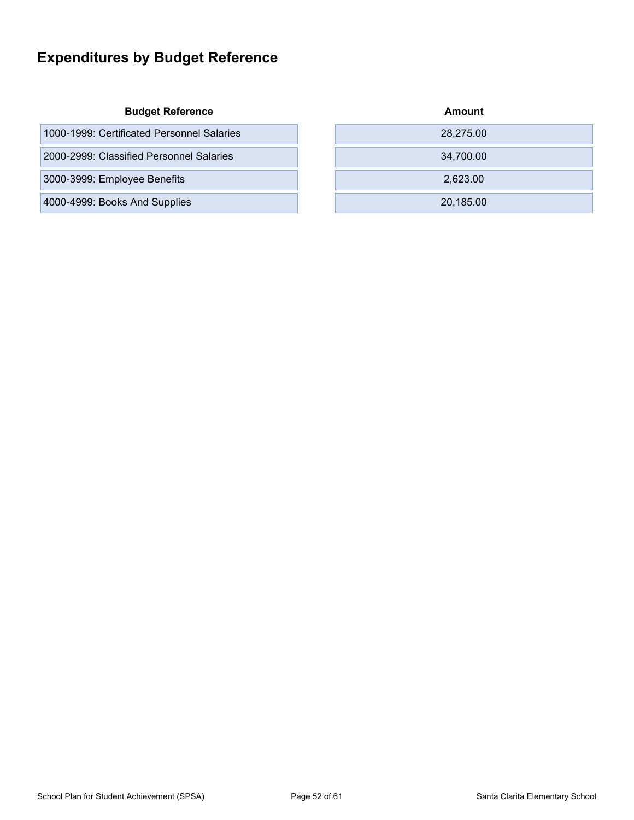## <span id="page-51-0"></span>**Expenditures by Budget Reference**

#### **Budget Reference**

| 1000-1999: Certificated Personnel Salaries | 28,275.00 |
|--------------------------------------------|-----------|
| 2000-2999: Classified Personnel Salaries   | 34,700.00 |
| 3000-3999: Employee Benefits               | 2.623.00  |
| 4000-4999: Books And Supplies              | 20.185.00 |

| Amount    |  |
|-----------|--|
| 28,275.00 |  |
| 34,700.00 |  |
| 2,623.00  |  |
| 20,185.00 |  |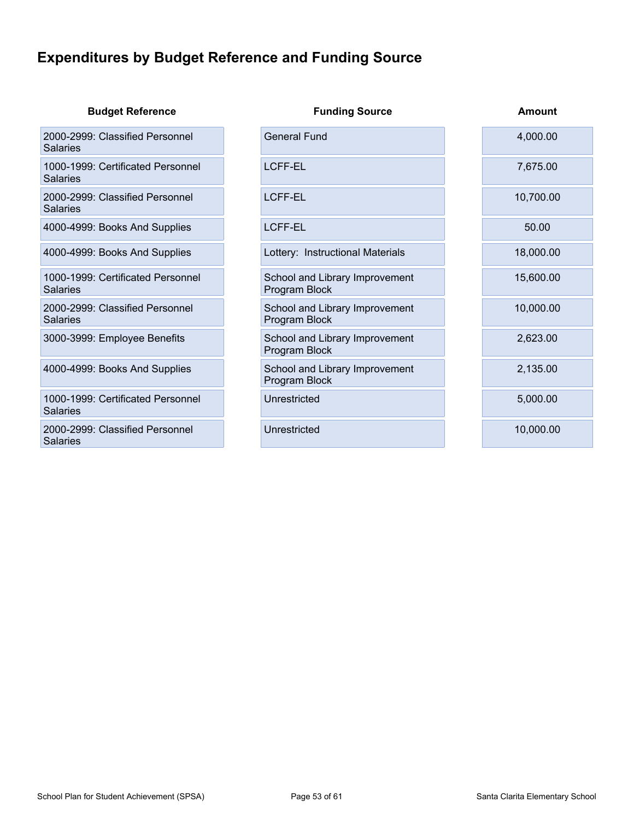## <span id="page-52-0"></span>**Expenditures by Budget Reference and Funding Source**

| <b>Budget Reference</b>                            | <b>Funding Source</b>                           | Amount    |
|----------------------------------------------------|-------------------------------------------------|-----------|
| 2000-2999: Classified Personnel<br>Salaries        | <b>General Fund</b>                             | 4,000.00  |
| 1000-1999: Certificated Personnel<br>Salaries      | <b>LCFF-EL</b>                                  | 7,675.00  |
| 2000-2999: Classified Personnel<br>Salaries        | <b>LCFF-EL</b>                                  | 10,700.00 |
| 4000-4999: Books And Supplies                      | <b>LCFF-EL</b>                                  | 50.00     |
| 4000-4999: Books And Supplies                      | Lottery: Instructional Materials                | 18,000.00 |
| 1000-1999: Certificated Personnel<br>Salaries      | School and Library Improvement<br>Program Block | 15,600.00 |
| 2000-2999: Classified Personnel<br><b>Salaries</b> | School and Library Improvement<br>Program Block | 10,000.00 |
| 3000-3999: Employee Benefits                       | School and Library Improvement<br>Program Block | 2,623.00  |
| 4000-4999: Books And Supplies                      | School and Library Improvement<br>Program Block | 2,135.00  |
| 1000-1999: Certificated Personnel<br>Salaries      | Unrestricted                                    | 5,000.00  |
| 2000-2999: Classified Personnel<br><b>Salaries</b> | Unrestricted                                    | 10,000.00 |
|                                                    |                                                 |           |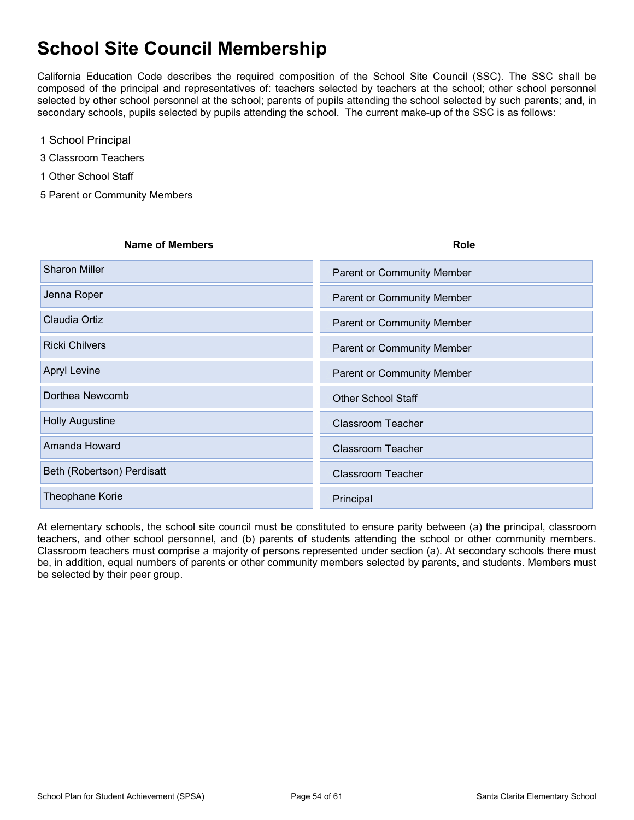## <span id="page-53-0"></span>**School Site Council Membership**

California Education Code describes the required composition of the School Site Council (SSC). The SSC shall be composed of the principal and representatives of: teachers selected by teachers at the school; other school personnel selected by other school personnel at the school; parents of pupils attending the school selected by such parents; and, in secondary schools, pupils selected by pupils attending the school. The current make-up of the SSC is as follows:

- 1 School Principal
- 3 Classroom Teachers
- 1 Other School Staff
- 5 Parent or Community Members

| <b>Name of Members</b>     | <b>Role</b>                       |
|----------------------------|-----------------------------------|
| <b>Sharon Miller</b>       | <b>Parent or Community Member</b> |
| Jenna Roper                | <b>Parent or Community Member</b> |
| Claudia Ortiz              | <b>Parent or Community Member</b> |
| <b>Ricki Chilvers</b>      | <b>Parent or Community Member</b> |
| <b>Apryl Levine</b>        | <b>Parent or Community Member</b> |
| Dorthea Newcomb            | <b>Other School Staff</b>         |
| <b>Holly Augustine</b>     | <b>Classroom Teacher</b>          |
| Amanda Howard              | <b>Classroom Teacher</b>          |
| Beth (Robertson) Perdisatt | <b>Classroom Teacher</b>          |
| Theophane Korie            | Principal                         |

At elementary schools, the school site council must be constituted to ensure parity between (a) the principal, classroom teachers, and other school personnel, and (b) parents of students attending the school or other community members. Classroom teachers must comprise a majority of persons represented under section (a). At secondary schools there must be, in addition, equal numbers of parents or other community members selected by parents, and students. Members must be selected by their peer group.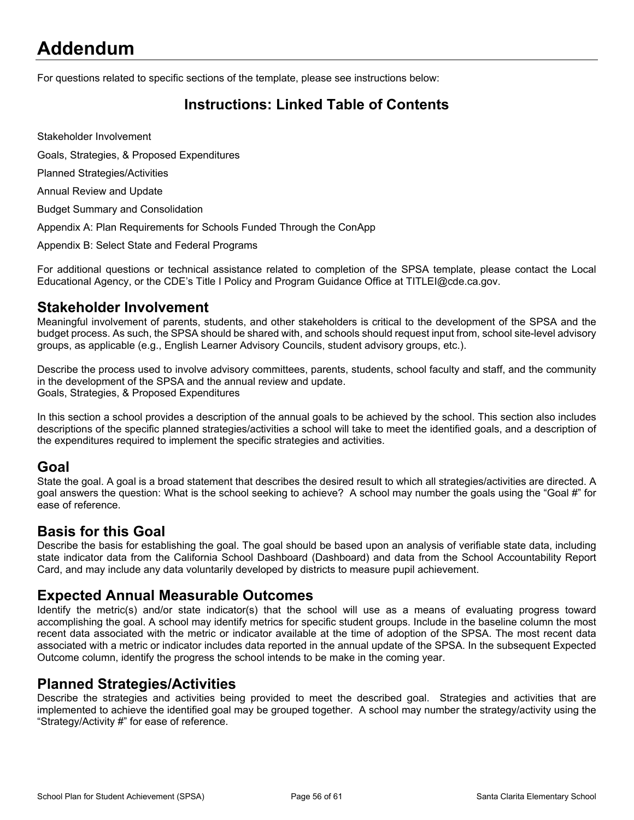## <span id="page-54-0"></span>**Addendum**

For questions related to specific sections of the template, please see instructions below:

## <span id="page-54-1"></span>**Instructions: Linked Table of Contents**

Stakeholder Involvement

Goals, Strategies, & Proposed Expenditures

Planned Strategies/Activities

Annual Review and Update

Budget Summary and Consolidation

Appendix A: Plan Requirements for Schools Funded Through the ConApp

Appendix B: Select State and Federal Programs

For additional questions or technical assistance related to completion of the SPSA template, please contact the Local Educational Agency, or the CDE's Title I Policy and Program Guidance Office at TITLEI@cde.ca.gov.

#### **Stakeholder Involvement**

Meaningful involvement of parents, students, and other stakeholders is critical to the development of the SPSA and the budget process. As such, the SPSA should be shared with, and schools should request input from, school site-level advisory groups, as applicable (e.g., English Learner Advisory Councils, student advisory groups, etc.).

Describe the process used to involve advisory committees, parents, students, school faculty and staff, and the community in the development of the SPSA and the annual review and update. Goals, Strategies, & Proposed Expenditures

In this section a school provides a description of the annual goals to be achieved by the school. This section also includes descriptions of the specific planned strategies/activities a school will take to meet the identified goals, and a description of the expenditures required to implement the specific strategies and activities.

#### **Goal**

State the goal. A goal is a broad statement that describes the desired result to which all strategies/activities are directed. A goal answers the question: What is the school seeking to achieve? A school may number the goals using the "Goal #" for ease of reference.

### **Basis for this Goal**

Describe the basis for establishing the goal. The goal should be based upon an analysis of verifiable state data, including state indicator data from the California School Dashboard (Dashboard) and data from the School Accountability Report Card, and may include any data voluntarily developed by districts to measure pupil achievement.

### **Expected Annual Measurable Outcomes**

Identify the metric(s) and/or state indicator(s) that the school will use as a means of evaluating progress toward accomplishing the goal. A school may identify metrics for specific student groups. Include in the baseline column the most recent data associated with the metric or indicator available at the time of adoption of the SPSA. The most recent data associated with a metric or indicator includes data reported in the annual update of the SPSA. In the subsequent Expected Outcome column, identify the progress the school intends to be make in the coming year.

### **Planned Strategies/Activities**

Describe the strategies and activities being provided to meet the described goal. Strategies and activities that are implemented to achieve the identified goal may be grouped together. A school may number the strategy/activity using the "Strategy/Activity #" for ease of reference.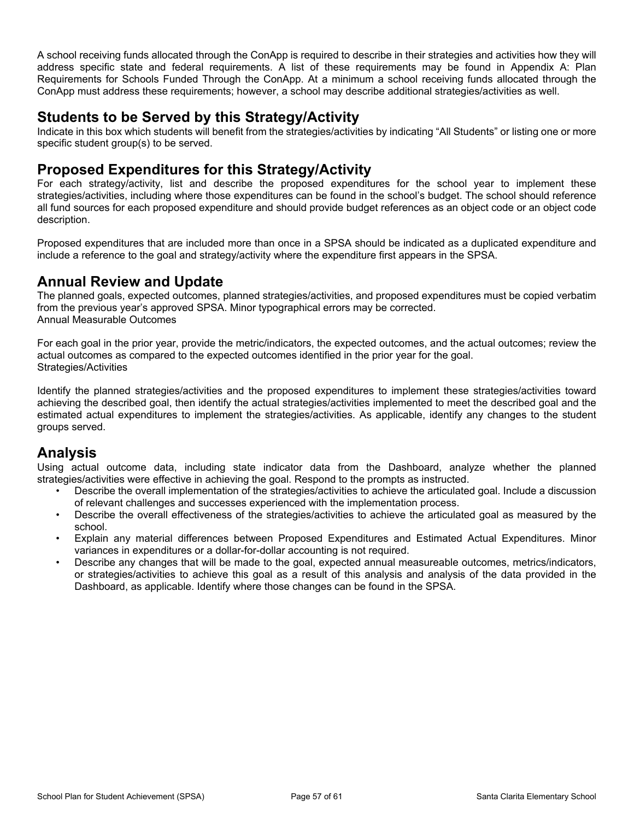A school receiving funds allocated through the ConApp is required to describe in their strategies and activities how they will address specific state and federal requirements. A list of these requirements may be found in Appendix A: Plan Requirements for Schools Funded Through the ConApp. At a minimum a school receiving funds allocated through the ConApp must address these requirements; however, a school may describe additional strategies/activities as well.

### **Students to be Served by this Strategy/Activity**

Indicate in this box which students will benefit from the strategies/activities by indicating "All Students" or listing one or more specific student group(s) to be served.

### **Proposed Expenditures for this Strategy/Activity**

For each strategy/activity, list and describe the proposed expenditures for the school year to implement these strategies/activities, including where those expenditures can be found in the school's budget. The school should reference all fund sources for each proposed expenditure and should provide budget references as an object code or an object code description.

Proposed expenditures that are included more than once in a SPSA should be indicated as a duplicated expenditure and include a reference to the goal and strategy/activity where the expenditure first appears in the SPSA.

### **Annual Review and Update**

The planned goals, expected outcomes, planned strategies/activities, and proposed expenditures must be copied verbatim from the previous year's approved SPSA. Minor typographical errors may be corrected. Annual Measurable Outcomes

For each goal in the prior year, provide the metric/indicators, the expected outcomes, and the actual outcomes; review the actual outcomes as compared to the expected outcomes identified in the prior year for the goal. Strategies/Activities

Identify the planned strategies/activities and the proposed expenditures to implement these strategies/activities toward achieving the described goal, then identify the actual strategies/activities implemented to meet the described goal and the estimated actual expenditures to implement the strategies/activities. As applicable, identify any changes to the student groups served.

## **Analysis**

Using actual outcome data, including state indicator data from the Dashboard, analyze whether the planned strategies/activities were effective in achieving the goal. Respond to the prompts as instructed.

- Describe the overall implementation of the strategies/activities to achieve the articulated goal. Include a discussion of relevant challenges and successes experienced with the implementation process.
- Describe the overall effectiveness of the strategies/activities to achieve the articulated goal as measured by the school.
- Explain any material differences between Proposed Expenditures and Estimated Actual Expenditures. Minor variances in expenditures or a dollar-for-dollar accounting is not required.
- Describe any changes that will be made to the goal, expected annual measureable outcomes, metrics/indicators, or strategies/activities to achieve this goal as a result of this analysis and analysis of the data provided in the Dashboard, as applicable. Identify where those changes can be found in the SPSA.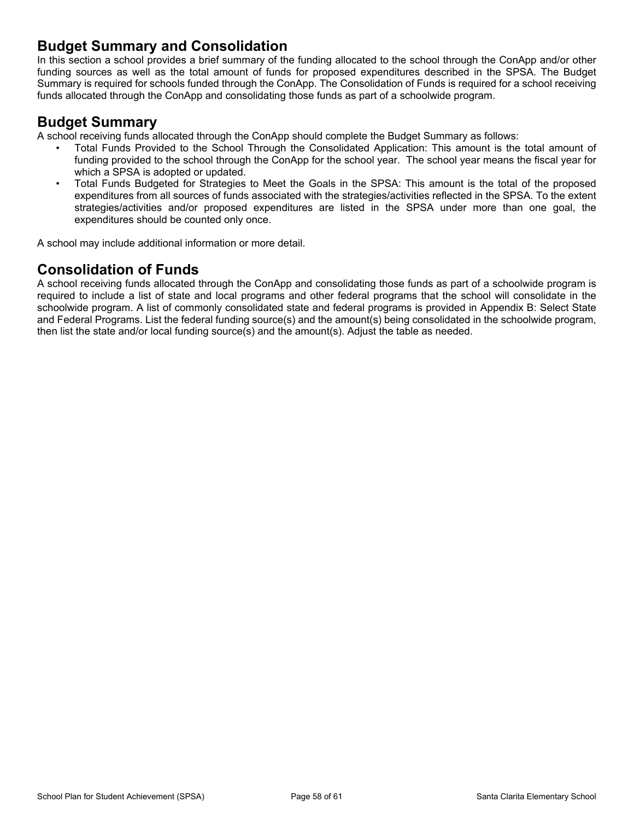### **Budget Summary and Consolidation**

In this section a school provides a brief summary of the funding allocated to the school through the ConApp and/or other funding sources as well as the total amount of funds for proposed expenditures described in the SPSA. The Budget Summary is required for schools funded through the ConApp. The Consolidation of Funds is required for a school receiving funds allocated through the ConApp and consolidating those funds as part of a schoolwide program.

### **Budget Summary**

A school receiving funds allocated through the ConApp should complete the Budget Summary as follows:

- Total Funds Provided to the School Through the Consolidated Application: This amount is the total amount of funding provided to the school through the ConApp for the school year. The school year means the fiscal year for which a SPSA is adopted or updated.
- Total Funds Budgeted for Strategies to Meet the Goals in the SPSA: This amount is the total of the proposed expenditures from all sources of funds associated with the strategies/activities reflected in the SPSA. To the extent strategies/activities and/or proposed expenditures are listed in the SPSA under more than one goal, the expenditures should be counted only once.

A school may include additional information or more detail.

## **Consolidation of Funds**

A school receiving funds allocated through the ConApp and consolidating those funds as part of a schoolwide program is required to include a list of state and local programs and other federal programs that the school will consolidate in the schoolwide program. A list of commonly consolidated state and federal programs is provided in Appendix B: Select State and Federal Programs. List the federal funding source(s) and the amount(s) being consolidated in the schoolwide program, then list the state and/or local funding source(s) and the amount(s). Adjust the table as needed.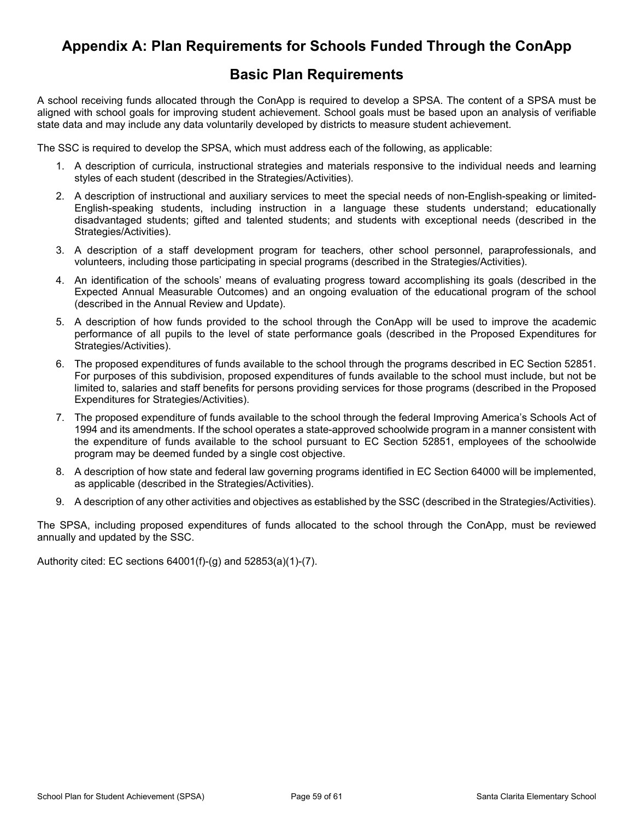## <span id="page-57-0"></span>**Appendix A: Plan Requirements for Schools Funded Through the ConApp**

### **Basic Plan Requirements**

A school receiving funds allocated through the ConApp is required to develop a SPSA. The content of a SPSA must be aligned with school goals for improving student achievement. School goals must be based upon an analysis of verifiable state data and may include any data voluntarily developed by districts to measure student achievement.

The SSC is required to develop the SPSA, which must address each of the following, as applicable:

- 1. A description of curricula, instructional strategies and materials responsive to the individual needs and learning styles of each student (described in the Strategies/Activities).
- 2. A description of instructional and auxiliary services to meet the special needs of non-English-speaking or limited-English-speaking students, including instruction in a language these students understand; educationally disadvantaged students; gifted and talented students; and students with exceptional needs (described in the Strategies/Activities).
- 3. A description of a staff development program for teachers, other school personnel, paraprofessionals, and volunteers, including those participating in special programs (described in the Strategies/Activities).
- 4. An identification of the schools' means of evaluating progress toward accomplishing its goals (described in the Expected Annual Measurable Outcomes) and an ongoing evaluation of the educational program of the school (described in the Annual Review and Update).
- 5. A description of how funds provided to the school through the ConApp will be used to improve the academic performance of all pupils to the level of state performance goals (described in the Proposed Expenditures for Strategies/Activities).
- 6. The proposed expenditures of funds available to the school through the programs described in EC Section 52851. For purposes of this subdivision, proposed expenditures of funds available to the school must include, but not be limited to, salaries and staff benefits for persons providing services for those programs (described in the Proposed Expenditures for Strategies/Activities).
- 7. The proposed expenditure of funds available to the school through the federal Improving America's Schools Act of 1994 and its amendments. If the school operates a state-approved schoolwide program in a manner consistent with the expenditure of funds available to the school pursuant to EC Section 52851, employees of the schoolwide program may be deemed funded by a single cost objective.
- 8. A description of how state and federal law governing programs identified in EC Section 64000 will be implemented, as applicable (described in the Strategies/Activities).
- 9. A description of any other activities and objectives as established by the SSC (described in the Strategies/Activities).

The SPSA, including proposed expenditures of funds allocated to the school through the ConApp, must be reviewed annually and updated by the SSC.

Authority cited: EC sections 64001(f)-(g) and 52853(a)(1)-(7).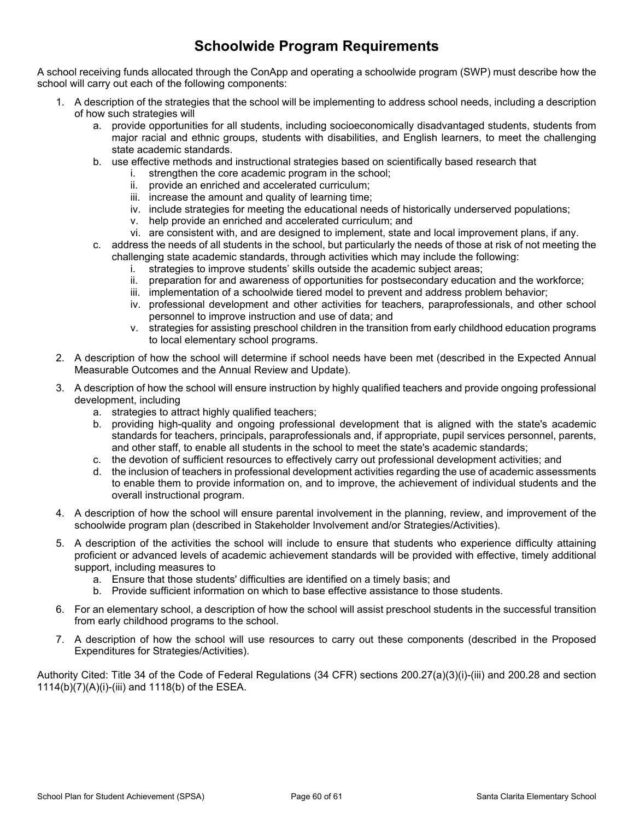## **Schoolwide Program Requirements**

A school receiving funds allocated through the ConApp and operating a schoolwide program (SWP) must describe how the school will carry out each of the following components:

- 1. A description of the strategies that the school will be implementing to address school needs, including a description of how such strategies will
	- a. provide opportunities for all students, including socioeconomically disadvantaged students, students from major racial and ethnic groups, students with disabilities, and English learners, to meet the challenging state academic standards.
	- b. use effective methods and instructional strategies based on scientifically based research that
		- i. strengthen the core academic program in the school;
		- ii. provide an enriched and accelerated curriculum;
		- iii. increase the amount and quality of learning time;
		- iv. include strategies for meeting the educational needs of historically underserved populations;
		- v. help provide an enriched and accelerated curriculum; and
		- vi. are consistent with, and are designed to implement, state and local improvement plans, if any.
	- c. address the needs of all students in the school, but particularly the needs of those at risk of not meeting the challenging state academic standards, through activities which may include the following:
		- i. strategies to improve students' skills outside the academic subject areas;
		- ii. preparation for and awareness of opportunities for postsecondary education and the workforce;
		- iii. implementation of a schoolwide tiered model to prevent and address problem behavior;
		- iv. professional development and other activities for teachers, paraprofessionals, and other school personnel to improve instruction and use of data; and
		- v. strategies for assisting preschool children in the transition from early childhood education programs to local elementary school programs.
- 2. A description of how the school will determine if school needs have been met (described in the Expected Annual Measurable Outcomes and the Annual Review and Update).
- 3. A description of how the school will ensure instruction by highly qualified teachers and provide ongoing professional development, including
	- a. strategies to attract highly qualified teachers;
	- b. providing high-quality and ongoing professional development that is aligned with the state's academic standards for teachers, principals, paraprofessionals and, if appropriate, pupil services personnel, parents, and other staff, to enable all students in the school to meet the state's academic standards;
	- c. the devotion of sufficient resources to effectively carry out professional development activities; and
	- d. the inclusion of teachers in professional development activities regarding the use of academic assessments to enable them to provide information on, and to improve, the achievement of individual students and the overall instructional program.
- 4. A description of how the school will ensure parental involvement in the planning, review, and improvement of the schoolwide program plan (described in Stakeholder Involvement and/or Strategies/Activities).
- 5. A description of the activities the school will include to ensure that students who experience difficulty attaining proficient or advanced levels of academic achievement standards will be provided with effective, timely additional support, including measures to
	- a. Ensure that those students' difficulties are identified on a timely basis; and
	- b. Provide sufficient information on which to base effective assistance to those students.
- 6. For an elementary school, a description of how the school will assist preschool students in the successful transition from early childhood programs to the school.
- 7. A description of how the school will use resources to carry out these components (described in the Proposed Expenditures for Strategies/Activities).

Authority Cited: Title 34 of the Code of Federal Regulations (34 CFR) sections 200.27(a)(3)(i)-(iii) and 200.28 and section 1114(b)(7)(A)(i)-(iii) and 1118(b) of the ESEA.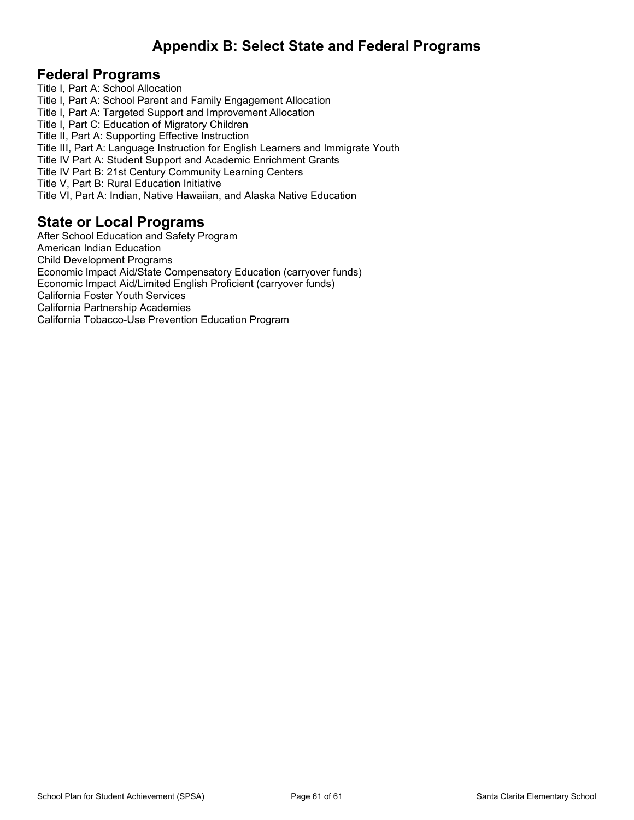## <span id="page-59-0"></span>**Appendix B: Select State and Federal Programs**

### **Federal Programs**

Title I, Part A: School Allocation Title I, Part A: School Parent and Family Engagement Allocation Title I, Part A: Targeted Support and Improvement Allocation Title I, Part C: Education of Migratory Children Title II, Part A: Supporting Effective Instruction Title III, Part A: Language Instruction for English Learners and Immigrate Youth Title IV Part A: Student Support and Academic Enrichment Grants Title IV Part B: 21st Century Community Learning Centers Title V, Part B: Rural Education Initiative Title VI, Part A: Indian, Native Hawaiian, and Alaska Native Education

### **State or Local Programs**

After School Education and Safety Program American Indian Education Child Development Programs Economic Impact Aid/State Compensatory Education (carryover funds) Economic Impact Aid/Limited English Proficient (carryover funds) California Foster Youth Services California Partnership Academies California Tobacco-Use Prevention Education Program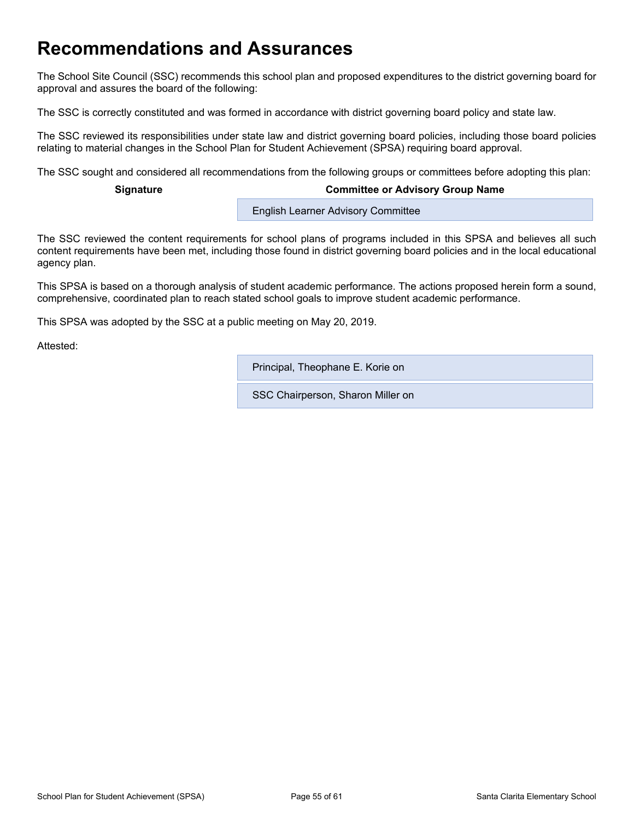## <span id="page-60-0"></span>**Recommendations and Assurances**

The School Site Council (SSC) recommends this school plan and proposed expenditures to the district governing board for approval and assures the board of the following:

The SSC is correctly constituted and was formed in accordance with district governing board policy and state law.

The SSC reviewed its responsibilities under state law and district governing board policies, including those board policies relating to material changes in the School Plan for Student Achievement (SPSA) requiring board approval.

The SSC sought and considered all recommendations from the following groups or committees before adopting this plan:

#### **Signature Committee or Advisory Group Name**

**English Learner Advisory Committee** 

The SSC reviewed the content requirements for school plans of programs included in this SPSA and believes all such content requirements have been met, including those found in district governing board policies and in the local educational agency plan.

This SPSA is based on a thorough analysis of student academic performance. The actions proposed herein form a sound, comprehensive, coordinated plan to reach stated school goals to improve student academic performance.

This SPSA was adopted by the SSC at a public meeting on May 20, 2019.

Attested:

Principal, Theophane E. Korie on

SSC Chairperson, Sharon Miller on